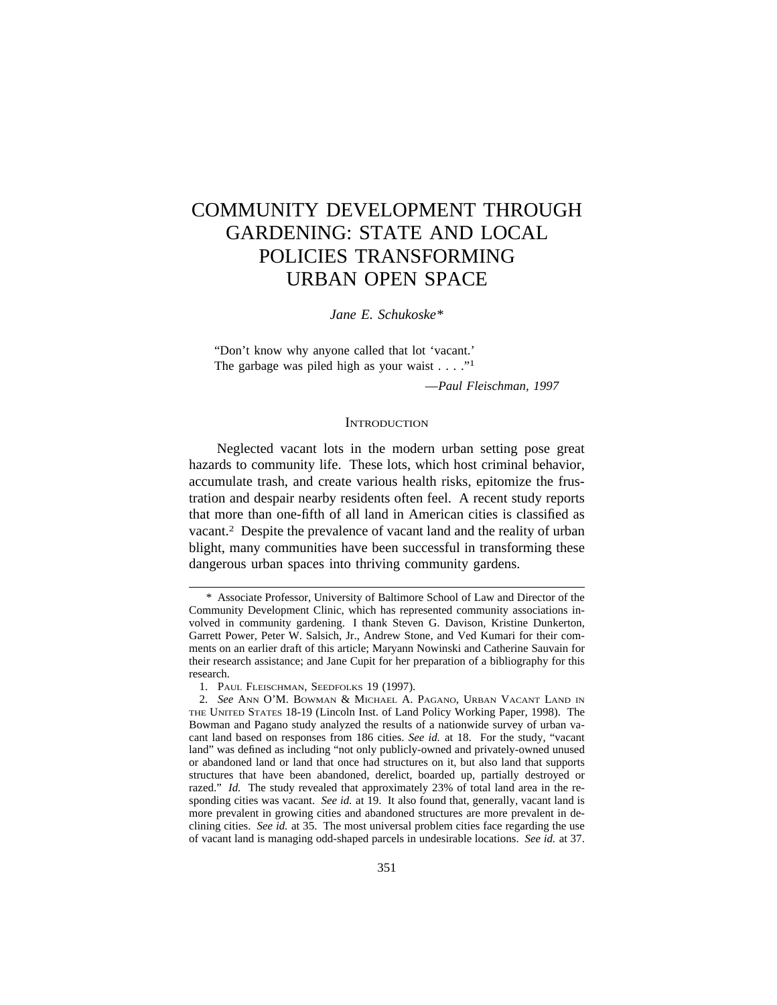# COMMUNITY DEVELOPMENT THROUGH GARDENING: STATE AND LOCAL POLICIES TRANSFORMING URBAN OPEN SPACE

*Jane E. Schukoske*\*

"Don't know why anyone called that lot 'vacant.' The garbage was piled high as your waist  $\dots$ ."<sup>1</sup>

—*Paul Fleischman, 1997*

#### **INTRODUCTION**

Neglected vacant lots in the modern urban setting pose great hazards to community life. These lots, which host criminal behavior, accumulate trash, and create various health risks, epitomize the frustration and despair nearby residents often feel. A recent study reports that more than one-fifth of all land in American cities is classified as vacant.2 Despite the prevalence of vacant land and the reality of urban blight, many communities have been successful in transforming these dangerous urban spaces into thriving community gardens.

<sup>\*</sup> Associate Professor, University of Baltimore School of Law and Director of the Community Development Clinic, which has represented community associations involved in community gardening. I thank Steven G. Davison, Kristine Dunkerton, Garrett Power, Peter W. Salsich, Jr., Andrew Stone, and Ved Kumari for their comments on an earlier draft of this article; Maryann Nowinski and Catherine Sauvain for their research assistance; and Jane Cupit for her preparation of a bibliography for this research.

<sup>1.</sup> PAUL FLEISCHMAN, SEEDFOLKS 19 (1997).

<sup>2.</sup> *See* ANN O'M. BOWMAN & MICHAEL A. PAGANO, URBAN VACANT LAND IN THE UNITED STATES 18-19 (Lincoln Inst. of Land Policy Working Paper, 1998). The Bowman and Pagano study analyzed the results of a nationwide survey of urban vacant land based on responses from 186 cities. *See id.* at 18. For the study, "vacant land" was defined as including "not only publicly-owned and privately-owned unused or abandoned land or land that once had structures on it, but also land that supports structures that have been abandoned, derelict, boarded up, partially destroyed or razed." *Id.* The study revealed that approximately 23% of total land area in the responding cities was vacant. *See id.* at 19. It also found that, generally, vacant land is more prevalent in growing cities and abandoned structures are more prevalent in declining cities. *See id.* at 35. The most universal problem cities face regarding the use of vacant land is managing odd-shaped parcels in undesirable locations. *See id.* at 37.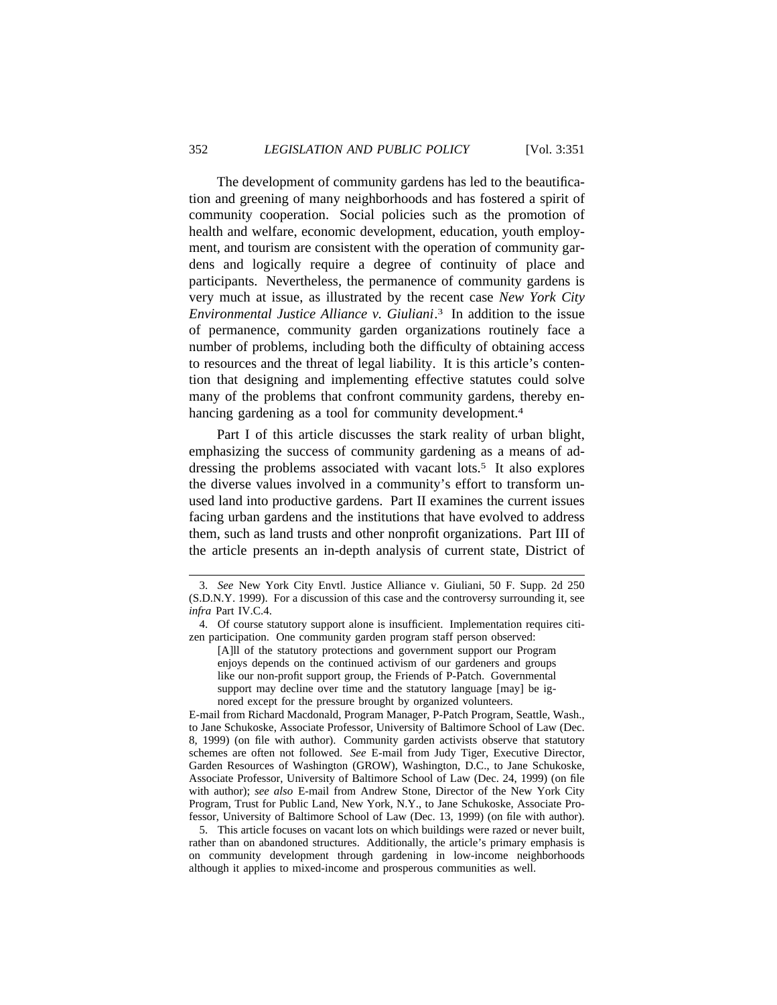The development of community gardens has led to the beautification and greening of many neighborhoods and has fostered a spirit of community cooperation. Social policies such as the promotion of health and welfare, economic development, education, youth employment, and tourism are consistent with the operation of community gardens and logically require a degree of continuity of place and participants. Nevertheless, the permanence of community gardens is very much at issue, as illustrated by the recent case *New York City Environmental Justice Alliance v. Giuliani*. 3 In addition to the issue of permanence, community garden organizations routinely face a number of problems, including both the difficulty of obtaining access to resources and the threat of legal liability. It is this article's contention that designing and implementing effective statutes could solve many of the problems that confront community gardens, thereby enhancing gardening as a tool for community development.<sup>4</sup>

Part I of this article discusses the stark reality of urban blight, emphasizing the success of community gardening as a means of addressing the problems associated with vacant lots.<sup>5</sup> It also explores the diverse values involved in a community's effort to transform unused land into productive gardens. Part II examines the current issues facing urban gardens and the institutions that have evolved to address them, such as land trusts and other nonprofit organizations. Part III of the article presents an in-depth analysis of current state, District of

[A]ll of the statutory protections and government support our Program enjoys depends on the continued activism of our gardeners and groups like our non-profit support group, the Friends of P-Patch. Governmental support may decline over time and the statutory language [may] be ignored except for the pressure brought by organized volunteers.

E-mail from Richard Macdonald, Program Manager, P-Patch Program, Seattle, Wash., to Jane Schukoske, Associate Professor, University of Baltimore School of Law (Dec. 8, 1999) (on file with author). Community garden activists observe that statutory schemes are often not followed. *See* E-mail from Judy Tiger, Executive Director, Garden Resources of Washington (GROW), Washington, D.C., to Jane Schukoske, Associate Professor, University of Baltimore School of Law (Dec. 24, 1999) (on file with author); *see also* E-mail from Andrew Stone, Director of the New York City Program, Trust for Public Land, New York, N.Y., to Jane Schukoske, Associate Professor, University of Baltimore School of Law (Dec. 13, 1999) (on file with author).

5. This article focuses on vacant lots on which buildings were razed or never built, rather than on abandoned structures. Additionally, the article's primary emphasis is on community development through gardening in low-income neighborhoods although it applies to mixed-income and prosperous communities as well.

<sup>3.</sup> *See* New York City Envtl. Justice Alliance v. Giuliani, 50 F. Supp. 2d 250 (S.D.N.Y. 1999). For a discussion of this case and the controversy surrounding it, see *infra* Part IV.C.4.

<sup>4.</sup> Of course statutory support alone is insufficient. Implementation requires citizen participation. One community garden program staff person observed: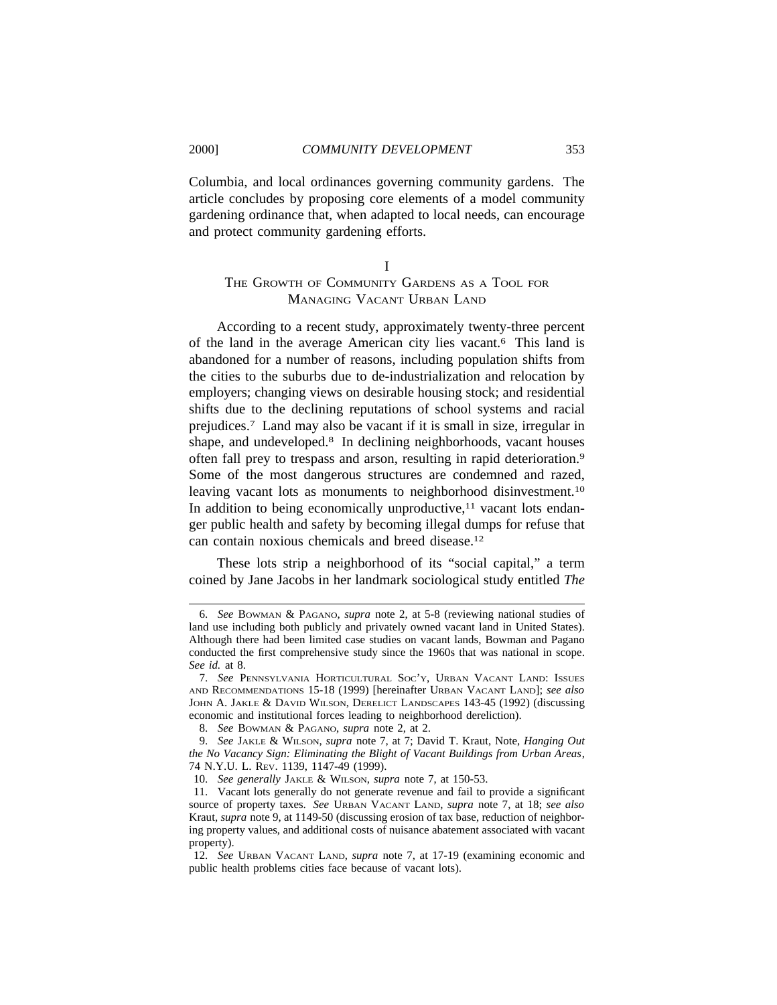Columbia, and local ordinances governing community gardens. The article concludes by proposing core elements of a model community gardening ordinance that, when adapted to local needs, can encourage and protect community gardening efforts.

# I THE GROWTH OF COMMUNITY GARDENS AS A TOOL FOR MANAGING VACANT URBAN LAND

According to a recent study, approximately twenty-three percent of the land in the average American city lies vacant.<sup>6</sup> This land is abandoned for a number of reasons, including population shifts from the cities to the suburbs due to de-industrialization and relocation by employers; changing views on desirable housing stock; and residential shifts due to the declining reputations of school systems and racial prejudices.7 Land may also be vacant if it is small in size, irregular in shape, and undeveloped.<sup>8</sup> In declining neighborhoods, vacant houses often fall prey to trespass and arson, resulting in rapid deterioration.9 Some of the most dangerous structures are condemned and razed, leaving vacant lots as monuments to neighborhood disinvestment.<sup>10</sup> In addition to being economically unproductive, $11$  vacant lots endanger public health and safety by becoming illegal dumps for refuse that can contain noxious chemicals and breed disease.12

These lots strip a neighborhood of its "social capital," a term coined by Jane Jacobs in her landmark sociological study entitled *The*

<sup>6.</sup> *See* BOWMAN & PAGANO, *supra* note 2, at 5-8 (reviewing national studies of land use including both publicly and privately owned vacant land in United States). Although there had been limited case studies on vacant lands, Bowman and Pagano conducted the first comprehensive study since the 1960s that was national in scope. *See id.* at 8.

<sup>7.</sup> *See* PENNSYLVANIA HORTICULTURAL SOC'Y, URBAN VACANT LAND: ISSUES AND RECOMMENDATIONS 15-18 (1999) [hereinafter URBAN VACANT LAND]; *see also* JOHN A. JAKLE & DAVID WILSON, DERELICT LANDSCAPES 143-45 (1992) (discussing economic and institutional forces leading to neighborhood dereliction).

<sup>8.</sup> *See* BOWMAN & PAGANO, *supra* note 2, at 2.

<sup>9.</sup> *See* JAKLE & WILSON, *supra* note 7, at 7; David T. Kraut, Note, *Hanging Out the No Vacancy Sign: Eliminating the Blight of Vacant Buildings from Urban Areas*, 74 N.Y.U. L. REV. 1139, 1147-49 (1999).

<sup>10.</sup> *See generally* JAKLE & WILSON, *supra* note 7, at 150-53.

<sup>11.</sup> Vacant lots generally do not generate revenue and fail to provide a significant source of property taxes. *See* URBAN VACANT LAND, *supra* note 7, at 18; *see also* Kraut, *supra* note 9, at 1149-50 (discussing erosion of tax base, reduction of neighboring property values, and additional costs of nuisance abatement associated with vacant property).

<sup>12.</sup> *See* URBAN VACANT LAND, *supra* note 7, at 17-19 (examining economic and public health problems cities face because of vacant lots).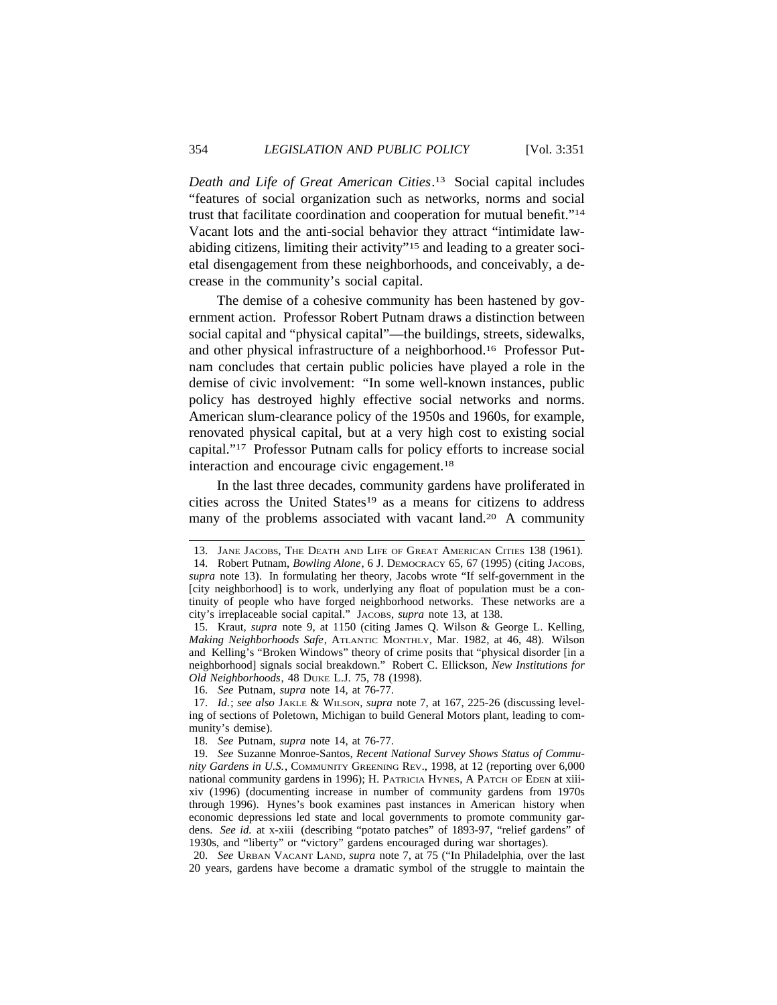*Death and Life of Great American Cities*. 13 Social capital includes "features of social organization such as networks, norms and social trust that facilitate coordination and cooperation for mutual benefit."14 Vacant lots and the anti-social behavior they attract "intimidate lawabiding citizens, limiting their activity"15 and leading to a greater societal disengagement from these neighborhoods, and conceivably, a decrease in the community's social capital.

The demise of a cohesive community has been hastened by government action. Professor Robert Putnam draws a distinction between social capital and "physical capital"—the buildings, streets, sidewalks, and other physical infrastructure of a neighborhood.16 Professor Putnam concludes that certain public policies have played a role in the demise of civic involvement: "In some well-known instances, public policy has destroyed highly effective social networks and norms. American slum-clearance policy of the 1950s and 1960s, for example, renovated physical capital, but at a very high cost to existing social capital."17 Professor Putnam calls for policy efforts to increase social interaction and encourage civic engagement.18

In the last three decades, community gardens have proliferated in cities across the United States<sup>19</sup> as a means for citizens to address many of the problems associated with vacant land.<sup>20</sup> A community

16. *See* Putnam, *supra* note 14, at 76-77.

<sup>13.</sup> JANE JACOBS, THE DEATH AND LIFE OF GREAT AMERICAN CITIES 138 (1961).

<sup>14.</sup> Robert Putnam, *Bowling Alone*, 6 J. DEMOCRACY 65, 67 (1995) (citing JACOBS, *supra* note 13). In formulating her theory, Jacobs wrote "If self-government in the [city neighborhood] is to work, underlying any float of population must be a continuity of people who have forged neighborhood networks. These networks are a city's irreplaceable social capital." JACOBS, *supra* note 13, at 138.

<sup>15.</sup> Kraut, *supra* note 9, at 1150 (citing James Q. Wilson & George L. Kelling, *Making Neighborhoods Safe*, ATLANTIC MONTHLY, Mar. 1982, at 46, 48). Wilson and Kelling's "Broken Windows" theory of crime posits that "physical disorder [in a neighborhood] signals social breakdown." Robert C. Ellickson, *New Institutions for Old Neighborhoods*, 48 DUKE L.J. 75, 78 (1998).

<sup>17.</sup> *Id.*; *see also* JAKLE & WILSON, *supra* note 7, at 167, 225-26 (discussing leveling of sections of Poletown, Michigan to build General Motors plant, leading to community's demise).

<sup>18.</sup> *See* Putnam, *supra* note 14, at 76-77.

<sup>19.</sup> *See* Suzanne Monroe-Santos, *Recent National Survey Shows Status of Community Gardens in U.S.*, COMMUNITY GREENING REV., 1998, at 12 (reporting over 6,000 national community gardens in 1996); H. PATRICIA HYNES, A PATCH OF EDEN at xiiixiv (1996) (documenting increase in number of community gardens from 1970s through 1996). Hynes's book examines past instances in American history when economic depressions led state and local governments to promote community gardens. *See id.* at x-xiii (describing "potato patches" of 1893-97, "relief gardens" of 1930s, and "liberty" or "victory" gardens encouraged during war shortages).

<sup>20.</sup> *See* URBAN VACANT LAND, *supra* note 7, at 75 ("In Philadelphia, over the last 20 years, gardens have become a dramatic symbol of the struggle to maintain the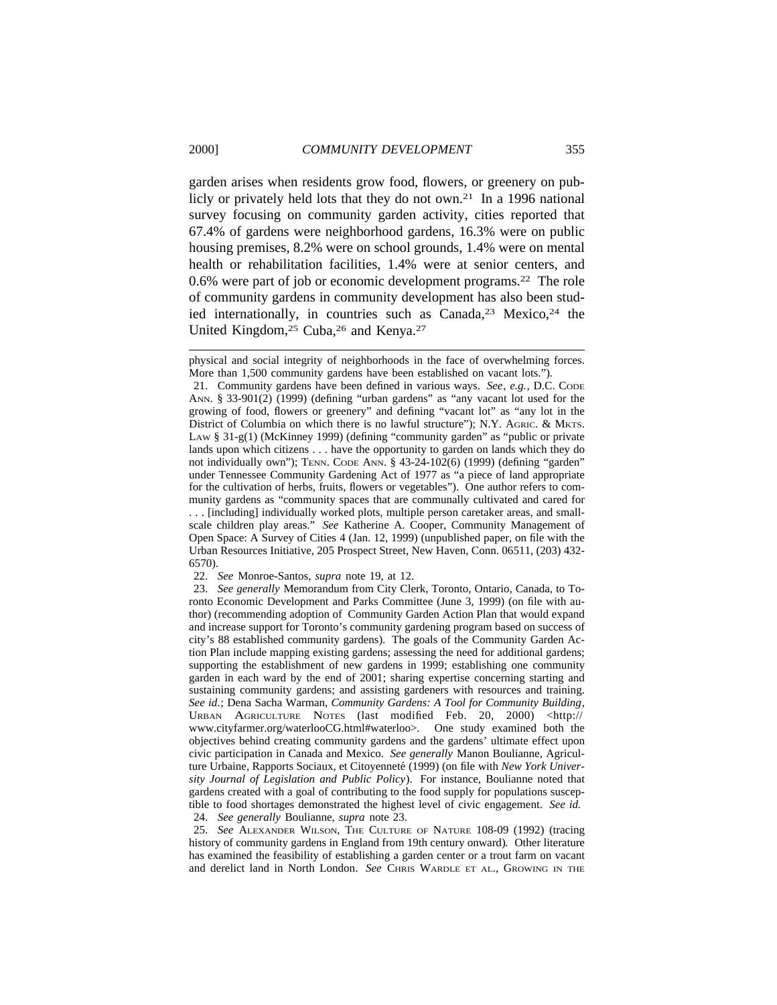garden arises when residents grow food, flowers, or greenery on publicly or privately held lots that they do not own.<sup>21</sup> In a 1996 national survey focusing on community garden activity, cities reported that 67.4% of gardens were neighborhood gardens, 16.3% were on public housing premises, 8.2% were on school grounds, 1.4% were on mental health or rehabilitation facilities, 1.4% were at senior centers, and 0.6% were part of job or economic development programs.22 The role of community gardens in community development has also been studied internationally, in countries such as Canada,<sup>23</sup> Mexico,<sup>24</sup> the United Kingdom,<sup>25</sup> Cuba,<sup>26</sup> and Kenya.<sup>27</sup>

21. Community gardens have been defined in various ways. *See*, *e.g.*, D.C. CODE ANN. § 33-901(2) (1999) (defining "urban gardens" as "any vacant lot used for the growing of food, flowers or greenery" and defining "vacant lot" as "any lot in the District of Columbia on which there is no lawful structure"); N.Y. AGRIC. & MKTS. LAW § 31-g(1) (McKinney 1999) (defining "community garden" as "public or private lands upon which citizens . . . have the opportunity to garden on lands which they do not individually own"); TENN. CODE ANN. § 43-24-102(6) (1999) (defining "garden" under Tennessee Community Gardening Act of 1977 as "a piece of land appropriate for the cultivation of herbs, fruits, flowers or vegetables"). One author refers to community gardens as "community spaces that are communally cultivated and cared for . . . [including] individually worked plots, multiple person caretaker areas, and smallscale children play areas." *See* Katherine A. Cooper, Community Management of Open Space: A Survey of Cities 4 (Jan. 12, 1999) (unpublished paper, on file with the Urban Resources Initiative, 205 Prospect Street, New Haven, Conn. 06511, (203) 432- 6570).

22. *See* Monroe-Santos, *supra* note 19, at 12.

23. *See generally* Memorandum from City Clerk, Toronto, Ontario, Canada, to Toronto Economic Development and Parks Committee (June 3, 1999) (on file with author) (recommending adoption of Community Garden Action Plan that would expand and increase support for Toronto's community gardening program based on success of city's 88 established community gardens). The goals of the Community Garden Action Plan include mapping existing gardens; assessing the need for additional gardens; supporting the establishment of new gardens in 1999; establishing one community garden in each ward by the end of 2001; sharing expertise concerning starting and sustaining community gardens; and assisting gardeners with resources and training. *See id*.; Dena Sacha Warman, *Community Gardens: A Tool for Community Building*, URBAN AGRICULTURE NOTES (last modified Feb. 20, 2000) <http:// www.cityfarmer.org/waterlooCG.html#waterloo>*.* One study examined both the objectives behind creating community gardens and the gardens' ultimate effect upon civic participation in Canada and Mexico. *See generally* Manon Boulianne, Agriculture Urbaine, Rapports Sociaux, et Citoyenneté (1999) (on file with *New York University Journal of Legislation and Public Policy*). For instance, Boulianne noted that gardens created with a goal of contributing to the food supply for populations susceptible to food shortages demonstrated the highest level of civic engagement. *See id.*

24. *See generally* Boulianne, *supra* note 23.

25. *See* ALEXANDER WILSON, THE CULTURE OF NATURE 108-09 (1992) (tracing history of community gardens in England from 19th century onward)*.* Other literature has examined the feasibility of establishing a garden center or a trout farm on vacant and derelict land in North London. *See* CHRIS WARDLE ET AL., GROWING IN THE

physical and social integrity of neighborhoods in the face of overwhelming forces. More than 1,500 community gardens have been established on vacant lots.").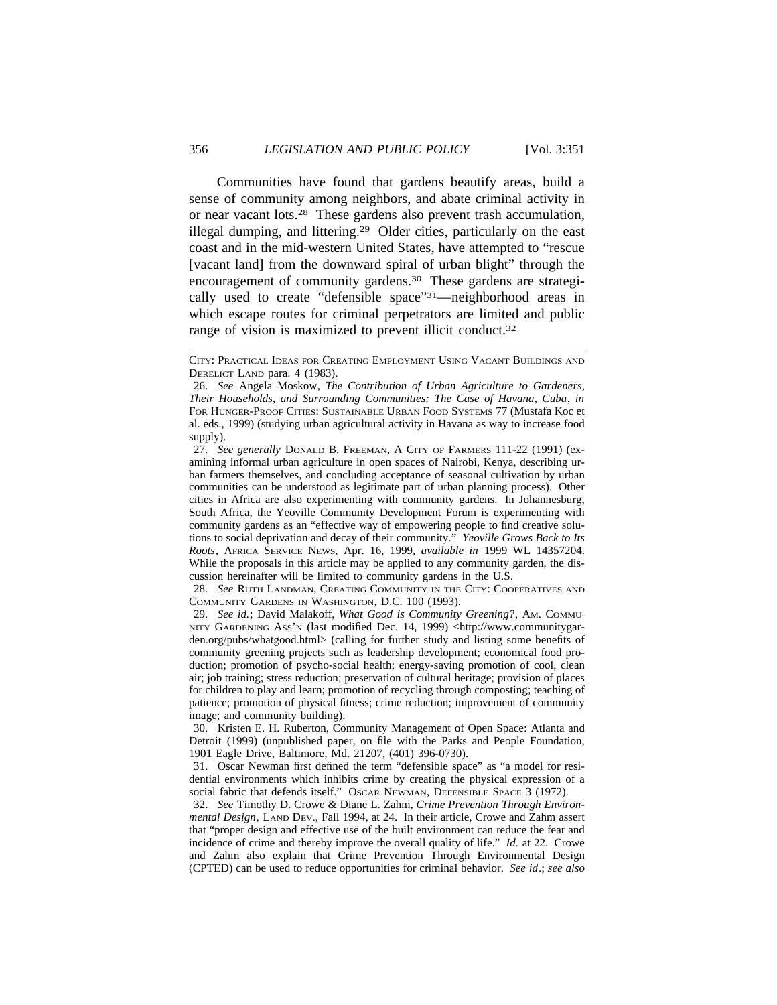Communities have found that gardens beautify areas, build a sense of community among neighbors, and abate criminal activity in or near vacant lots.28 These gardens also prevent trash accumulation, illegal dumping, and littering.29 Older cities, particularly on the east coast and in the mid-western United States, have attempted to "rescue [vacant land] from the downward spiral of urban blight" through the encouragement of community gardens.30 These gardens are strategically used to create "defensible space"31—neighborhood areas in which escape routes for criminal perpetrators are limited and public range of vision is maximized to prevent illicit conduct.<sup>32</sup>

28. *See* RUTH LANDMAN, CREATING COMMUNITY IN THE CITY: COOPERATIVES AND COMMUNITY GARDENS IN WASHINGTON, D.C. 100 (1993).

29. *See id.*; David Malakoff, *What Good is Community Greening?*, AM. COMMU-NITY GARDENING Ass'N (last modified Dec. 14, 1999) <http://www.communitygarden.org/pubs/whatgood.html> (calling for further study and listing some benefits of community greening projects such as leadership development; economical food production; promotion of psycho-social health; energy-saving promotion of cool, clean air; job training; stress reduction; preservation of cultural heritage; provision of places for children to play and learn; promotion of recycling through composting; teaching of patience; promotion of physical fitness; crime reduction; improvement of community image; and community building).

30. Kristen E. H. Ruberton, Community Management of Open Space: Atlanta and Detroit (1999) (unpublished paper, on file with the Parks and People Foundation, 1901 Eagle Drive, Baltimore, Md. 21207, (401) 396-0730).

31. Oscar Newman first defined the term "defensible space" as "a model for residential environments which inhibits crime by creating the physical expression of a social fabric that defends itself." OSCAR NEWMAN, DEFENSIBLE SPACE 3 (1972).

32. *See* Timothy D. Crowe & Diane L. Zahm, *Crime Prevention Through Environmental Design*, LAND DEV., Fall 1994, at 24. In their article, Crowe and Zahm assert that "proper design and effective use of the built environment can reduce the fear and incidence of crime and thereby improve the overall quality of life." *Id.* at 22. Crowe and Zahm also explain that Crime Prevention Through Environmental Design (CPTED) can be used to reduce opportunities for criminal behavior. *See id*.; *see also*

CITY: PRACTICAL IDEAS FOR CREATING EMPLOYMENT USING VACANT BUILDINGS AND DERELICT LAND para. 4 (1983).

<sup>26.</sup> *See* Angela Moskow, *The Contribution of Urban Agriculture to Gardeners, Their Households, and Surrounding Communities: The Case of Havana, Cuba*, *in* FOR HUNGER-PROOF CITIES: SUSTAINABLE URBAN FOOD SYSTEMS 77 (Mustafa Koc et al. eds., 1999) (studying urban agricultural activity in Havana as way to increase food supply).

<sup>27.</sup> *See generally* DONALD B. FREEMAN, A CITY OF FARMERS 111-22 (1991) (examining informal urban agriculture in open spaces of Nairobi, Kenya, describing urban farmers themselves, and concluding acceptance of seasonal cultivation by urban communities can be understood as legitimate part of urban planning process). Other cities in Africa are also experimenting with community gardens. In Johannesburg, South Africa, the Yeoville Community Development Forum is experimenting with community gardens as an "effective way of empowering people to find creative solutions to social deprivation and decay of their community." *Yeoville Grows Back to Its Roots*, AFRICA SERVICE NEWS, Apr. 16, 1999, *available in* 1999 WL 14357204. While the proposals in this article may be applied to any community garden, the discussion hereinafter will be limited to community gardens in the U.S.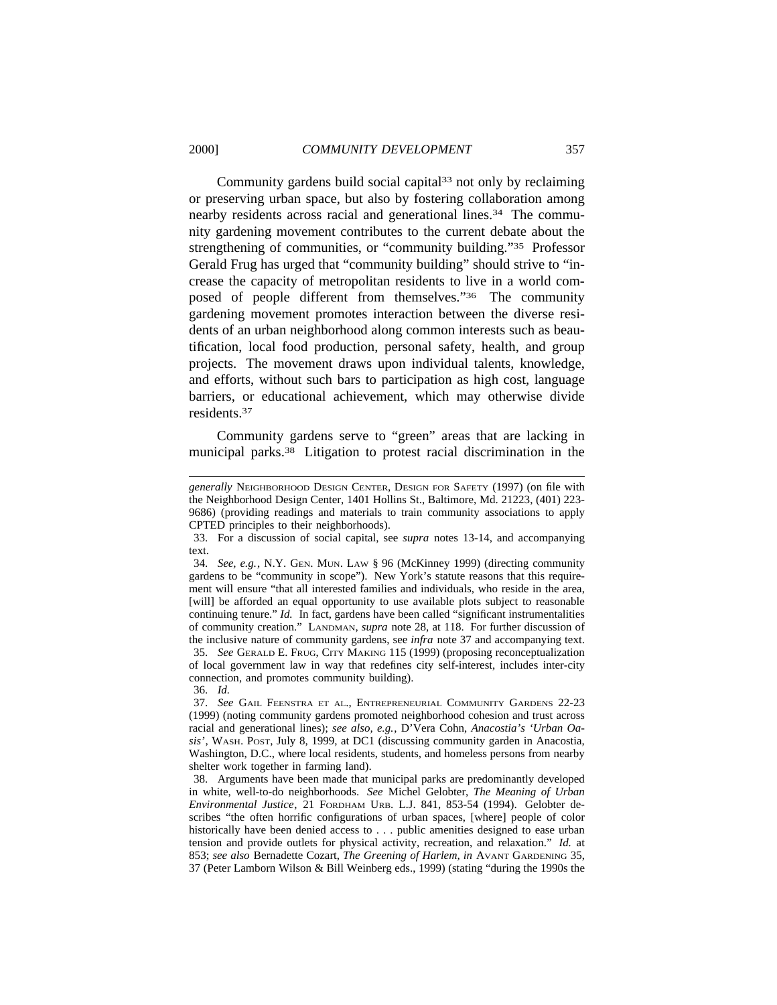Community gardens build social capital $33$  not only by reclaiming or preserving urban space, but also by fostering collaboration among nearby residents across racial and generational lines.<sup>34</sup> The community gardening movement contributes to the current debate about the strengthening of communities, or "community building."35 Professor Gerald Frug has urged that "community building" should strive to "increase the capacity of metropolitan residents to live in a world composed of people different from themselves."36 The community gardening movement promotes interaction between the diverse residents of an urban neighborhood along common interests such as beautification, local food production, personal safety, health, and group projects. The movement draws upon individual talents, knowledge, and efforts, without such bars to participation as high cost, language barriers, or educational achievement, which may otherwise divide residents.37

Community gardens serve to "green" areas that are lacking in municipal parks.38 Litigation to protest racial discrimination in the

35. *See* GERALD E. FRUG, CITY MAKING 115 (1999) (proposing reconceptualization of local government law in way that redefines city self-interest, includes inter-city connection, and promotes community building).

*generally* NEIGHBORHOOD DESIGN CENTER, DESIGN FOR SAFETY (1997) (on file with the Neighborhood Design Center, 1401 Hollins St., Baltimore, Md. 21223, (401) 223- 9686) (providing readings and materials to train community associations to apply CPTED principles to their neighborhoods).

<sup>33.</sup> For a discussion of social capital, see *supra* notes 13-14, and accompanying text.

<sup>34.</sup> *See, e.g.*, N.Y. GEN. MUN. LAW § 96 (McKinney 1999) (directing community gardens to be "community in scope"). New York's statute reasons that this requirement will ensure "that all interested families and individuals, who reside in the area, [will] be afforded an equal opportunity to use available plots subject to reasonable continuing tenure." *Id.* In fact, gardens have been called "significant instrumentalities of community creation." LANDMAN, *supra* note 28, at 118. For further discussion of the inclusive nature of community gardens, see *infra* note 37 and accompanying text.

<sup>36.</sup> *Id.*

<sup>37.</sup> *See* GAIL FEENSTRA ET AL., ENTREPRENEURIAL COMMUNITY GARDENS 22-23 (1999) (noting community gardens promoted neighborhood cohesion and trust across racial and generational lines); *see also, e.g.*, D'Vera Cohn, *Anacostia's 'Urban Oasis'*, WASH. POST, July 8, 1999, at DC1 (discussing community garden in Anacostia, Washington, D.C., where local residents, students, and homeless persons from nearby shelter work together in farming land).

<sup>38.</sup> Arguments have been made that municipal parks are predominantly developed in white, well-to-do neighborhoods. *See* Michel Gelobter, *The Meaning of Urban Environmental Justice*, 21 FORDHAM URB. L.J. 841, 853-54 (1994). Gelobter describes "the often horrific configurations of urban spaces, [where] people of color historically have been denied access to . . . public amenities designed to ease urban tension and provide outlets for physical activity, recreation, and relaxation." *Id.* at 853; *see also* Bernadette Cozart, *The Greening of Harlem, in* AVANT GARDENING 35, 37 (Peter Lamborn Wilson & Bill Weinberg eds., 1999) (stating "during the 1990s the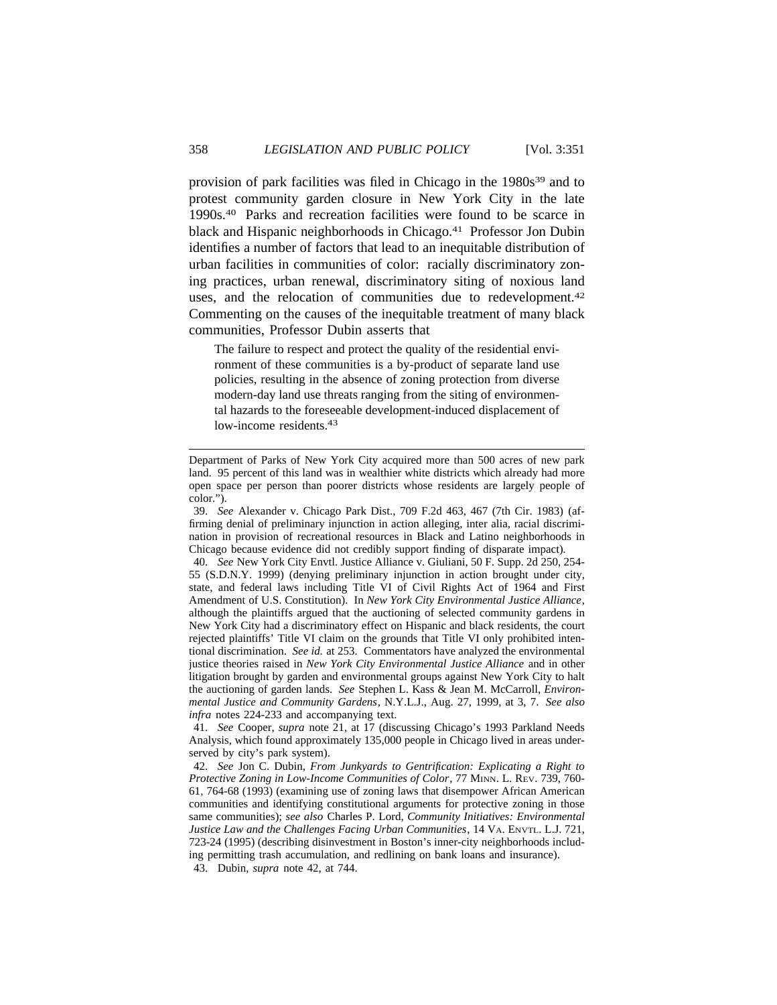provision of park facilities was filed in Chicago in the 1980s<sup>39</sup> and to protest community garden closure in New York City in the late 1990s.40 Parks and recreation facilities were found to be scarce in black and Hispanic neighborhoods in Chicago.<sup>41</sup> Professor Jon Dubin identifies a number of factors that lead to an inequitable distribution of urban facilities in communities of color: racially discriminatory zoning practices, urban renewal, discriminatory siting of noxious land uses, and the relocation of communities due to redevelopment.<sup>42</sup> Commenting on the causes of the inequitable treatment of many black communities, Professor Dubin asserts that

The failure to respect and protect the quality of the residential environment of these communities is a by-product of separate land use policies, resulting in the absence of zoning protection from diverse modern-day land use threats ranging from the siting of environmental hazards to the foreseeable development-induced displacement of low-income residents.<sup>43</sup>

40. *See* New York City Envtl. Justice Alliance v. Giuliani, 50 F. Supp. 2d 250, 254- 55 (S.D.N.Y. 1999) (denying preliminary injunction in action brought under city, state, and federal laws including Title VI of Civil Rights Act of 1964 and First Amendment of U.S. Constitution). In *New York City Environmental Justice Alliance*, although the plaintiffs argued that the auctioning of selected community gardens in New York City had a discriminatory effect on Hispanic and black residents, the court rejected plaintiffs' Title VI claim on the grounds that Title VI only prohibited intentional discrimination. *See id.* at 253. Commentators have analyzed the environmental justice theories raised in *New York City Environmental Justice Alliance* and in other litigation brought by garden and environmental groups against New York City to halt the auctioning of garden lands. *See* Stephen L. Kass & Jean M. McCarroll, *Environmental Justice and Community Gardens*, N.Y.L.J., Aug. 27, 1999, at 3, 7. *See also infra* notes 224-233 and accompanying text.

41. *See* Cooper, *supra* note 21, at 17 (discussing Chicago's 1993 Parkland Needs Analysis, which found approximately 135,000 people in Chicago lived in areas underserved by city's park system).

42. *See* Jon C. Dubin, *From Junkyards to Gentrification: Explicating a Right to Protective Zoning in Low-Income Communities of Color*, 77 MINN. L. REV. 739, 760- 61, 764-68 (1993) (examining use of zoning laws that disempower African American communities and identifying constitutional arguments for protective zoning in those same communities); *see also* Charles P. Lord, *Community Initiatives: Environmental Justice Law and the Challenges Facing Urban Communities*, 14 VA. ENVTL. L.J. 721, 723-24 (1995) (describing disinvestment in Boston's inner-city neighborhoods including permitting trash accumulation, and redlining on bank loans and insurance).

43. Dubin, *supra* note 42, at 744.

Department of Parks of New York City acquired more than 500 acres of new park land. 95 percent of this land was in wealthier white districts which already had more open space per person than poorer districts whose residents are largely people of color.").

<sup>39.</sup> *See* Alexander v. Chicago Park Dist., 709 F.2d 463, 467 (7th Cir. 1983) (affirming denial of preliminary injunction in action alleging, inter alia, racial discrimination in provision of recreational resources in Black and Latino neighborhoods in Chicago because evidence did not credibly support finding of disparate impact)*.*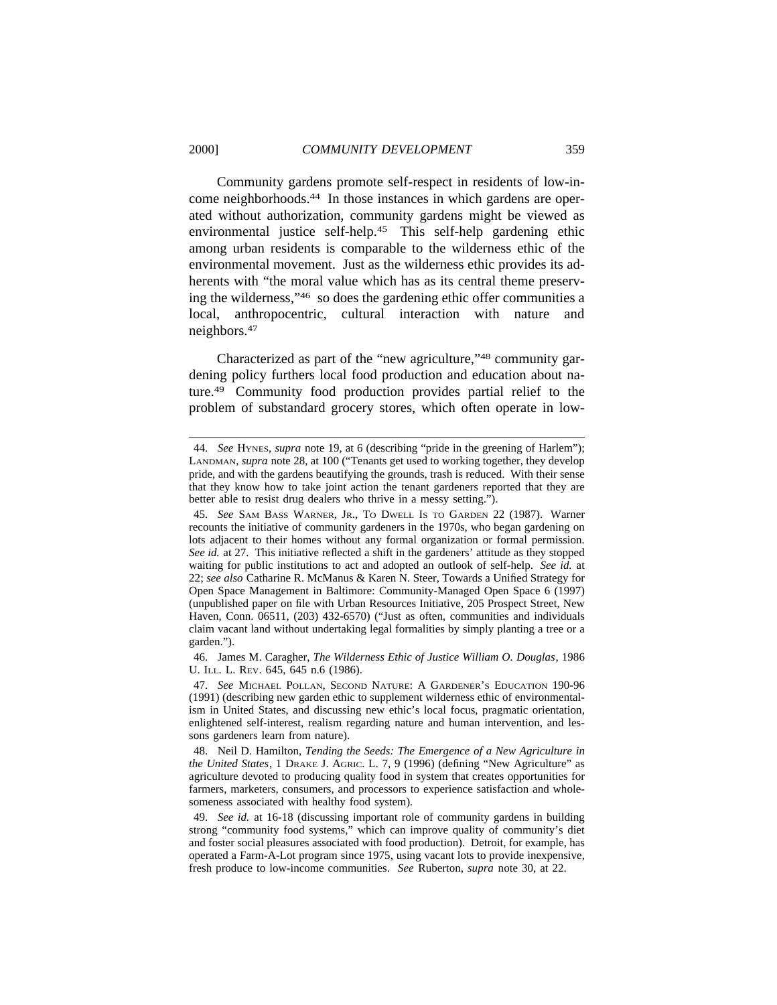Community gardens promote self-respect in residents of low-income neighborhoods.44 In those instances in which gardens are operated without authorization, community gardens might be viewed as environmental justice self-help.45 This self-help gardening ethic among urban residents is comparable to the wilderness ethic of the environmental movement. Just as the wilderness ethic provides its adherents with "the moral value which has as its central theme preserving the wilderness,"46 so does the gardening ethic offer communities a local, anthropocentric, cultural interaction with nature and neighbors.47

Characterized as part of the "new agriculture,"48 community gardening policy furthers local food production and education about nature.49 Community food production provides partial relief to the problem of substandard grocery stores, which often operate in low-

46. James M. Caragher, *The Wilderness Ethic of Justice William O. Douglas*, 1986 U. ILL. L. REV. 645, 645 n.6 (1986).

47. *See* MICHAEL POLLAN, SECOND NATURE: A GARDENER'S EDUCATION 190-96 (1991) (describing new garden ethic to supplement wilderness ethic of environmentalism in United States, and discussing new ethic's local focus, pragmatic orientation, enlightened self-interest, realism regarding nature and human intervention, and lessons gardeners learn from nature).

<sup>44.</sup> *See* HYNES, *supra* note 19, at 6 (describing "pride in the greening of Harlem"); LANDMAN, *supra* note 28, at 100 ("Tenants get used to working together, they develop pride, and with the gardens beautifying the grounds, trash is reduced. With their sense that they know how to take joint action the tenant gardeners reported that they are better able to resist drug dealers who thrive in a messy setting.").

<sup>45.</sup> *See* SAM BASS WARNER, JR., TO DWELL IS TO GARDEN 22 (1987). Warner recounts the initiative of community gardeners in the 1970s, who began gardening on lots adjacent to their homes without any formal organization or formal permission. *See id.* at 27. This initiative reflected a shift in the gardeners' attitude as they stopped waiting for public institutions to act and adopted an outlook of self-help. *See id.* at 22; *see also* Catharine R. McManus & Karen N. Steer, Towards a Unified Strategy for Open Space Management in Baltimore: Community-Managed Open Space 6 (1997) (unpublished paper on file with Urban Resources Initiative, 205 Prospect Street, New Haven, Conn. 06511, (203) 432-6570) ("Just as often, communities and individuals claim vacant land without undertaking legal formalities by simply planting a tree or a garden.").

<sup>48.</sup> Neil D. Hamilton, *Tending the Seeds: The Emergence of a New Agriculture in the United States*, 1 DRAKE J. AGRIC. L. 7, 9 (1996) (defining "New Agriculture" as agriculture devoted to producing quality food in system that creates opportunities for farmers, marketers, consumers, and processors to experience satisfaction and wholesomeness associated with healthy food system).

<sup>49.</sup> *See id.* at 16-18 (discussing important role of community gardens in building strong "community food systems," which can improve quality of community's diet and foster social pleasures associated with food production). Detroit, for example, has operated a Farm-A-Lot program since 1975, using vacant lots to provide inexpensive, fresh produce to low-income communities. *See* Ruberton, *supra* note 30, at 22.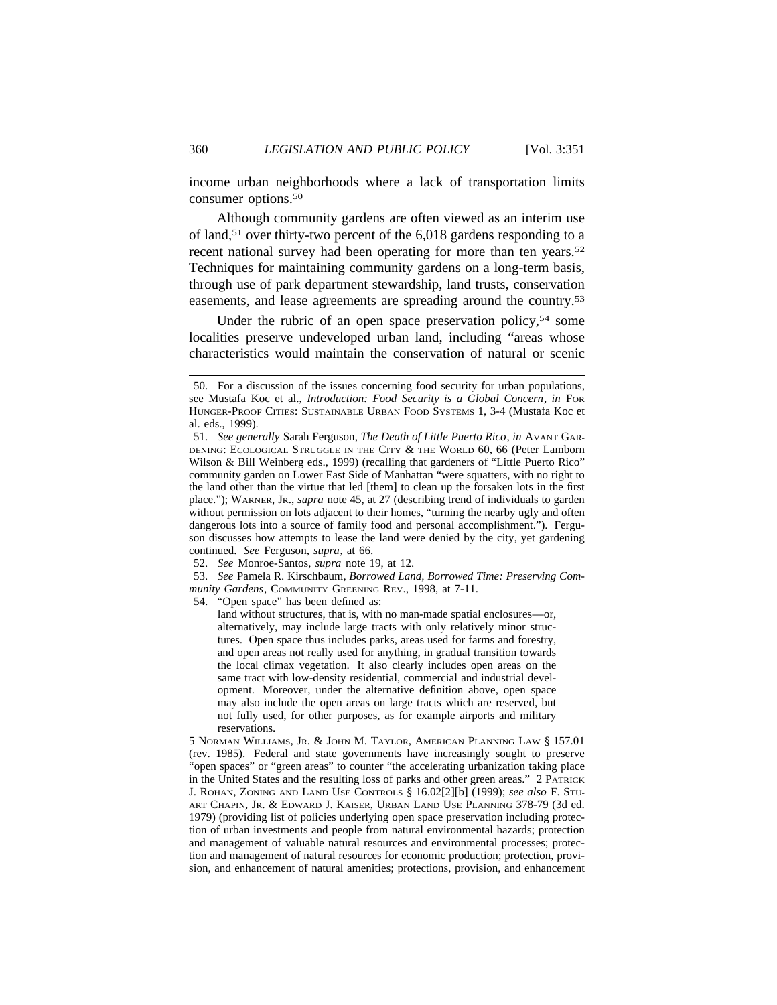income urban neighborhoods where a lack of transportation limits consumer options.50

Although community gardens are often viewed as an interim use of land,51 over thirty-two percent of the 6,018 gardens responding to a recent national survey had been operating for more than ten years.<sup>52</sup> Techniques for maintaining community gardens on a long-term basis, through use of park department stewardship, land trusts, conservation easements, and lease agreements are spreading around the country.53

Under the rubric of an open space preservation policy,<sup>54</sup> some localities preserve undeveloped urban land, including "areas whose characteristics would maintain the conservation of natural or scenic

52. *See* Monroe-Santos, *supra* note 19, at 12.

53. *See* Pamela R. Kirschbaum, *Borrowed Land, Borrowed Time: Preserving Community Gardens*, COMMUNITY GREENING REV., 1998, at 7-11.

54. "Open space" has been defined as:

land without structures, that is, with no man-made spatial enclosures—or, alternatively, may include large tracts with only relatively minor structures. Open space thus includes parks, areas used for farms and forestry, and open areas not really used for anything, in gradual transition towards the local climax vegetation. It also clearly includes open areas on the same tract with low-density residential, commercial and industrial development. Moreover, under the alternative definition above, open space may also include the open areas on large tracts which are reserved, but not fully used, for other purposes, as for example airports and military reservations.

5 NORMAN WILLIAMS, JR. & JOHN M. TAYLOR, AMERICAN PLANNING LAW § 157.01 (rev. 1985). Federal and state governments have increasingly sought to preserve "open spaces" or "green areas" to counter "the accelerating urbanization taking place in the United States and the resulting loss of parks and other green areas." 2 PATRICK J. ROHAN, ZONING AND LAND USE CONTROLS § 16.02[2][b] (1999); *see also* F. STU-ART CHAPIN, JR. & EDWARD J. KAISER, URBAN LAND USE PLANNING 378-79 (3d ed. 1979) (providing list of policies underlying open space preservation including protection of urban investments and people from natural environmental hazards; protection and management of valuable natural resources and environmental processes; protection and management of natural resources for economic production; protection, provision, and enhancement of natural amenities; protections, provision, and enhancement

<sup>50.</sup> For a discussion of the issues concerning food security for urban populations, see Mustafa Koc et al., *Introduction: Food Security is a Global Concern*, *in* FOR HUNGER-PROOF CITIES: SUSTAINABLE URBAN FOOD SYSTEMS 1, 3-4 (Mustafa Koc et al. eds., 1999).

<sup>51.</sup> *See generally* Sarah Ferguson, *The Death of Little Puerto Rico*, *in* AVANT GAR-DENING: ECOLOGICAL STRUGGLE IN THE CITY & THE WORLD 60, 66 (Peter Lamborn Wilson & Bill Weinberg eds., 1999) (recalling that gardeners of "Little Puerto Rico" community garden on Lower East Side of Manhattan "were squatters, with no right to the land other than the virtue that led [them] to clean up the forsaken lots in the first place."); WARNER, JR., *supra* note 45, at 27 (describing trend of individuals to garden without permission on lots adjacent to their homes, "turning the nearby ugly and often dangerous lots into a source of family food and personal accomplishment."). Ferguson discusses how attempts to lease the land were denied by the city, yet gardening continued. *See* Ferguson, *supra*, at 66.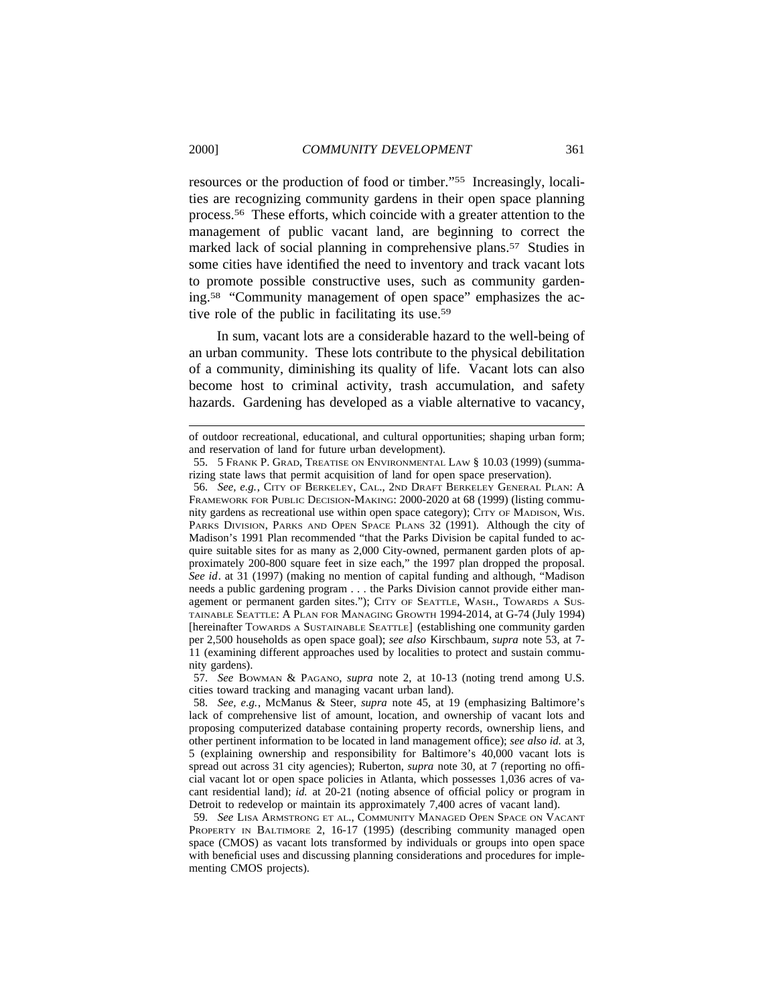resources or the production of food or timber."55 Increasingly, localities are recognizing community gardens in their open space planning process.56 These efforts, which coincide with a greater attention to the management of public vacant land, are beginning to correct the marked lack of social planning in comprehensive plans.57 Studies in some cities have identified the need to inventory and track vacant lots to promote possible constructive uses, such as community gardening.58 "Community management of open space" emphasizes the active role of the public in facilitating its use.59

In sum, vacant lots are a considerable hazard to the well-being of an urban community. These lots contribute to the physical debilitation of a community, diminishing its quality of life. Vacant lots can also become host to criminal activity, trash accumulation, and safety hazards. Gardening has developed as a viable alternative to vacancy,

56. *See, e.g.*, CITY OF BERKELEY, CAL., 2ND DRAFT BERKELEY GENERAL PLAN: A FRAMEWORK FOR PUBLIC DECISION-MAKING: 2000-2020 at 68 (1999) (listing community gardens as recreational use within open space category); CITY OF MADISON, WIS. PARKS DIVISION, PARKS AND OPEN SPACE PLANS 32 (1991). Although the city of Madison's 1991 Plan recommended "that the Parks Division be capital funded to acquire suitable sites for as many as 2,000 City-owned, permanent garden plots of approximately 200-800 square feet in size each," the 1997 plan dropped the proposal. *See id*. at 31 (1997) (making no mention of capital funding and although, "Madison needs a public gardening program . . . the Parks Division cannot provide either management or permanent garden sites."); CITY OF SEATTLE, WASH., TOWARDS A SUS-TAINABLE SEATTLE: A PLAN FOR MANAGING GROWTH 1994-2014, at G-74 (July 1994) [hereinafter TOWARDS A SUSTAINABLE SEATTLE] (establishing one community garden per 2,500 households as open space goal); *see also* Kirschbaum, *supra* note 53, at 7- 11 (examining different approaches used by localities to protect and sustain community gardens).

57. *See* BOWMAN & PAGANO, *supra* note 2, at 10-13 (noting trend among U.S. cities toward tracking and managing vacant urban land).

58. *See, e.g.*, McManus & Steer, *supra* note 45, at 19 (emphasizing Baltimore's lack of comprehensive list of amount, location, and ownership of vacant lots and proposing computerized database containing property records, ownership liens, and other pertinent information to be located in land management office); *see also id.* at 3, 5 (explaining ownership and responsibility for Baltimore's 40,000 vacant lots is spread out across 31 city agencies); Ruberton, *supra* note 30, at 7 (reporting no official vacant lot or open space policies in Atlanta, which possesses 1,036 acres of vacant residential land); *id.* at 20-21 (noting absence of official policy or program in Detroit to redevelop or maintain its approximately 7,400 acres of vacant land).

59. *See* LISA ARMSTRONG ET AL., COMMUNITY MANAGED OPEN SPACE ON VACANT PROPERTY IN BALTIMORE 2, 16-17 (1995) (describing community managed open space (CMOS) as vacant lots transformed by individuals or groups into open space with beneficial uses and discussing planning considerations and procedures for implementing CMOS projects).

of outdoor recreational, educational, and cultural opportunities; shaping urban form; and reservation of land for future urban development).

<sup>55. 5</sup> FRANK P. GRAD, TREATISE ON ENVIRONMENTAL LAW § 10.03 (1999) (summarizing state laws that permit acquisition of land for open space preservation).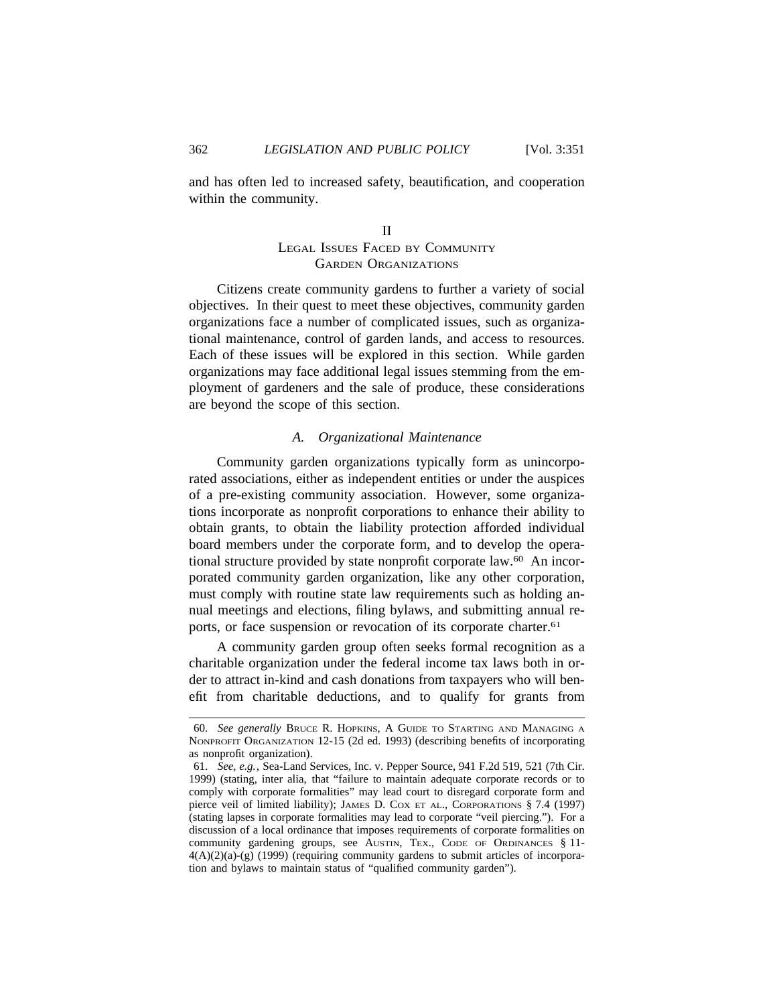and has often led to increased safety, beautification, and cooperation within the community.

# II LEGAL ISSUES FACED BY COMMUNITY GARDEN ORGANIZATIONS

Citizens create community gardens to further a variety of social objectives. In their quest to meet these objectives, community garden organizations face a number of complicated issues, such as organizational maintenance, control of garden lands, and access to resources. Each of these issues will be explored in this section. While garden organizations may face additional legal issues stemming from the employment of gardeners and the sale of produce, these considerations are beyond the scope of this section.

# *A. Organizational Maintenance*

Community garden organizations typically form as unincorporated associations, either as independent entities or under the auspices of a pre-existing community association. However, some organizations incorporate as nonprofit corporations to enhance their ability to obtain grants, to obtain the liability protection afforded individual board members under the corporate form, and to develop the operational structure provided by state nonprofit corporate law.60 An incorporated community garden organization, like any other corporation, must comply with routine state law requirements such as holding annual meetings and elections, filing bylaws, and submitting annual reports, or face suspension or revocation of its corporate charter.<sup>61</sup>

A community garden group often seeks formal recognition as a charitable organization under the federal income tax laws both in order to attract in-kind and cash donations from taxpayers who will benefit from charitable deductions, and to qualify for grants from

<sup>60.</sup> *See generally* BRUCE R. HOPKINS, A GUIDE TO STARTING AND MANAGING A NONPROFIT ORGANIZATION 12-15 (2d ed. 1993) (describing benefits of incorporating as nonprofit organization).

<sup>61.</sup> *See, e.g.*, Sea-Land Services, Inc. v. Pepper Source, 941 F.2d 519, 521 (7th Cir. 1999) (stating, inter alia, that "failure to maintain adequate corporate records or to comply with corporate formalities" may lead court to disregard corporate form and pierce veil of limited liability); JAMES D. COX ET AL., CORPORATIONS § 7.4 (1997) (stating lapses in corporate formalities may lead to corporate "veil piercing."). For a discussion of a local ordinance that imposes requirements of corporate formalities on community gardening groups, see AUSTIN, TEX., CODE OF ORDINANCES § 11- $4(A)(2)(a)-(g)$  (1999) (requiring community gardens to submit articles of incorporation and bylaws to maintain status of "qualified community garden").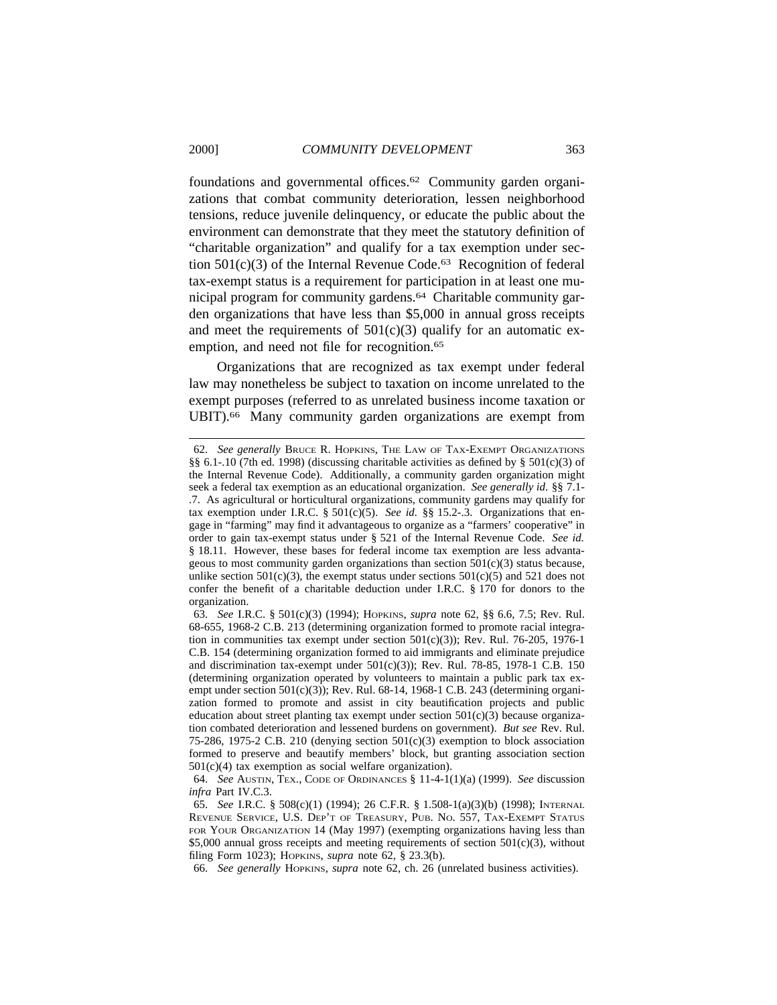foundations and governmental offices.62 Community garden organizations that combat community deterioration, lessen neighborhood tensions, reduce juvenile delinquency, or educate the public about the environment can demonstrate that they meet the statutory definition of "charitable organization" and qualify for a tax exemption under section  $501(c)(3)$  of the Internal Revenue Code.<sup>63</sup> Recognition of federal tax-exempt status is a requirement for participation in at least one municipal program for community gardens.64 Charitable community garden organizations that have less than \$5,000 in annual gross receipts and meet the requirements of  $501(c)(3)$  qualify for an automatic exemption, and need not file for recognition.<sup>65</sup>

Organizations that are recognized as tax exempt under federal law may nonetheless be subject to taxation on income unrelated to the exempt purposes (referred to as unrelated business income taxation or UBIT).<sup>66</sup> Many community garden organizations are exempt from

66. *See generally* HOPKINS, *supra* note 62, ch. 26 (unrelated business activities).

<sup>62.</sup> *See generally* BRUCE R. HOPKINS, THE LAW OF TAX-EXEMPT ORGANIZATIONS §§ 6.1-.10 (7th ed. 1998) (discussing charitable activities as defined by § 501(c)(3) of the Internal Revenue Code). Additionally, a community garden organization might seek a federal tax exemption as an educational organization. *See generally id*. §§ 7.1- .7. As agricultural or horticultural organizations, community gardens may qualify for tax exemption under I.R.C.  $\S 501(c)(5)$ . *See id.*  $\S \ S 15.2-3$ . Organizations that engage in "farming" may find it advantageous to organize as a "farmers' cooperative" in order to gain tax-exempt status under § 521 of the Internal Revenue Code. *See id.* § 18.11. However, these bases for federal income tax exemption are less advantageous to most community garden organizations than section  $501(c)(3)$  status because, unlike section  $501(c)(3)$ , the exempt status under sections  $501(c)(5)$  and  $521$  does not confer the benefit of a charitable deduction under I.R.C. § 170 for donors to the organization.

<sup>63.</sup> *See* I.R.C. § 501(c)(3) (1994); HOPKINS, *supra* note 62, §§ 6.6, 7.5; Rev. Rul. 68-655, 1968-2 C.B. 213 (determining organization formed to promote racial integration in communities tax exempt under section  $501(c)(3)$ ; Rev. Rul. 76-205, 1976-1 C.B. 154 (determining organization formed to aid immigrants and eliminate prejudice and discrimination tax-exempt under  $501(c)(3)$ ; Rev. Rul. 78-85, 1978-1 C.B. 150 (determining organization operated by volunteers to maintain a public park tax exempt under section 501(c)(3)); Rev. Rul. 68-14, 1968-1 C.B. 243 (determining organization formed to promote and assist in city beautification projects and public education about street planting tax exempt under section 501(c)(3) because organization combated deterioration and lessened burdens on government). *But see* Rev. Rul. 75-286, 1975-2 C.B. 210 (denying section  $501(c)(3)$  exemption to block association formed to preserve and beautify members' block, but granting association section  $501(c)(4)$  tax exemption as social welfare organization).

<sup>64.</sup> *See* AUSTIN, TEX., CODE OF ORDINANCES § 11-4-1(1)(a) (1999). *See* discussion *infra* Part IV.C.3.

<sup>65.</sup> *See* I.R.C. § 508(c)(1) (1994); 26 C.F.R. § 1.508-1(a)(3)(b) (1998); INTERNAL REVENUE SERVICE, U.S. DEP'T OF TREASURY, PUB. NO. 557, TAX-EXEMPT STATUS FOR YOUR ORGANIZATION 14 (May 1997) (exempting organizations having less than  $$5,000$  annual gross receipts and meeting requirements of section  $501(c)(3)$ , without filing Form 1023); HOPKINS, *supra* note 62, § 23.3(b).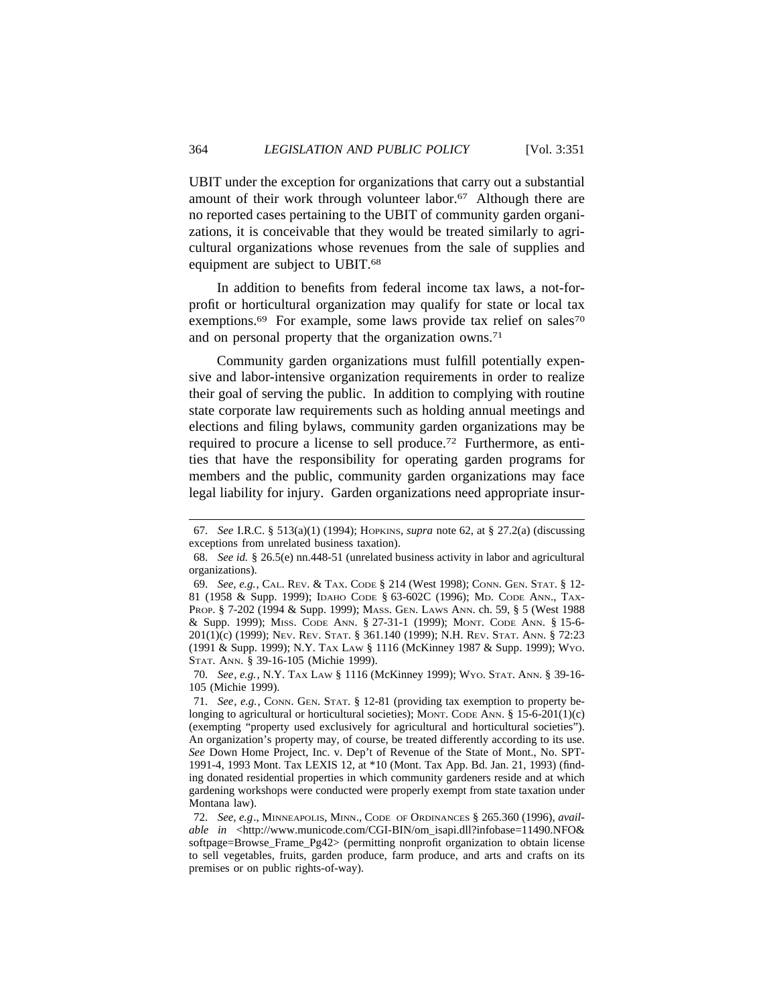UBIT under the exception for organizations that carry out a substantial amount of their work through volunteer labor.<sup>67</sup> Although there are no reported cases pertaining to the UBIT of community garden organizations, it is conceivable that they would be treated similarly to agricultural organizations whose revenues from the sale of supplies and equipment are subject to UBIT.68

In addition to benefits from federal income tax laws, a not-forprofit or horticultural organization may qualify for state or local tax exemptions.<sup>69</sup> For example, some laws provide tax relief on sales<sup>70</sup> and on personal property that the organization owns.71

Community garden organizations must fulfill potentially expensive and labor-intensive organization requirements in order to realize their goal of serving the public. In addition to complying with routine state corporate law requirements such as holding annual meetings and elections and filing bylaws, community garden organizations may be required to procure a license to sell produce.72 Furthermore, as entities that have the responsibility for operating garden programs for members and the public, community garden organizations may face legal liability for injury. Garden organizations need appropriate insur-

70. *See*, *e.g.*, N.Y. TAX LAW § 1116 (McKinney 1999); WYO. STAT. ANN. § 39-16- 105 (Michie 1999).

<sup>67.</sup> *See* I.R.C. § 513(a)(1) (1994); HOPKINS, *supra* note 62, at § 27.2(a) (discussing exceptions from unrelated business taxation).

<sup>68.</sup> *See id.* § 26.5(e) nn.448-51 (unrelated business activity in labor and agricultural organizations).

<sup>69.</sup> *See, e.g.*, CAL. REV. & TAX. CODE § 214 (West 1998); CONN. GEN. STAT. § 12- 81 (1958 & Supp. 1999); IDAHO CODE § 63-602C (1996); MD. CODE ANN., TAX-PROP. § 7-202 (1994 & Supp. 1999); MASS. GEN. LAWS ANN. ch. 59, § 5 (West 1988 & Supp. 1999); MISS. CODE ANN. § 27-31-1 (1999); MONT. CODE ANN. § 15-6- 201(1)(c) (1999); NEV. REV. STAT. § 361.140 (1999); N.H. REV. STAT. ANN. § 72:23 (1991 & Supp. 1999); N.Y. TAX LAW § 1116 (McKinney 1987 & Supp. 1999); WYO. STAT. ANN. § 39-16-105 (Michie 1999).

<sup>71.</sup> *See*, *e.g.*, CONN. GEN. STAT. § 12-81 (providing tax exemption to property belonging to agricultural or horticultural societies); MONT. CODE ANN.  $\S$  15-6-201(1)(c) (exempting "property used exclusively for agricultural and horticultural societies"). An organization's property may, of course, be treated differently according to its use. *See* Down Home Project, Inc. v. Dep't of Revenue of the State of Mont., No. SPT-1991-4, 1993 Mont. Tax LEXIS 12, at \*10 (Mont. Tax App. Bd. Jan. 21, 1993) (finding donated residential properties in which community gardeners reside and at which gardening workshops were conducted were properly exempt from state taxation under Montana law).

<sup>72.</sup> *See, e.g*., MINNEAPOLIS, MINN., CODE OF ORDINANCES § 265.360 (1996), *available in* <http://www.municode.com/CGI-BIN/om\_isapi.dll?infobase=11490.NFO& softpage=Browse\_Frame\_Pg42> (permitting nonprofit organization to obtain license to sell vegetables, fruits, garden produce, farm produce, and arts and crafts on its premises or on public rights-of-way).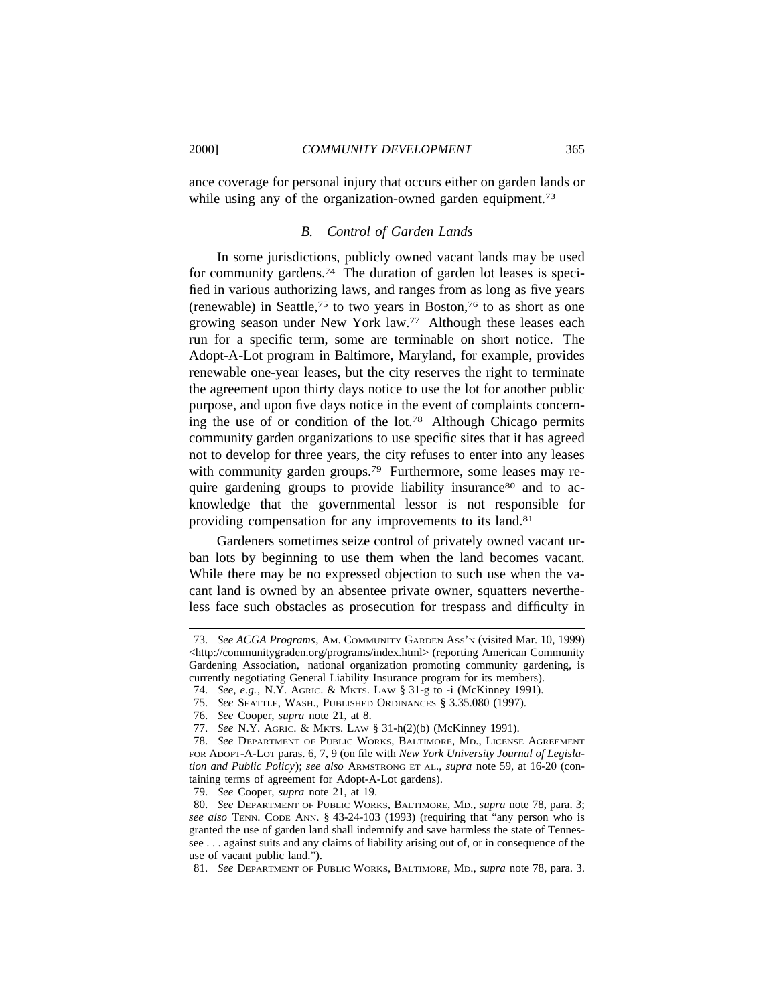ance coverage for personal injury that occurs either on garden lands or while using any of the organization-owned garden equipment.<sup>73</sup>

## *B. Control of Garden Lands*

In some jurisdictions, publicly owned vacant lands may be used for community gardens.74 The duration of garden lot leases is specified in various authorizing laws, and ranges from as long as five years (renewable) in Seattle,<sup>75</sup> to two years in Boston,<sup>76</sup> to as short as one growing season under New York law.77 Although these leases each run for a specific term, some are terminable on short notice. The Adopt-A-Lot program in Baltimore, Maryland, for example, provides renewable one-year leases, but the city reserves the right to terminate the agreement upon thirty days notice to use the lot for another public purpose, and upon five days notice in the event of complaints concerning the use of or condition of the lot.78 Although Chicago permits community garden organizations to use specific sites that it has agreed not to develop for three years, the city refuses to enter into any leases with community garden groups.<sup>79</sup> Furthermore, some leases may require gardening groups to provide liability insurance<sup>80</sup> and to acknowledge that the governmental lessor is not responsible for providing compensation for any improvements to its land.81

Gardeners sometimes seize control of privately owned vacant urban lots by beginning to use them when the land becomes vacant. While there may be no expressed objection to such use when the vacant land is owned by an absentee private owner, squatters nevertheless face such obstacles as prosecution for trespass and difficulty in

79. *See* Cooper, *supra* note 21, at 19.

81. *See* DEPARTMENT OF PUBLIC WORKS, BALTIMORE, MD., *supra* note 78, para. 3.

<sup>73.</sup> *See ACGA Programs*, AM. COMMUNITY GARDEN ASS'N (visited Mar. 10, 1999) <http://communitygraden.org/programs/index.html> (reporting American Community Gardening Association, national organization promoting community gardening, is currently negotiating General Liability Insurance program for its members).

<sup>74.</sup> *See, e.g.*, N.Y. AGRIC. & MKTS. LAW § 31-g to -i (McKinney 1991).

<sup>75.</sup> *See* SEATTLE, WASH., PUBLISHED ORDINANCES § 3.35.080 (1997).

<sup>76.</sup> *See* Cooper, *supra* note 21, at 8.

<sup>77.</sup> *See* N.Y. AGRIC. & MKTS. LAW § 31-h(2)(b) (McKinney 1991).

<sup>78.</sup> *See* DEPARTMENT OF PUBLIC WORKS, BALTIMORE, MD., LICENSE AGREEMENT FOR ADOPT-A-LOT paras. 6, 7, 9 (on file with *New York University Journal of Legislation and Public Policy*); *see also* ARMSTRONG ET AL., *supra* note 59, at 16-20 (containing terms of agreement for Adopt-A-Lot gardens).

<sup>80.</sup> *See* DEPARTMENT OF PUBLIC WORKS, BALTIMORE, MD., *supra* note 78, para. 3; *see also* TENN. CODE ANN. § 43-24-103 (1993) (requiring that "any person who is granted the use of garden land shall indemnify and save harmless the state of Tennessee . . . against suits and any claims of liability arising out of, or in consequence of the use of vacant public land.").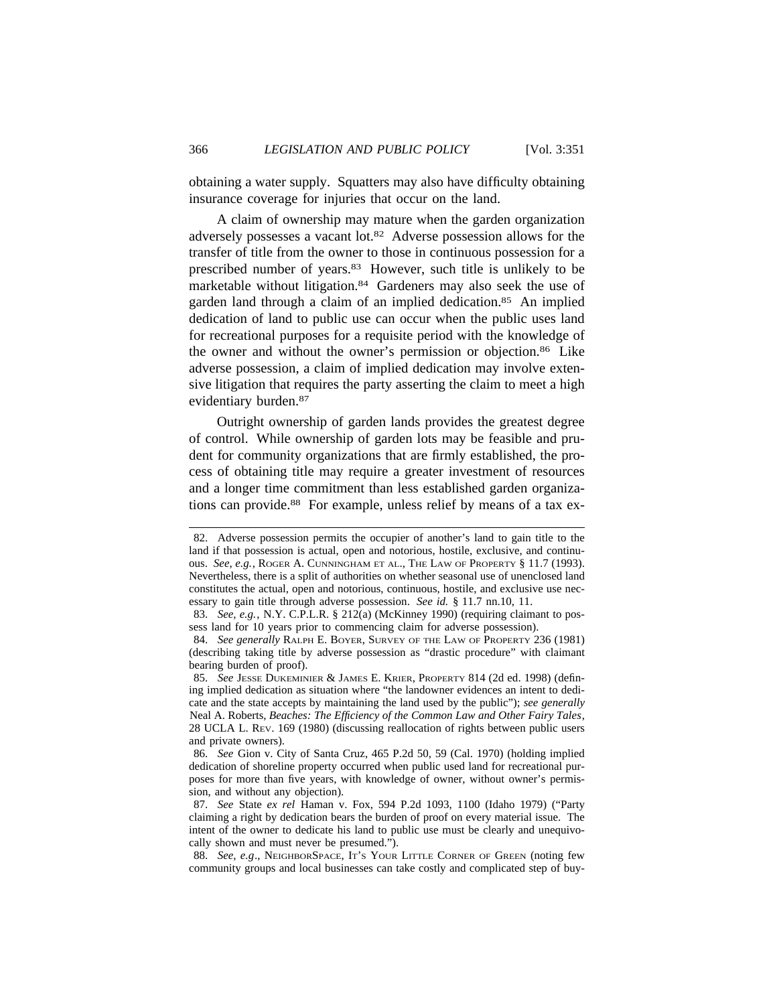obtaining a water supply. Squatters may also have difficulty obtaining insurance coverage for injuries that occur on the land.

A claim of ownership may mature when the garden organization adversely possesses a vacant lot.82 Adverse possession allows for the transfer of title from the owner to those in continuous possession for a prescribed number of years.83 However, such title is unlikely to be marketable without litigation.84 Gardeners may also seek the use of garden land through a claim of an implied dedication.85 An implied dedication of land to public use can occur when the public uses land for recreational purposes for a requisite period with the knowledge of the owner and without the owner's permission or objection.86 Like adverse possession, a claim of implied dedication may involve extensive litigation that requires the party asserting the claim to meet a high evidentiary burden.87

Outright ownership of garden lands provides the greatest degree of control. While ownership of garden lots may be feasible and prudent for community organizations that are firmly established, the process of obtaining title may require a greater investment of resources and a longer time commitment than less established garden organizations can provide.88 For example, unless relief by means of a tax ex-

<sup>82.</sup> Adverse possession permits the occupier of another's land to gain title to the land if that possession is actual, open and notorious, hostile, exclusive, and continuous. *See, e.g.*, ROGER A. CUNNINGHAM ET AL., THE LAW OF PROPERTY § 11.7 (1993). Nevertheless, there is a split of authorities on whether seasonal use of unenclosed land constitutes the actual, open and notorious, continuous, hostile, and exclusive use necessary to gain title through adverse possession. *See id.* § 11.7 nn.10, 11.

<sup>83.</sup> *See, e.g.*, N.Y. C.P.L.R. § 212(a) (McKinney 1990) (requiring claimant to possess land for 10 years prior to commencing claim for adverse possession).

<sup>84.</sup> *See generally* RALPH E. BOYER, SURVEY OF THE LAW OF PROPERTY 236 (1981) (describing taking title by adverse possession as "drastic procedure" with claimant bearing burden of proof).

<sup>85.</sup> *See* JESSE DUKEMINIER & JAMES E. KRIER, PROPERTY 814 (2d ed. 1998) (defining implied dedication as situation where "the landowner evidences an intent to dedicate and the state accepts by maintaining the land used by the public"); *see generally* Neal A. Roberts, *Beaches: The Efficiency of the Common Law and Other Fairy Tales*, 28 UCLA L. REV. 169 (1980) (discussing reallocation of rights between public users and private owners).

<sup>86.</sup> *See* Gion v. City of Santa Cruz, 465 P.2d 50, 59 (Cal. 1970) (holding implied dedication of shoreline property occurred when public used land for recreational purposes for more than five years, with knowledge of owner, without owner's permission, and without any objection).

<sup>87.</sup> *See* State *ex rel* Haman v. Fox, 594 P.2d 1093, 1100 (Idaho 1979) ("Party claiming a right by dedication bears the burden of proof on every material issue. The intent of the owner to dedicate his land to public use must be clearly and unequivocally shown and must never be presumed.").

<sup>88.</sup> *See, e.g*., NEIGHBORSPACE, IT'S YOUR LITTLE CORNER OF GREEN (noting few community groups and local businesses can take costly and complicated step of buy-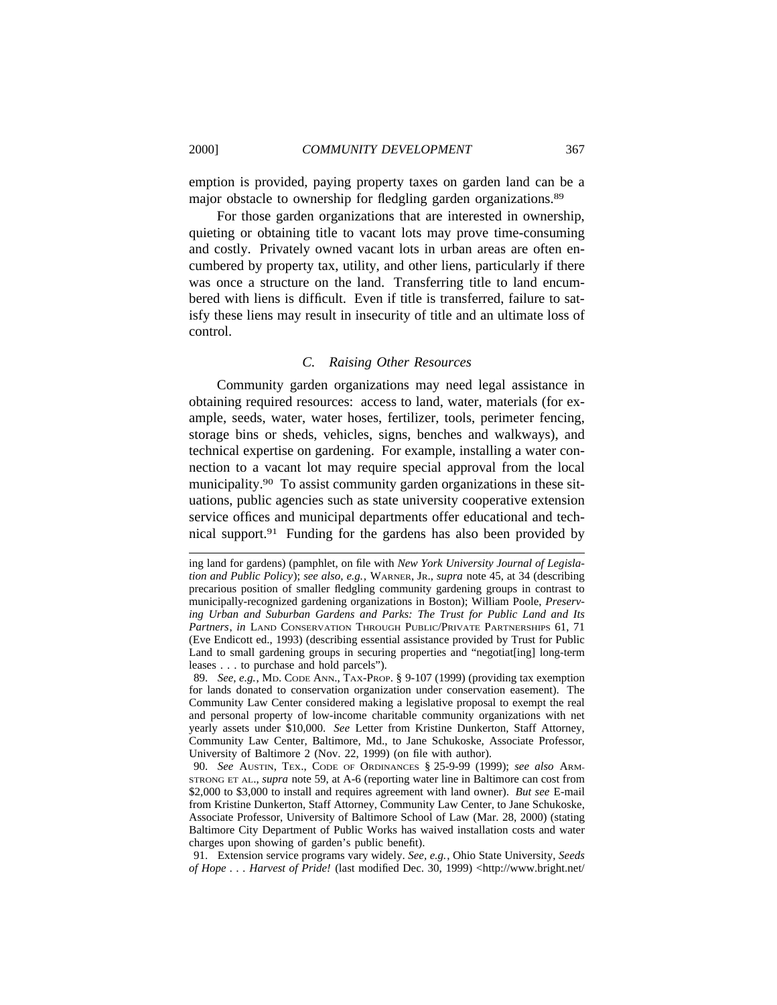emption is provided, paying property taxes on garden land can be a major obstacle to ownership for fledgling garden organizations.89

For those garden organizations that are interested in ownership, quieting or obtaining title to vacant lots may prove time-consuming and costly. Privately owned vacant lots in urban areas are often encumbered by property tax, utility, and other liens, particularly if there was once a structure on the land. Transferring title to land encumbered with liens is difficult. Even if title is transferred, failure to satisfy these liens may result in insecurity of title and an ultimate loss of control.

### *C. Raising Other Resources*

Community garden organizations may need legal assistance in obtaining required resources: access to land, water, materials (for example, seeds, water, water hoses, fertilizer, tools, perimeter fencing, storage bins or sheds, vehicles, signs, benches and walkways), and technical expertise on gardening. For example, installing a water connection to a vacant lot may require special approval from the local municipality.90 To assist community garden organizations in these situations, public agencies such as state university cooperative extension service offices and municipal departments offer educational and technical support.91 Funding for the gardens has also been provided by

89. *See, e.g.*, MD. CODE ANN., TAX-PROP. § 9-107 (1999) (providing tax exemption for lands donated to conservation organization under conservation easement). The Community Law Center considered making a legislative proposal to exempt the real and personal property of low-income charitable community organizations with net yearly assets under \$10,000. *See* Letter from Kristine Dunkerton, Staff Attorney, Community Law Center, Baltimore, Md., to Jane Schukoske, Associate Professor, University of Baltimore 2 (Nov. 22, 1999) (on file with author).

90. *See* AUSTIN, TEX., CODE OF ORDINANCES § 25-9-99 (1999); *see also* ARM-STRONG ET AL., *supra* note 59, at A-6 (reporting water line in Baltimore can cost from \$2,000 to \$3,000 to install and requires agreement with land owner). *But see* E-mail from Kristine Dunkerton, Staff Attorney, Community Law Center, to Jane Schukoske, Associate Professor, University of Baltimore School of Law (Mar. 28, 2000) (stating Baltimore City Department of Public Works has waived installation costs and water charges upon showing of garden's public benefit).

91. Extension service programs vary widely. *See, e.g.*, Ohio State University, *Seeds of Hope . . . Harvest of Pride!* (last modified Dec. 30, 1999) <http://www.bright.net/

ing land for gardens) (pamphlet, on file with *New York University Journal of Legislation and Public Policy*); *see also, e.g.*, WARNER, JR., *supra* note 45, at 34 (describing precarious position of smaller fledgling community gardening groups in contrast to municipally-recognized gardening organizations in Boston); William Poole, *Preserving Urban and Suburban Gardens and Parks: The Trust for Public Land and Its Partners*, *in* LAND CONSERVATION THROUGH PUBLIC/PRIVATE PARTNERSHIPS 61, 71 (Eve Endicott ed., 1993) (describing essential assistance provided by Trust for Public Land to small gardening groups in securing properties and "negotiat[ing] long-term leases . . . to purchase and hold parcels").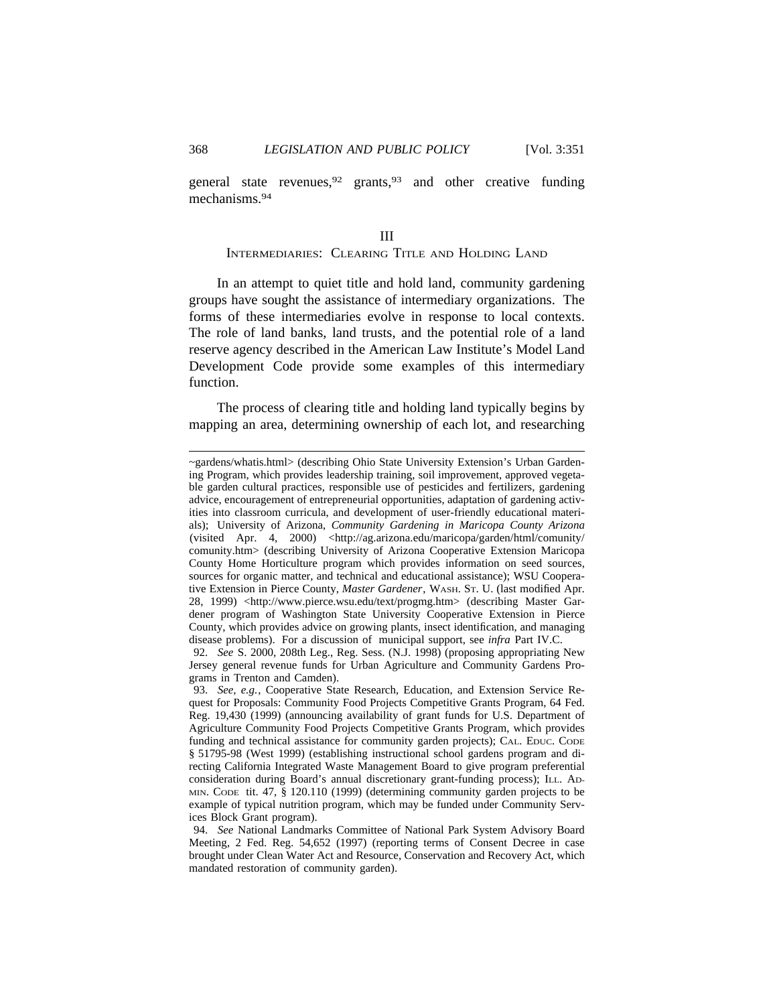general state revenues,  $92$  grants,  $93$  and other creative funding mechanisms.94

# III INTERMEDIARIES: CLEARING TITLE AND HOLDING LAND

In an attempt to quiet title and hold land, community gardening groups have sought the assistance of intermediary organizations. The forms of these intermediaries evolve in response to local contexts. The role of land banks, land trusts, and the potential role of a land reserve agency described in the American Law Institute's Model Land Development Code provide some examples of this intermediary function.

The process of clearing title and holding land typically begins by mapping an area, determining ownership of each lot, and researching

<sup>~</sup>gardens/whatis.html> (describing Ohio State University Extension's Urban Gardening Program, which provides leadership training, soil improvement, approved vegetable garden cultural practices, responsible use of pesticides and fertilizers, gardening advice, encouragement of entrepreneurial opportunities, adaptation of gardening activities into classroom curricula, and development of user-friendly educational materials); University of Arizona, *Community Gardening in Maricopa County Arizona* (visited Apr. 4, 2000) <http://ag.arizona.edu/maricopa/garden/html/comunity/ comunity.htm> (describing University of Arizona Cooperative Extension Maricopa County Home Horticulture program which provides information on seed sources, sources for organic matter, and technical and educational assistance); WSU Cooperative Extension in Pierce County, *Master Gardener*, WASH. ST. U. (last modified Apr. 28, 1999) <http://www.pierce.wsu.edu/text/progmg.htm> (describing Master Gardener program of Washington State University Cooperative Extension in Pierce County, which provides advice on growing plants, insect identification, and managing disease problems). For a discussion of municipal support, see *infra* Part IV.C.

<sup>92.</sup> *See* S. 2000, 208th Leg., Reg. Sess. (N.J. 1998) (proposing appropriating New Jersey general revenue funds for Urban Agriculture and Community Gardens Programs in Trenton and Camden).

<sup>93.</sup> *See, e.g.*, Cooperative State Research, Education, and Extension Service Request for Proposals: Community Food Projects Competitive Grants Program, 64 Fed. Reg. 19,430 (1999) (announcing availability of grant funds for U.S. Department of Agriculture Community Food Projects Competitive Grants Program, which provides funding and technical assistance for community garden projects); CAL. EDUC. CODE § 51795-98 (West 1999) (establishing instructional school gardens program and directing California Integrated Waste Management Board to give program preferential consideration during Board's annual discretionary grant-funding process); ILL. AD-MIN. CODE tit. 47, § 120.110 (1999) (determining community garden projects to be example of typical nutrition program, which may be funded under Community Services Block Grant program).

<sup>94.</sup> *See* National Landmarks Committee of National Park System Advisory Board Meeting, 2 Fed. Reg. 54,652 (1997) (reporting terms of Consent Decree in case brought under Clean Water Act and Resource, Conservation and Recovery Act, which mandated restoration of community garden).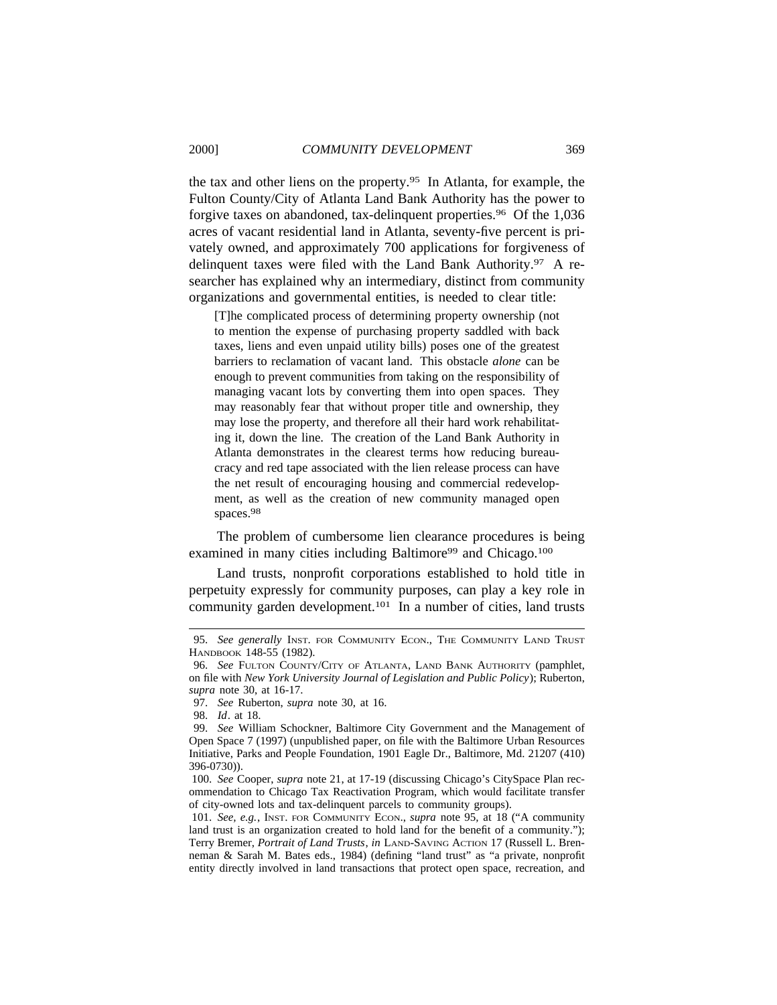the tax and other liens on the property.95 In Atlanta, for example, the Fulton County/City of Atlanta Land Bank Authority has the power to forgive taxes on abandoned, tax-delinquent properties.<sup>96</sup> Of the 1,036 acres of vacant residential land in Atlanta, seventy-five percent is privately owned, and approximately 700 applications for forgiveness of delinquent taxes were filed with the Land Bank Authority.97 A researcher has explained why an intermediary, distinct from community organizations and governmental entities, is needed to clear title:

[T]he complicated process of determining property ownership (not to mention the expense of purchasing property saddled with back taxes, liens and even unpaid utility bills) poses one of the greatest barriers to reclamation of vacant land. This obstacle *alone* can be enough to prevent communities from taking on the responsibility of managing vacant lots by converting them into open spaces. They may reasonably fear that without proper title and ownership, they may lose the property, and therefore all their hard work rehabilitating it, down the line. The creation of the Land Bank Authority in Atlanta demonstrates in the clearest terms how reducing bureaucracy and red tape associated with the lien release process can have the net result of encouraging housing and commercial redevelopment, as well as the creation of new community managed open spaces.<sup>98</sup>

The problem of cumbersome lien clearance procedures is being examined in many cities including Baltimore<sup>99</sup> and Chicago.<sup>100</sup>

Land trusts, nonprofit corporations established to hold title in perpetuity expressly for community purposes, can play a key role in community garden development.<sup>101</sup> In a number of cities, land trusts

<sup>95.</sup> *See generally* INST. FOR COMMUNITY ECON., THE COMMUNITY LAND TRUST HANDBOOK 148-55 (1982).

<sup>96.</sup> *See* FULTON COUNTY/CITY OF ATLANTA, LAND BANK AUTHORITY (pamphlet, on file with *New York University Journal of Legislation and Public Policy*); Ruberton, *supra* note 30, at 16-17.

<sup>97.</sup> *See* Ruberton, *supra* note 30, at 16.

<sup>98.</sup> *Id*. at 18.

<sup>99.</sup> *See* William Schockner, Baltimore City Government and the Management of Open Space 7 (1997) (unpublished paper, on file with the Baltimore Urban Resources Initiative, Parks and People Foundation, 1901 Eagle Dr., Baltimore, Md. 21207 (410) 396-0730)).

<sup>100.</sup> *See* Cooper, *supra* note 21, at 17-19 (discussing Chicago's CitySpace Plan recommendation to Chicago Tax Reactivation Program, which would facilitate transfer of city-owned lots and tax-delinquent parcels to community groups).

<sup>101.</sup> *See, e.g.*, INST. FOR COMMUNITY ECON., *supra* note 95*,* at 18 ("A community land trust is an organization created to hold land for the benefit of a community."); Terry Bremer, *Portrait of Land Trusts*, *in* LAND-SAVING ACTION 17 (Russell L. Brenneman & Sarah M. Bates eds., 1984) (defining "land trust" as "a private, nonprofit entity directly involved in land transactions that protect open space, recreation, and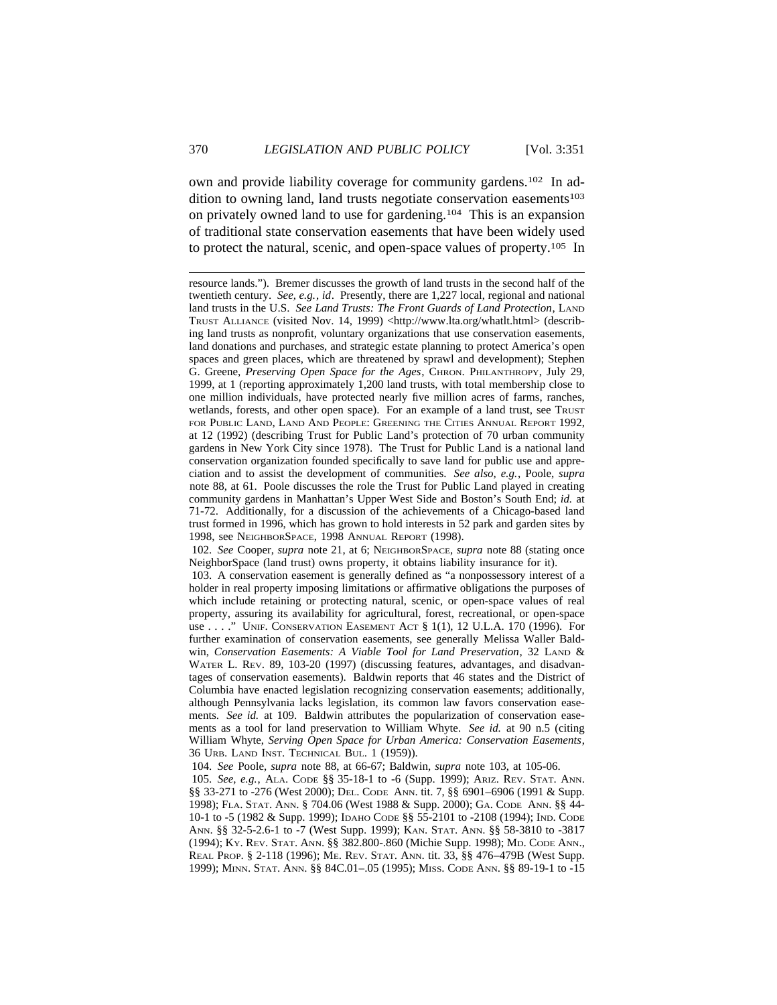own and provide liability coverage for community gardens.102 In addition to owning land, land trusts negotiate conservation easements $103$ on privately owned land to use for gardening.104 This is an expansion of traditional state conservation easements that have been widely used to protect the natural, scenic, and open-space values of property.105 In

resource lands."). Bremer discusses the growth of land trusts in the second half of the twentieth century. *See, e.g.*, *id*. Presently, there are 1,227 local, regional and national land trusts in the U.S. *See Land Trusts: The Front Guards of Land Protection*, LAND TRUST ALLIANCE (visited Nov. 14, 1999) <http://www.lta.org/whatlt.html> (describing land trusts as nonprofit, voluntary organizations that use conservation easements, land donations and purchases, and strategic estate planning to protect America's open spaces and green places, which are threatened by sprawl and development); Stephen G. Greene, *Preserving Open Space for the Ages*, CHRON. PHILANTHROPY, July 29, 1999, at 1 (reporting approximately 1,200 land trusts, with total membership close to one million individuals, have protected nearly five million acres of farms, ranches, wetlands, forests, and other open space). For an example of a land trust, see TRUST FOR PUBLIC LAND, LAND AND PEOPLE: GREENING THE CITIES ANNUAL REPORT 1992, at 12 (1992) (describing Trust for Public Land's protection of 70 urban community gardens in New York City since 1978). The Trust for Public Land is a national land conservation organization founded specifically to save land for public use and appreciation and to assist the development of communities. *See also, e.g.*, Poole, *supra* note 88, at 61. Poole discusses the role the Trust for Public Land played in creating community gardens in Manhattan's Upper West Side and Boston's South End; *id.* at 71-72. Additionally, for a discussion of the achievements of a Chicago-based land trust formed in 1996, which has grown to hold interests in 52 park and garden sites by 1998, see NEIGHBORSPACE, 1998 ANNUAL REPORT (1998).

102. *See* Cooper, *supra* note 21, at 6; NEIGHBORSPACE, *supra* note 88 (stating once NeighborSpace (land trust) owns property, it obtains liability insurance for it).

103. A conservation easement is generally defined as "a nonpossessory interest of a holder in real property imposing limitations or affirmative obligations the purposes of which include retaining or protecting natural, scenic, or open-space values of real property, assuring its availability for agricultural, forest, recreational, or open-space use . . . ." UNIF. CONSERVATION EASEMENT ACT § 1(1), 12 U.L.A. 170 (1996). For further examination of conservation easements, see generally Melissa Waller Baldwin, *Conservation Easements: A Viable Tool for Land Preservation*, 32 LAND & WATER L. REV. 89, 103-20 (1997) (discussing features, advantages, and disadvantages of conservation easements). Baldwin reports that 46 states and the District of Columbia have enacted legislation recognizing conservation easements; additionally, although Pennsylvania lacks legislation, its common law favors conservation easements. *See id.* at 109. Baldwin attributes the popularization of conservation easements as a tool for land preservation to William Whyte. *See id.* at 90 n.5 (citing William Whyte, *Serving Open Space for Urban America: Conservation Easements*, 36 URB. LAND INST. TECHNICAL BUL. 1 (1959)).

104. *See* Poole, *supra* note 88, at 66-67; Baldwin, *supra* note 103, at 105-06.

105. *See, e.g.*, ALA. CODE §§ 35-18-1 to -6 (Supp. 1999); ARIZ. REV. STAT. ANN. §§ 33-271 to -276 (West 2000); DEL. CODE ANN. tit. 7, §§ 6901–6906 (1991 & Supp. 1998); FLA. STAT. ANN. § 704.06 (West 1988 & Supp. 2000); GA. CODE ANN. §§ 44- 10-1 to -5 (1982 & Supp. 1999); IDAHO CODE §§ 55-2101 to -2108 (1994); IND. CODE ANN. §§ 32-5-2.6-1 to -7 (West Supp. 1999); KAN. STAT. ANN. §§ 58-3810 to -3817 (1994); KY. REV. STAT. ANN. §§ 382.800-.860 (Michie Supp. 1998); MD. CODE ANN., REAL PROP. § 2-118 (1996); ME. REV. STAT. ANN. tit. 33, §§ 476–479B (West Supp. 1999); MINN. STAT. ANN. §§ 84C.01–.05 (1995); MISS. CODE ANN. §§ 89-19-1 to -15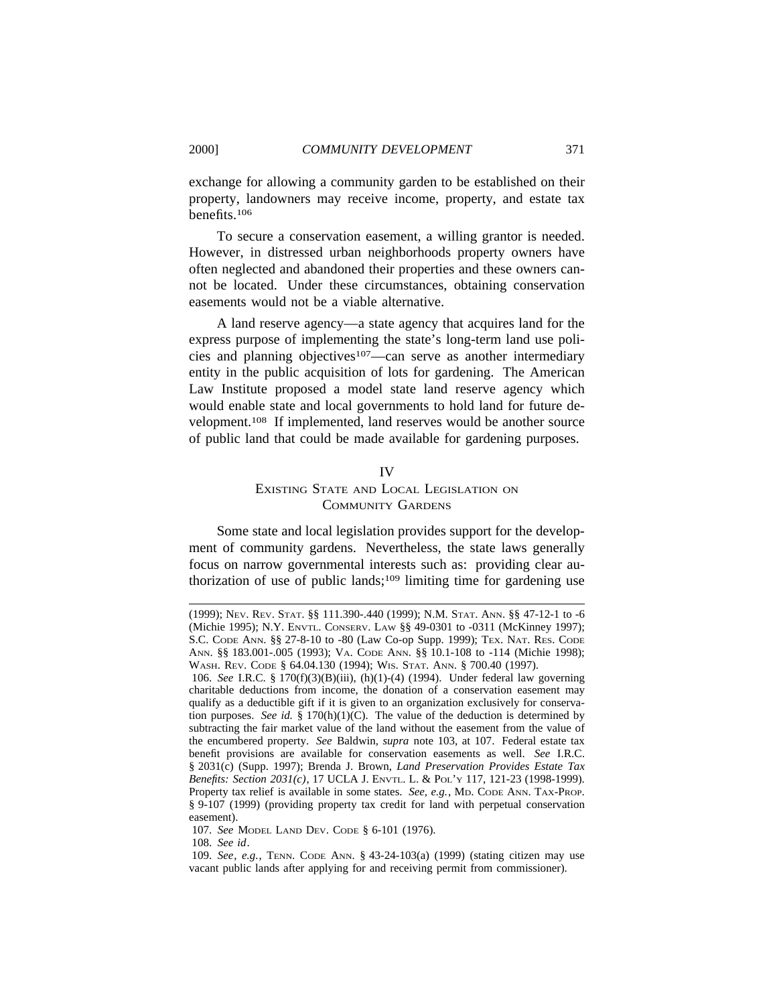exchange for allowing a community garden to be established on their property, landowners may receive income, property, and estate tax benefits.106

To secure a conservation easement, a willing grantor is needed. However, in distressed urban neighborhoods property owners have often neglected and abandoned their properties and these owners cannot be located. Under these circumstances, obtaining conservation easements would not be a viable alternative.

A land reserve agency—a state agency that acquires land for the express purpose of implementing the state's long-term land use policies and planning objectives107—can serve as another intermediary entity in the public acquisition of lots for gardening. The American Law Institute proposed a model state land reserve agency which would enable state and local governments to hold land for future development.108 If implemented, land reserves would be another source of public land that could be made available for gardening purposes.

#### IV

# EXISTING STATE AND LOCAL LEGISLATION ON COMMUNITY GARDENS

Some state and local legislation provides support for the development of community gardens. Nevertheless, the state laws generally focus on narrow governmental interests such as: providing clear authorization of use of public lands;<sup>109</sup> limiting time for gardening use

<sup>(1999);</sup> NEV. REV. STAT. §§ 111.390-.440 (1999); N.M. STAT. ANN. §§ 47-12-1 to -6 (Michie 1995); N.Y. ENVTL. CONSERV. LAW §§ 49-0301 to -0311 (McKinney 1997); S.C. CODE ANN. §§ 27-8-10 to -80 (Law Co-op Supp. 1999); TEX. NAT. RES. CODE ANN. §§ 183.001-.005 (1993); VA. CODE ANN. §§ 10.1-108 to -114 (Michie 1998); WASH. REV. CODE § 64.04.130 (1994); WIS. STAT. ANN. § 700.40 (1997).

<sup>106.</sup> *See* I.R.C. § 170(f)(3)(B)(iii), (h)(1)-(4) (1994). Under federal law governing charitable deductions from income, the donation of a conservation easement may qualify as a deductible gift if it is given to an organization exclusively for conservation purposes. *See id.* §  $170(h)(1)(C)$ . The value of the deduction is determined by subtracting the fair market value of the land without the easement from the value of the encumbered property. *See* Baldwin, *supra* note 103, at 107. Federal estate tax benefit provisions are available for conservation easements as well. *See* I.R.C. § 2031(c) (Supp. 1997); Brenda J. Brown, *Land Preservation Provides Estate Tax Benefits: Section 2031(c)*, 17 UCLA J. ENVTL. L. & POL'Y 117, 121-23 (1998-1999). Property tax relief is available in some states. *See, e.g.*, MD. CODE ANN. TAX-PROP. § 9-107 (1999) (providing property tax credit for land with perpetual conservation easement).

<sup>107.</sup> *See* MODEL LAND DEV. CODE § 6-101 (1976).

<sup>108.</sup> *See id*.

<sup>109.</sup> *See*, *e.g.*, TENN. CODE ANN. § 43-24-103(a) (1999) (stating citizen may use vacant public lands after applying for and receiving permit from commissioner).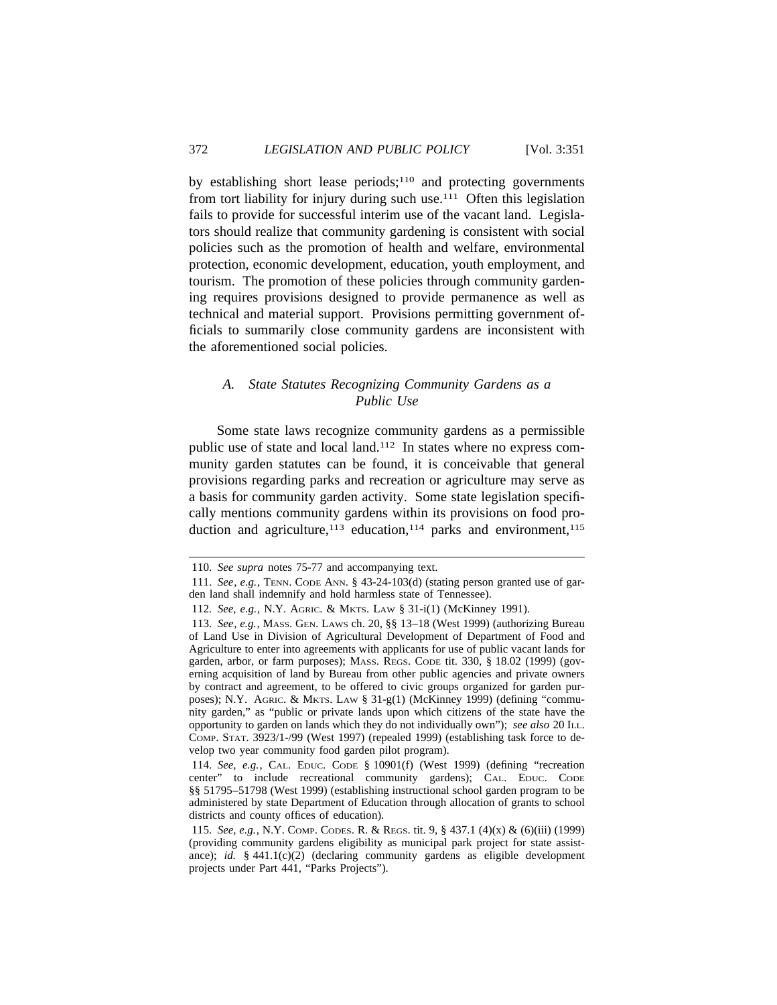by establishing short lease periods; $110$  and protecting governments from tort liability for injury during such use.111 Often this legislation fails to provide for successful interim use of the vacant land. Legislators should realize that community gardening is consistent with social policies such as the promotion of health and welfare, environmental protection, economic development, education, youth employment, and tourism. The promotion of these policies through community gardening requires provisions designed to provide permanence as well as technical and material support. Provisions permitting government officials to summarily close community gardens are inconsistent with the aforementioned social policies.

# *A. State Statutes Recognizing Community Gardens as a Public Use*

Some state laws recognize community gardens as a permissible public use of state and local land.112 In states where no express community garden statutes can be found, it is conceivable that general provisions regarding parks and recreation or agriculture may serve as a basis for community garden activity. Some state legislation specifically mentions community gardens within its provisions on food production and agriculture,<sup>113</sup> education,<sup>114</sup> parks and environment,<sup>115</sup>

<sup>110.</sup> *See supra* notes 75-77 and accompanying text.

<sup>111.</sup> *See*, *e.g.*, TENN. CODE ANN. § 43-24-103(d) (stating person granted use of garden land shall indemnify and hold harmless state of Tennessee).

<sup>112.</sup> *See, e.g.*, N.Y. AGRIC. & MKTS. LAW § 31-i(1) (McKinney 1991).

<sup>113.</sup> *See*, *e.g.*, MASS. GEN. LAWS ch. 20, §§ 13–18 (West 1999) (authorizing Bureau of Land Use in Division of Agricultural Development of Department of Food and Agriculture to enter into agreements with applicants for use of public vacant lands for garden, arbor, or farm purposes); MASS. REGS. CODE tit. 330, § 18.02 (1999) (governing acquisition of land by Bureau from other public agencies and private owners by contract and agreement, to be offered to civic groups organized for garden purposes); N.Y. AGRIC. & MKTS. LAW § 31-g(1) (McKinney 1999) (defining "community garden," as "public or private lands upon which citizens of the state have the opportunity to garden on lands which they do not individually own"); *see also* 20 ILL. COMP. STAT. 3923/1-/99 (West 1997) (repealed 1999) (establishing task force to develop two year community food garden pilot program).

<sup>114.</sup> *See, e.g.*, CAL. EDUC. CODE § 10901(f) (West 1999) (defining "recreation center" to include recreational community gardens); CAL. EDUC. CODE §§ 51795–51798 (West 1999) (establishing instructional school garden program to be administered by state Department of Education through allocation of grants to school districts and county offices of education).

<sup>115.</sup> *See, e.g.*, N.Y. COMP. CODES. R. & REGS. tit. 9, § 437.1 (4)(x) & (6)(iii) (1999) (providing community gardens eligibility as municipal park project for state assistance); *id.* § 441.1(c)(2) (declaring community gardens as eligible development projects under Part 441, "Parks Projects").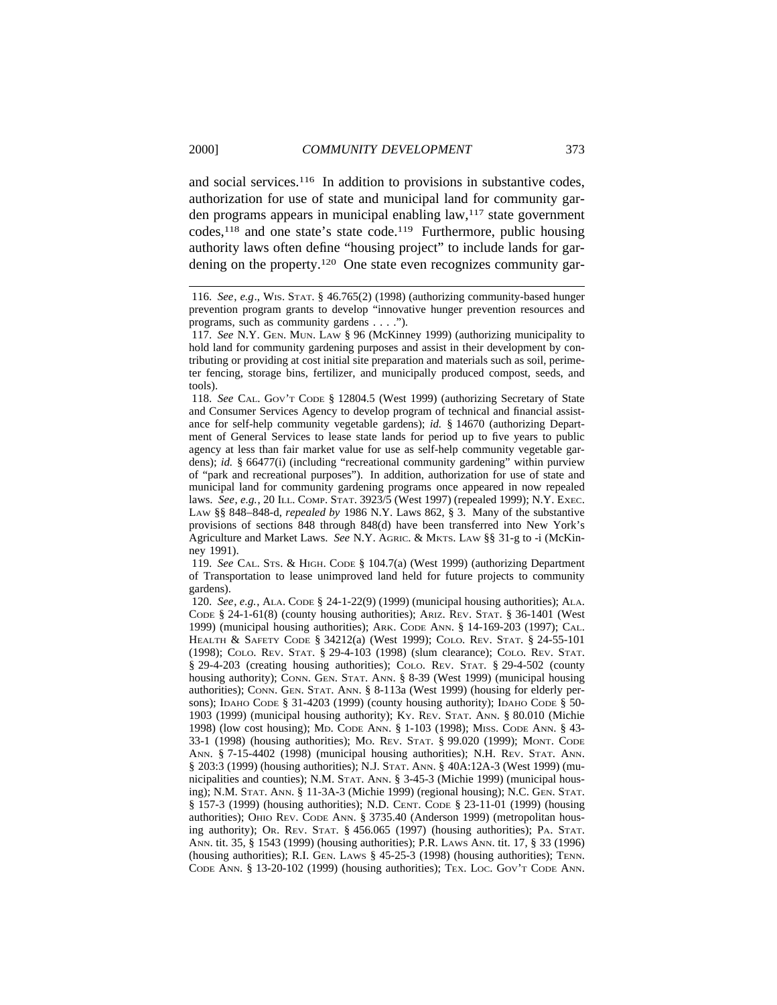and social services.116 In addition to provisions in substantive codes, authorization for use of state and municipal land for community garden programs appears in municipal enabling law,117 state government codes,<sup>118</sup> and one state's state code.<sup>119</sup> Furthermore, public housing authority laws often define "housing project" to include lands for gardening on the property.<sup>120</sup> One state even recognizes community gar-

118. *See* CAL. GOV'T CODE § 12804.5 (West 1999) (authorizing Secretary of State and Consumer Services Agency to develop program of technical and financial assistance for self-help community vegetable gardens); *id.* § 14670 (authorizing Department of General Services to lease state lands for period up to five years to public agency at less than fair market value for use as self-help community vegetable gardens); *id.* § 66477(i) (including "recreational community gardening" within purview of "park and recreational purposes"). In addition, authorization for use of state and municipal land for community gardening programs once appeared in now repealed laws. *See*, *e.g.*, 20 ILL. COMP. STAT. 3923/5 (West 1997) (repealed 1999); N.Y. EXEC. LAW §§ 848–848-d, *repealed by* 1986 N.Y. Laws 862, § 3. Many of the substantive provisions of sections 848 through 848(d) have been transferred into New York's Agriculture and Market Laws. *See* N.Y. AGRIC. & MKTS. LAW §§ 31-g to -i (McKinney 1991).

119. *See* CAL. STS. & HIGH. CODE § 104.7(a) (West 1999) (authorizing Department of Transportation to lease unimproved land held for future projects to community gardens).

120. *See*, *e.g.*, ALA. CODE § 24-1-22(9) (1999) (municipal housing authorities); ALA. CODE  $\S$  24-1-61(8) (county housing authorities); ARIZ. REV. STAT.  $\S$  36-1401 (West 1999) (municipal housing authorities); ARK. CODE ANN. § 14-169-203 (1997); CAL. HEALTH & SAFETY CODE § 34212(a) (West 1999); COLO. REV. STAT. § 24-55-101 (1998); COLO. REV. STAT. § 29-4-103 (1998) (slum clearance); COLO. REV. STAT. § 29-4-203 (creating housing authorities); COLO. REV. STAT. § 29-4-502 (county housing authority); CONN. GEN. STAT. ANN. § 8-39 (West 1999) (municipal housing authorities); CONN. GEN. STAT. ANN. § 8-113a (West 1999) (housing for elderly persons); IDАНО CODE § 31-4203 (1999) (county housing authority); IDАНО CODE § 50-1903 (1999) (municipal housing authority); KY. REV. STAT. ANN. § 80.010 (Michie 1998) (low cost housing); MD. CODE ANN. § 1-103 (1998); MISS. CODE ANN. § 43- 33-1 (1998) (housing authorities); MO. REV. STAT. § 99.020 (1999); MONT. CODE ANN. § 7-15-4402 (1998) (municipal housing authorities); N.H. REV. STAT. ANN. § 203:3 (1999) (housing authorities); N.J. STAT. ANN. § 40A:12A-3 (West 1999) (municipalities and counties); N.M. STAT. ANN. § 3-45-3 (Michie 1999) (municipal housing); N.M. STAT. ANN. § 11-3A-3 (Michie 1999) (regional housing); N.C. GEN. STAT. § 157-3 (1999) (housing authorities); N.D. CENT. CODE § 23-11-01 (1999) (housing authorities); OHIO REV. CODE ANN. § 3735.40 (Anderson 1999) (metropolitan housing authority); OR. REV. STAT. § 456.065 (1997) (housing authorities); PA. STAT. ANN. tit. 35, § 1543 (1999) (housing authorities); P.R. LAWS ANN. tit. 17, § 33 (1996) (housing authorities); R.I. GEN. LAWS § 45-25-3 (1998) (housing authorities); TENN. CODE ANN. § 13-20-102 (1999) (housing authorities); TEX. LOC. GOV'T CODE ANN.

<sup>116.</sup> *See*, *e.g*., WIS. STAT. § 46.765(2) (1998) (authorizing community-based hunger prevention program grants to develop "innovative hunger prevention resources and programs, such as community gardens . . . .").

<sup>117.</sup> *See* N.Y. GEN. MUN. LAW § 96 (McKinney 1999) (authorizing municipality to hold land for community gardening purposes and assist in their development by contributing or providing at cost initial site preparation and materials such as soil, perimeter fencing, storage bins, fertilizer, and municipally produced compost, seeds, and tools).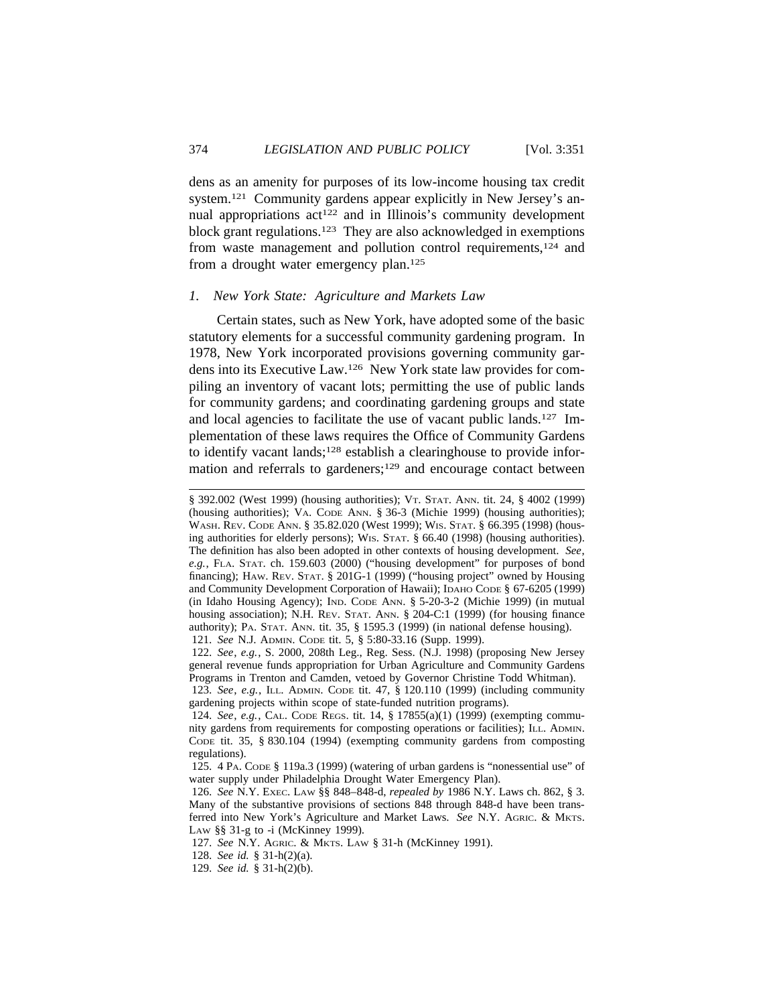dens as an amenity for purposes of its low-income housing tax credit system.121 Community gardens appear explicitly in New Jersey's annual appropriations  $act^{122}$  and in Illinois's community development block grant regulations.123 They are also acknowledged in exemptions from waste management and pollution control requirements,124 and from a drought water emergency plan.125

### *1. New York State: Agriculture and Markets Law*

Certain states, such as New York, have adopted some of the basic statutory elements for a successful community gardening program. In 1978, New York incorporated provisions governing community gardens into its Executive Law.126 New York state law provides for compiling an inventory of vacant lots; permitting the use of public lands for community gardens; and coordinating gardening groups and state and local agencies to facilitate the use of vacant public lands.<sup>127</sup> Implementation of these laws requires the Office of Community Gardens to identify vacant lands;128 establish a clearinghouse to provide information and referrals to gardeners;<sup>129</sup> and encourage contact between

<sup>§ 392.002 (</sup>West 1999) (housing authorities); VT. STAT. ANN. tit. 24, § 4002 (1999) (housing authorities); VA. CODE ANN. § 36-3 (Michie 1999) (housing authorities); WASH. REV. CODE ANN. § 35.82.020 (West 1999); WIS. STAT. § 66.395 (1998) (housing authorities for elderly persons); WIS. STAT. § 66.40 (1998) (housing authorities). The definition has also been adopted in other contexts of housing development. *See*, *e.g.*, FLA. STAT. ch. 159.603 (2000) ("housing development" for purposes of bond financing); HAW. REV. STAT. § 201G-1 (1999) ("housing project" owned by Housing and Community Development Corporation of Hawaii); IDAHO CODE § 67-6205 (1999) (in Idaho Housing Agency); IND. CODE ANN. § 5-20-3-2 (Michie 1999) (in mutual housing association); N.H. REV. STAT. ANN. § 204-C:1 (1999) (for housing finance authority); PA. STAT. ANN. tit. 35, § 1595.3 (1999) (in national defense housing). 121. *See* N.J. ADMIN. CODE tit. 5, § 5:80-33.16 (Supp. 1999).

<sup>122.</sup> *See*, *e.g.*, S. 2000, 208th Leg., Reg. Sess. (N.J. 1998) (proposing New Jersey general revenue funds appropriation for Urban Agriculture and Community Gardens Programs in Trenton and Camden, vetoed by Governor Christine Todd Whitman).

<sup>123.</sup> *See*, *e.g.*, ILL. ADMIN. CODE tit. 47, § 120.110 (1999) (including community gardening projects within scope of state-funded nutrition programs).

<sup>124.</sup> *See*, *e.g.*, CAL. CODE REGS. tit. 14, § 17855(a)(1) (1999) (exempting community gardens from requirements for composting operations or facilities); ILL. ADMIN. CODE tit. 35, § 830.104 (1994) (exempting community gardens from composting regulations).

<sup>125. 4</sup> PA. CODE § 119a.3 (1999) (watering of urban gardens is "nonessential use" of water supply under Philadelphia Drought Water Emergency Plan).

<sup>126.</sup> *See* N.Y. EXEC. LAW §§ 848–848-d, *repealed by* 1986 N.Y. Laws ch. 862, § 3. Many of the substantive provisions of sections 848 through 848-d have been transferred into New York's Agriculture and Market Laws. *See* N.Y. AGRIC. & MKTS. LAW §§ 31-g to -i (McKinney 1999).

<sup>127.</sup> *See* N.Y. AGRIC. & MKTS. LAW § 31-h (McKinney 1991).

<sup>128.</sup> *See id.* § 31-h(2)(a).

<sup>129.</sup> *See id.* § 31-h(2)(b).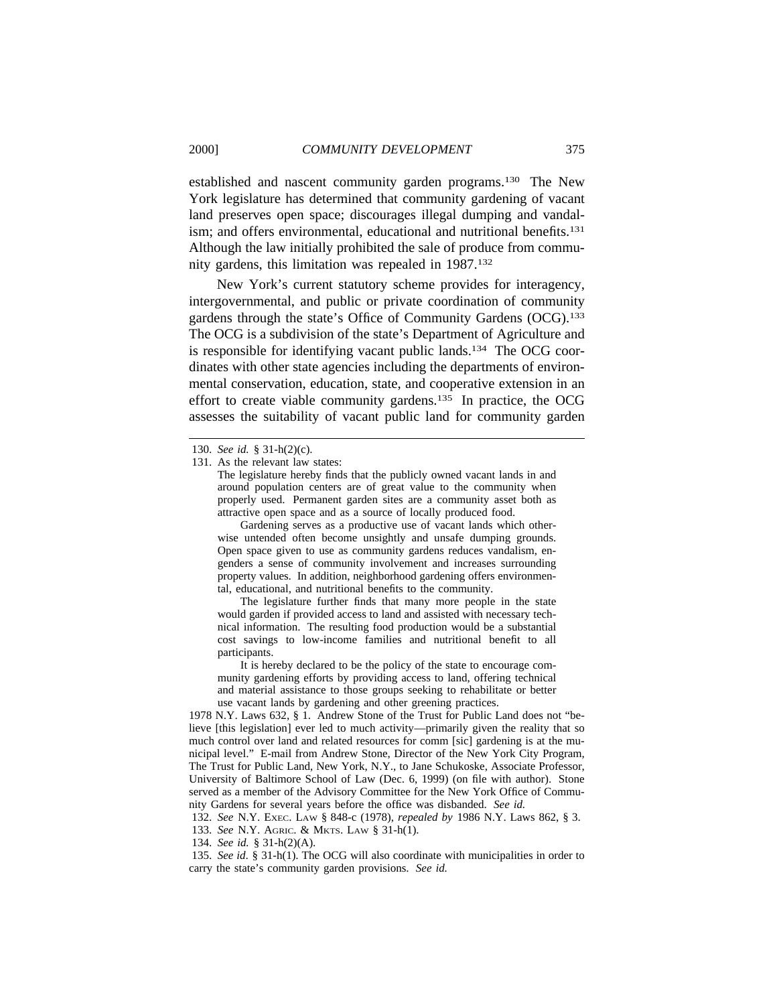established and nascent community garden programs.130 The New York legislature has determined that community gardening of vacant land preserves open space; discourages illegal dumping and vandalism; and offers environmental, educational and nutritional benefits.<sup>131</sup> Although the law initially prohibited the sale of produce from community gardens, this limitation was repealed in 1987.132

New York's current statutory scheme provides for interagency, intergovernmental, and public or private coordination of community gardens through the state's Office of Community Gardens (OCG).133 The OCG is a subdivision of the state's Department of Agriculture and is responsible for identifying vacant public lands.<sup>134</sup> The OCG coordinates with other state agencies including the departments of environmental conservation, education, state, and cooperative extension in an effort to create viable community gardens.135 In practice, the OCG assesses the suitability of vacant public land for community garden

Gardening serves as a productive use of vacant lands which otherwise untended often become unsightly and unsafe dumping grounds. Open space given to use as community gardens reduces vandalism, engenders a sense of community involvement and increases surrounding property values. In addition, neighborhood gardening offers environmental, educational, and nutritional benefits to the community.

The legislature further finds that many more people in the state would garden if provided access to land and assisted with necessary technical information. The resulting food production would be a substantial cost savings to low-income families and nutritional benefit to all participants.

It is hereby declared to be the policy of the state to encourage community gardening efforts by providing access to land, offering technical and material assistance to those groups seeking to rehabilitate or better use vacant lands by gardening and other greening practices.

1978 N.Y. Laws 632, § 1. Andrew Stone of the Trust for Public Land does not "believe [this legislation] ever led to much activity—primarily given the reality that so much control over land and related resources for comm [sic] gardening is at the municipal level." E-mail from Andrew Stone, Director of the New York City Program, The Trust for Public Land, New York, N.Y., to Jane Schukoske, Associate Professor, University of Baltimore School of Law (Dec. 6, 1999) (on file with author). Stone served as a member of the Advisory Committee for the New York Office of Community Gardens for several years before the office was disbanded. *See id.*

132. *See* N.Y. EXEC. LAW § 848-c (1978), *repealed by* 1986 N.Y. Laws 862, § 3. 133. *See* N.Y. AGRIC. & MKTS. LAW § 31-h(1).

134. *See id.* § 31-h(2)(A).

135. *See id*. § 31-h(1). The OCG will also coordinate with municipalities in order to carry the state's community garden provisions. *See id.*

<sup>130.</sup> *See id.* § 31-h(2)(c).

<sup>131.</sup> As the relevant law states:

The legislature hereby finds that the publicly owned vacant lands in and around population centers are of great value to the community when properly used. Permanent garden sites are a community asset both as attractive open space and as a source of locally produced food.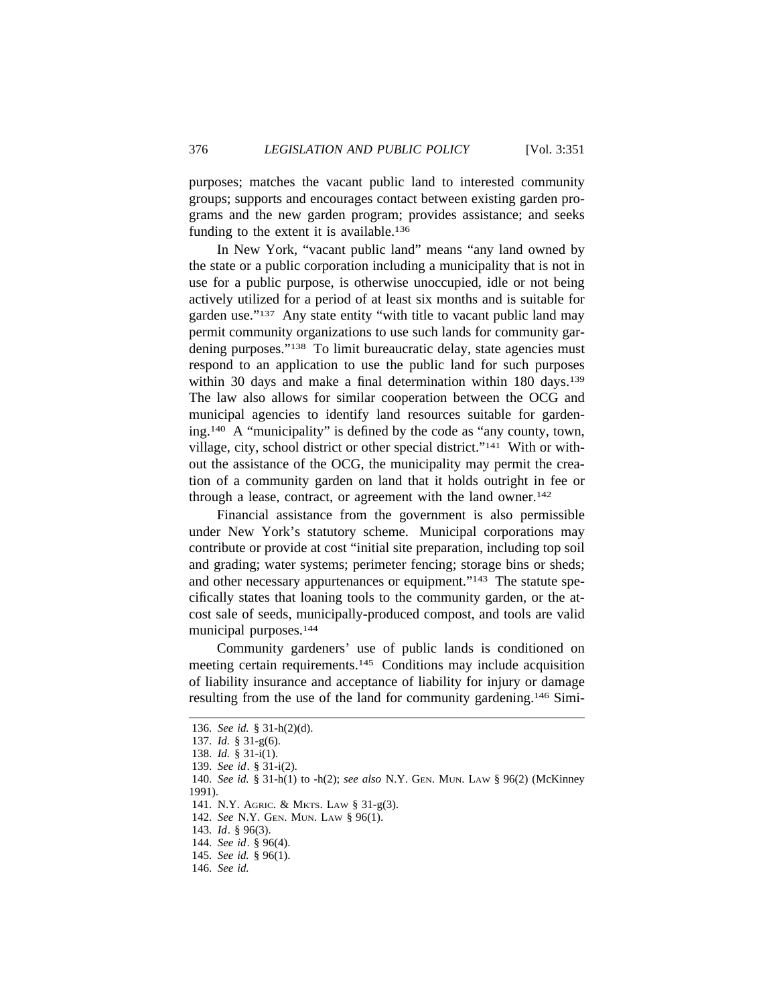purposes; matches the vacant public land to interested community groups; supports and encourages contact between existing garden programs and the new garden program; provides assistance; and seeks funding to the extent it is available.<sup>136</sup>

In New York, "vacant public land" means "any land owned by the state or a public corporation including a municipality that is not in use for a public purpose, is otherwise unoccupied, idle or not being actively utilized for a period of at least six months and is suitable for garden use."137 Any state entity "with title to vacant public land may permit community organizations to use such lands for community gardening purposes."<sup>138</sup> To limit bureaucratic delay, state agencies must respond to an application to use the public land for such purposes within 30 days and make a final determination within 180 days.<sup>139</sup> The law also allows for similar cooperation between the OCG and municipal agencies to identify land resources suitable for gardening.140 A "municipality" is defined by the code as "any county, town, village, city, school district or other special district."141 With or without the assistance of the OCG, the municipality may permit the creation of a community garden on land that it holds outright in fee or through a lease, contract, or agreement with the land owner.<sup>142</sup>

Financial assistance from the government is also permissible under New York's statutory scheme. Municipal corporations may contribute or provide at cost "initial site preparation, including top soil and grading; water systems; perimeter fencing; storage bins or sheds; and other necessary appurtenances or equipment."<sup>143</sup> The statute specifically states that loaning tools to the community garden, or the atcost sale of seeds, municipally-produced compost, and tools are valid municipal purposes.144

Community gardeners' use of public lands is conditioned on meeting certain requirements.145 Conditions may include acquisition of liability insurance and acceptance of liability for injury or damage resulting from the use of the land for community gardening.146 Simi-

146. *See id.*

<sup>136.</sup> *See id.* § 31-h(2)(d). 137. *Id.* § 31-g(6). 138. *Id.* § 31-i(1). 139. *See id*. § 31-i(2). 140. *See id.* § 31-h(1) to -h(2); *see also* N.Y. GEN. MUN. LAW § 96(2) (McKinney 1991). 141. N.Y. AGRIC. & MKTS. LAW § 31-g(3). 142. *See* N.Y. GEN. MUN. LAW § 96(1). 143. *Id*. § 96(3). 144. *See id*. § 96(4). 145. *See id.* § 96(1).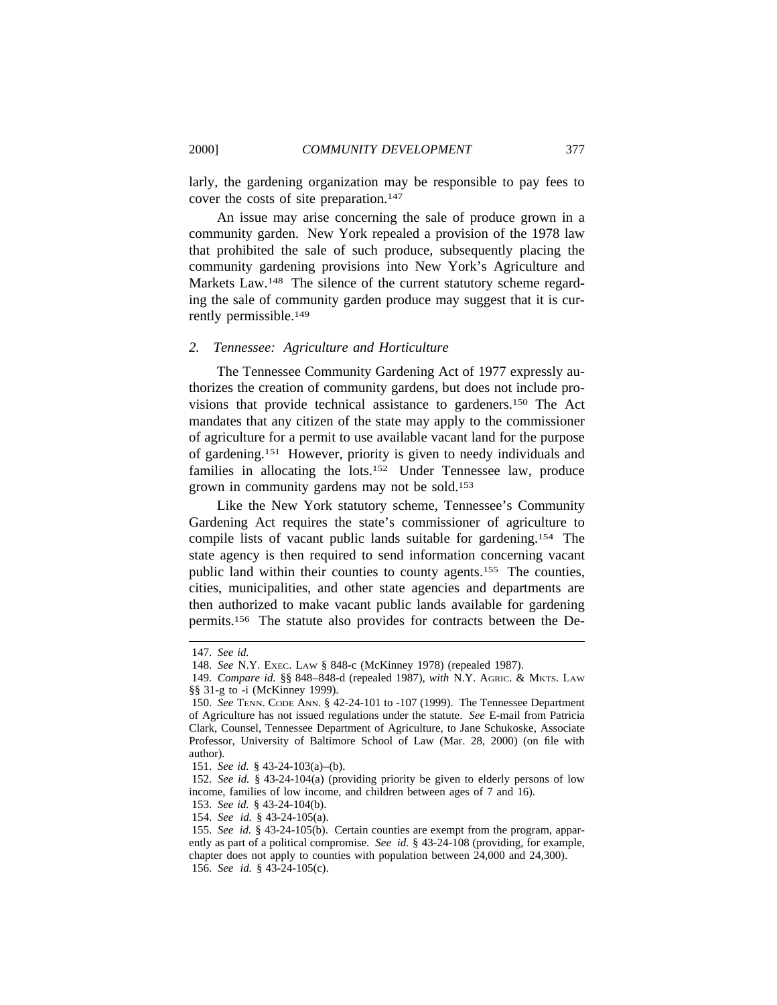larly, the gardening organization may be responsible to pay fees to cover the costs of site preparation.<sup>147</sup>

An issue may arise concerning the sale of produce grown in a community garden. New York repealed a provision of the 1978 law that prohibited the sale of such produce, subsequently placing the community gardening provisions into New York's Agriculture and Markets Law.<sup>148</sup> The silence of the current statutory scheme regarding the sale of community garden produce may suggest that it is currently permissible.149

### *2. Tennessee: Agriculture and Horticulture*

The Tennessee Community Gardening Act of 1977 expressly authorizes the creation of community gardens, but does not include provisions that provide technical assistance to gardeners.150 The Act mandates that any citizen of the state may apply to the commissioner of agriculture for a permit to use available vacant land for the purpose of gardening.151 However, priority is given to needy individuals and families in allocating the lots.<sup>152</sup> Under Tennessee law, produce grown in community gardens may not be sold.153

Like the New York statutory scheme, Tennessee's Community Gardening Act requires the state's commissioner of agriculture to compile lists of vacant public lands suitable for gardening.154 The state agency is then required to send information concerning vacant public land within their counties to county agents.155 The counties, cities, municipalities, and other state agencies and departments are then authorized to make vacant public lands available for gardening permits.156 The statute also provides for contracts between the De-

<sup>147.</sup> *See id.*

<sup>148.</sup> *See* N.Y. EXEC. LAW § 848-c (McKinney 1978) (repealed 1987).

<sup>149.</sup> *Compare id.* §§ 848–848-d (repealed 1987), *with* N.Y. AGRIC. & MKTS. LAW §§ 31-g to -i (McKinney 1999).

<sup>150.</sup> *See* TENN. CODE ANN. § 42-24-101 to -107 (1999). The Tennessee Department of Agriculture has not issued regulations under the statute. *See* E-mail from Patricia Clark, Counsel, Tennessee Department of Agriculture, to Jane Schukoske, Associate Professor, University of Baltimore School of Law (Mar. 28, 2000) (on file with author).

<sup>151.</sup> *See id.* § 43-24-103(a)–(b).

<sup>152.</sup> *See id.* § 43-24-104(a) (providing priority be given to elderly persons of low income, families of low income, and children between ages of 7 and 16).

<sup>153.</sup> *See id.* § 43-24-104(b).

<sup>154.</sup> *See id.* § 43-24-105(a).

<sup>155.</sup> *See id.* § 43-24-105(b). Certain counties are exempt from the program, apparently as part of a political compromise. *See id.* § 43-24-108 (providing, for example, chapter does not apply to counties with population between 24,000 and 24,300). 156. *See id.* § 43-24-105(c).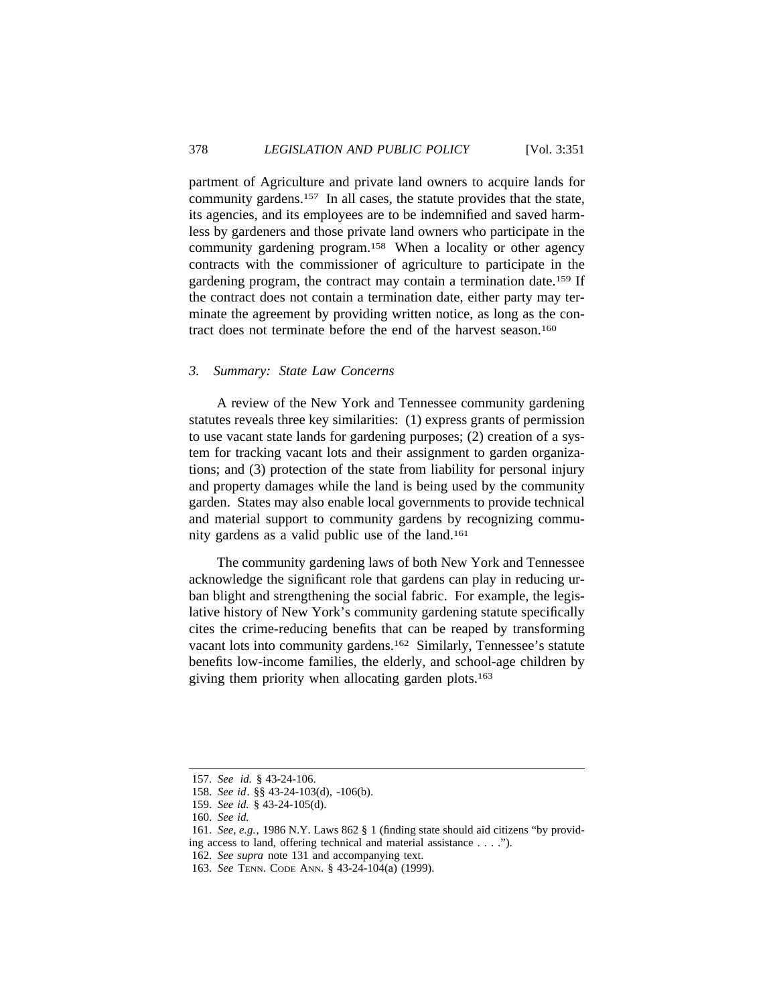partment of Agriculture and private land owners to acquire lands for community gardens.157 In all cases, the statute provides that the state, its agencies, and its employees are to be indemnified and saved harmless by gardeners and those private land owners who participate in the community gardening program.158 When a locality or other agency contracts with the commissioner of agriculture to participate in the gardening program, the contract may contain a termination date.159 If the contract does not contain a termination date, either party may terminate the agreement by providing written notice, as long as the contract does not terminate before the end of the harvest season.160

#### *3. Summary: State Law Concerns*

A review of the New York and Tennessee community gardening statutes reveals three key similarities: (1) express grants of permission to use vacant state lands for gardening purposes; (2) creation of a system for tracking vacant lots and their assignment to garden organizations; and (3) protection of the state from liability for personal injury and property damages while the land is being used by the community garden. States may also enable local governments to provide technical and material support to community gardens by recognizing community gardens as a valid public use of the land.161

The community gardening laws of both New York and Tennessee acknowledge the significant role that gardens can play in reducing urban blight and strengthening the social fabric. For example, the legislative history of New York's community gardening statute specifically cites the crime-reducing benefits that can be reaped by transforming vacant lots into community gardens.162 Similarly, Tennessee's statute benefits low-income families, the elderly, and school-age children by giving them priority when allocating garden plots.163

<sup>157.</sup> *See id.* § 43-24-106.

<sup>158.</sup> *See id*. §§ 43-24-103(d), -106(b).

<sup>159.</sup> *See id.* § 43-24-105(d).

<sup>160.</sup> *See id.*

<sup>161.</sup> *See, e.g.*, 1986 N.Y. Laws 862 § 1 (finding state should aid citizens "by providing access to land, offering technical and material assistance . . . .").

<sup>162.</sup> *See supra* note 131 and accompanying text.

<sup>163.</sup> *See* TENN. CODE ANN. § 43-24-104(a) (1999).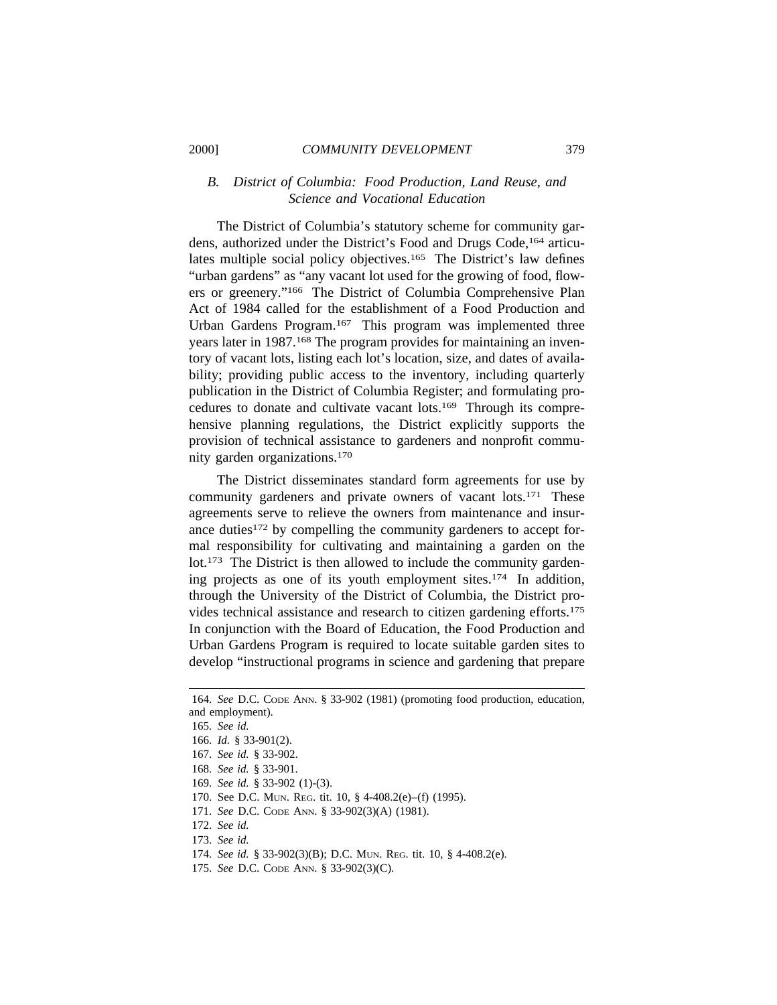#### 2000] *COMMUNITY DEVELOPMENT* 379

# *B. District of Columbia: Food Production, Land Reuse, and Science and Vocational Education*

The District of Columbia's statutory scheme for community gardens, authorized under the District's Food and Drugs Code,164 articulates multiple social policy objectives.<sup>165</sup> The District's law defines "urban gardens" as "any vacant lot used for the growing of food, flowers or greenery."166 The District of Columbia Comprehensive Plan Act of 1984 called for the establishment of a Food Production and Urban Gardens Program.167 This program was implemented three years later in 1987.<sup>168</sup> The program provides for maintaining an inventory of vacant lots, listing each lot's location, size, and dates of availability; providing public access to the inventory, including quarterly publication in the District of Columbia Register; and formulating procedures to donate and cultivate vacant lots.169 Through its comprehensive planning regulations, the District explicitly supports the provision of technical assistance to gardeners and nonprofit community garden organizations.170

The District disseminates standard form agreements for use by community gardeners and private owners of vacant lots.171 These agreements serve to relieve the owners from maintenance and insurance duties<sup>172</sup> by compelling the community gardeners to accept formal responsibility for cultivating and maintaining a garden on the lot.173 The District is then allowed to include the community gardening projects as one of its youth employment sites.174 In addition, through the University of the District of Columbia, the District provides technical assistance and research to citizen gardening efforts.175 In conjunction with the Board of Education, the Food Production and Urban Gardens Program is required to locate suitable garden sites to develop "instructional programs in science and gardening that prepare

- 170. See D.C. MUN. REG. tit. 10, § 4-408.2(e)–(f) (1995).
- 171. *See* D.C. CODE ANN. § 33-902(3)(A) (1981).
- 172. *See id.*
- 173. *See id.*
- 174. *See id.* § 33-902(3)(B); D.C. MUN. REG. tit. 10, § 4-408.2(e).
- 175. *See* D.C. CODE ANN. § 33-902(3)(C).

<sup>164.</sup> *See* D.C. CODE ANN. § 33-902 (1981) (promoting food production, education, and employment).

<sup>165.</sup> *See id.*

<sup>166.</sup> *Id.* § 33-901(2).

<sup>167.</sup> *See id.* § 33-902.

<sup>168.</sup> *See id.* § 33-901.

<sup>169.</sup> *See id.* § 33-902 (1)-(3).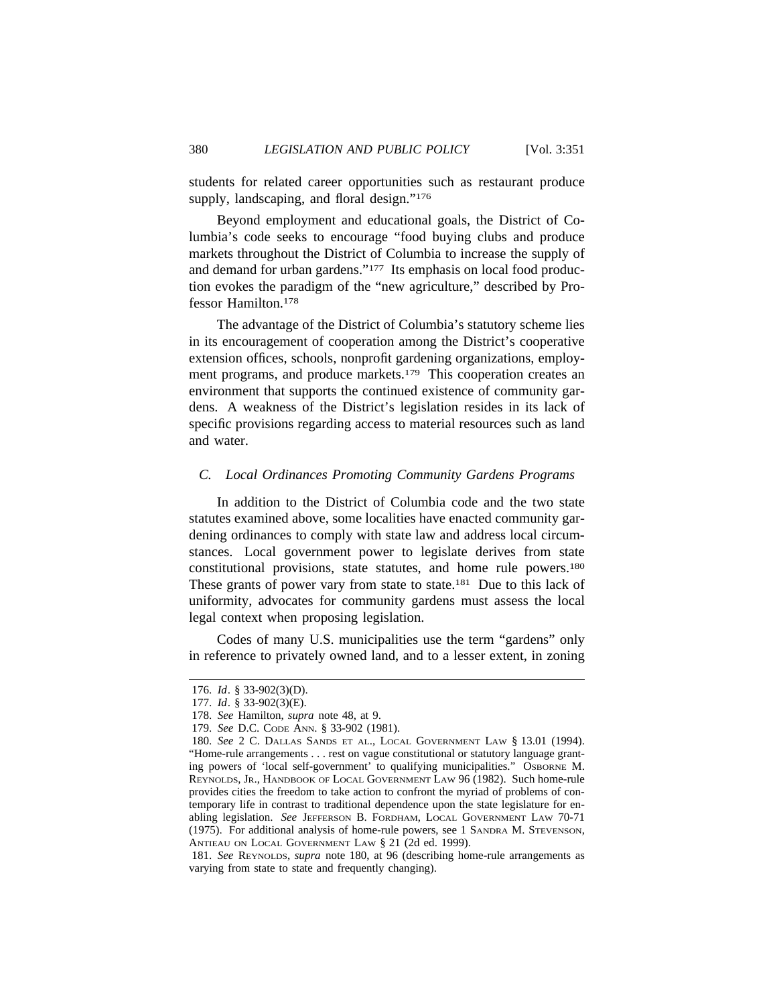students for related career opportunities such as restaurant produce supply, landscaping, and floral design."<sup>176</sup>

Beyond employment and educational goals, the District of Columbia's code seeks to encourage "food buying clubs and produce markets throughout the District of Columbia to increase the supply of and demand for urban gardens."177 Its emphasis on local food production evokes the paradigm of the "new agriculture," described by Professor Hamilton.178

The advantage of the District of Columbia's statutory scheme lies in its encouragement of cooperation among the District's cooperative extension offices, schools, nonprofit gardening organizations, employment programs, and produce markets.179 This cooperation creates an environment that supports the continued existence of community gardens. A weakness of the District's legislation resides in its lack of specific provisions regarding access to material resources such as land and water.

# *C. Local Ordinances Promoting Community Gardens Programs*

In addition to the District of Columbia code and the two state statutes examined above, some localities have enacted community gardening ordinances to comply with state law and address local circumstances. Local government power to legislate derives from state constitutional provisions, state statutes, and home rule powers.180 These grants of power vary from state to state.<sup>181</sup> Due to this lack of uniformity, advocates for community gardens must assess the local legal context when proposing legislation.

Codes of many U.S. municipalities use the term "gardens" only in reference to privately owned land, and to a lesser extent, in zoning

<sup>176.</sup> *Id*. § 33-902(3)(D).

<sup>177.</sup> *Id*. § 33-902(3)(E).

<sup>178.</sup> *See* Hamilton, *supra* note 48, at 9.

<sup>179.</sup> *See* D.C. CODE ANN. § 33-902 (1981).

<sup>180.</sup> *See* 2 C. DALLAS SANDS ET AL., LOCAL GOVERNMENT LAW § 13.01 (1994). "Home-rule arrangements . . . rest on vague constitutional or statutory language granting powers of 'local self-government' to qualifying municipalities." OSBORNE M. REYNOLDS, JR., HANDBOOK OF LOCAL GOVERNMENT LAW 96 (1982). Such home-rule provides cities the freedom to take action to confront the myriad of problems of contemporary life in contrast to traditional dependence upon the state legislature for enabling legislation. *See* JEFFERSON B. FORDHAM, LOCAL GOVERNMENT LAW 70-71 (1975). For additional analysis of home-rule powers, see 1 SANDRA M. STEVENSON, ANTIEAU ON LOCAL GOVERNMENT LAW § 21 (2d ed. 1999).

<sup>181.</sup> *See* REYNOLDS, *supra* note 180, at 96 (describing home-rule arrangements as varying from state to state and frequently changing).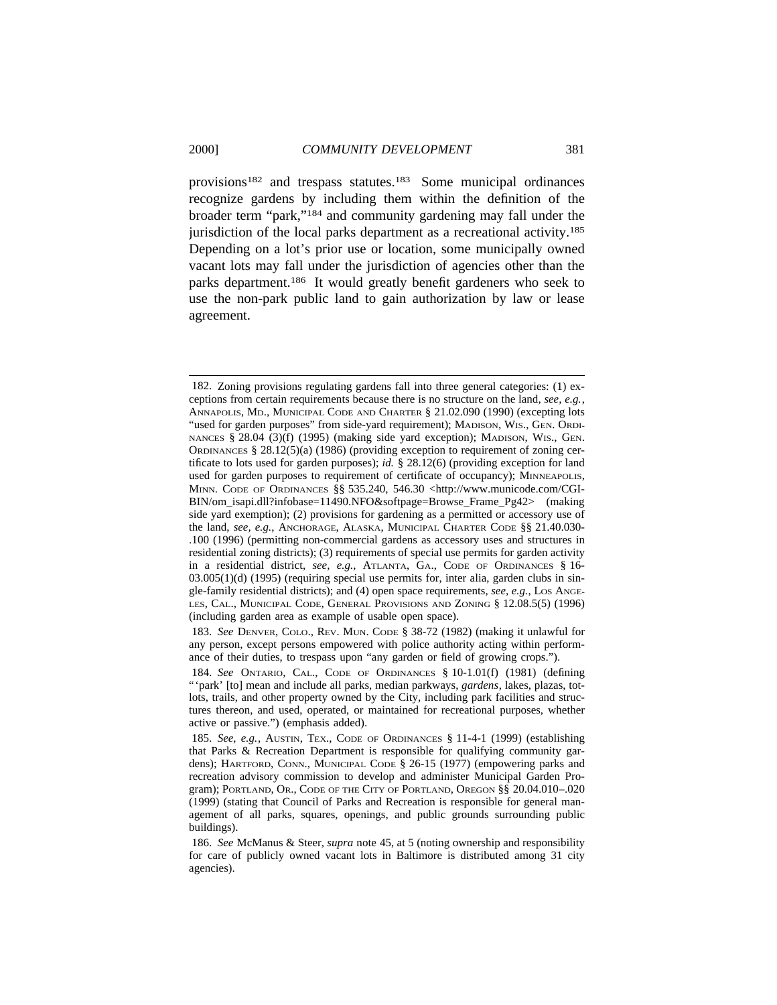provisions182 and trespass statutes.183 Some municipal ordinances recognize gardens by including them within the definition of the broader term "park,"184 and community gardening may fall under the jurisdiction of the local parks department as a recreational activity.<sup>185</sup> Depending on a lot's prior use or location, some municipally owned vacant lots may fall under the jurisdiction of agencies other than the parks department.186 It would greatly benefit gardeners who seek to use the non-park public land to gain authorization by law or lease agreement.

183. *See* DENVER, COLO., REV. MUN. CODE § 38-72 (1982) (making it unlawful for any person, except persons empowered with police authority acting within performance of their duties, to trespass upon "any garden or field of growing crops.").

<sup>182.</sup> Zoning provisions regulating gardens fall into three general categories: (1) exceptions from certain requirements because there is no structure on the land, *see, e.g.*, ANNAPOLIS, MD., MUNICIPAL CODE AND CHARTER § 21.02.090 (1990) (excepting lots "used for garden purposes" from side-yard requirement); MADISON, WIS., GEN. ORDI-NANCES § 28.04 (3)(f) (1995) (making side yard exception); MADISON, WIS., GEN. ORDINANCES  $\S 28.12(5)$ (a) (1986) (providing exception to requirement of zoning certificate to lots used for garden purposes); *id.* § 28.12(6) (providing exception for land used for garden purposes to requirement of certificate of occupancy); MINNEAPOLIS, MINN. CODE OF ORDINANCES §§ 535.240, 546.30 <http://www.municode.com/CGI-BIN/om\_isapi.dll?infobase=11490.NFO&softpage=Browse\_Frame\_Pg42> (making side yard exemption); (2) provisions for gardening as a permitted or accessory use of the land, *see, e.g.*, ANCHORAGE, ALASKA, MUNICIPAL CHARTER CODE §§ 21.40.030- .100 (1996) (permitting non-commercial gardens as accessory uses and structures in residential zoning districts); (3) requirements of special use permits for garden activity in a residential district, *see, e.g.*, ATLANTA, GA., CODE OF ORDINANCES § 16- 03.005(1)(d) (1995) (requiring special use permits for, inter alia, garden clubs in single-family residential districts); and (4) open space requirements, *see, e.g.*, LOS ANGE-LES, CAL., MUNICIPAL CODE, GENERAL PROVISIONS AND ZONING § 12.08.5(5) (1996) (including garden area as example of usable open space).

<sup>184.</sup> *See* ONTARIO, CAL., CODE OF ORDINANCES § 10-1.01(f) (1981) (defining "'park' [to] mean and include all parks, median parkways, *gardens*, lakes, plazas, totlots, trails, and other property owned by the City, including park facilities and structures thereon, and used, operated, or maintained for recreational purposes, whether active or passive.") (emphasis added).

<sup>185.</sup> *See, e.g.*, AUSTIN, TEX., CODE OF ORDINANCES § 11-4-1 (1999) (establishing that Parks & Recreation Department is responsible for qualifying community gardens); HARTFORD, CONN., MUNICIPAL CODE § 26-15 (1977) (empowering parks and recreation advisory commission to develop and administer Municipal Garden Program); PORTLAND, OR., CODE OF THE CITY OF PORTLAND, OREGON §§ 20.04.010-.020 (1999) (stating that Council of Parks and Recreation is responsible for general management of all parks, squares, openings, and public grounds surrounding public buildings).

<sup>186.</sup> *See* McManus & Steer, *supra* note 45, at 5 (noting ownership and responsibility for care of publicly owned vacant lots in Baltimore is distributed among 31 city agencies).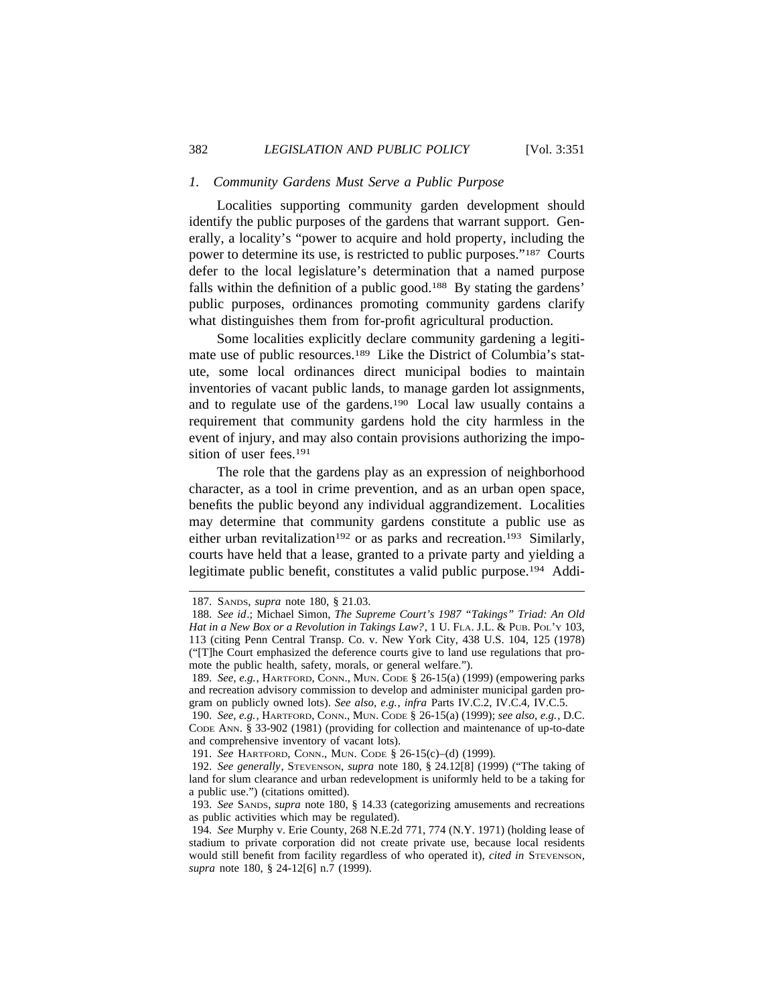# *1. Community Gardens Must Serve a Public Purpose*

Localities supporting community garden development should identify the public purposes of the gardens that warrant support. Generally, a locality's "power to acquire and hold property, including the power to determine its use, is restricted to public purposes."187 Courts defer to the local legislature's determination that a named purpose falls within the definition of a public good.<sup>188</sup> By stating the gardens' public purposes, ordinances promoting community gardens clarify what distinguishes them from for-profit agricultural production.

Some localities explicitly declare community gardening a legitimate use of public resources.189 Like the District of Columbia's statute, some local ordinances direct municipal bodies to maintain inventories of vacant public lands, to manage garden lot assignments, and to regulate use of the gardens.190 Local law usually contains a requirement that community gardens hold the city harmless in the event of injury, and may also contain provisions authorizing the imposition of user fees.191

The role that the gardens play as an expression of neighborhood character, as a tool in crime prevention, and as an urban open space, benefits the public beyond any individual aggrandizement. Localities may determine that community gardens constitute a public use as either urban revitalization<sup>192</sup> or as parks and recreation.<sup>193</sup> Similarly, courts have held that a lease, granted to a private party and yielding a legitimate public benefit, constitutes a valid public purpose.194 Addi-

<sup>187.</sup> SANDS, *supra* note 180, § 21.03.

<sup>188.</sup> *See id*.; Michael Simon, *The Supreme Court's 1987 "Takings" Triad: An Old Hat in a New Box or a Revolution in Takings Law?*, 1 U. FLA. J.L. & PUB. POL'Y 103, 113 (citing Penn Central Transp. Co. v. New York City, 438 U.S. 104, 125 (1978) ("[T]he Court emphasized the deference courts give to land use regulations that promote the public health, safety, morals, or general welfare.").

<sup>189.</sup> *See, e.g.*, HARTFORD, CONN., MUN. CODE § 26-15(a) (1999) (empowering parks and recreation advisory commission to develop and administer municipal garden program on publicly owned lots). *See also, e.g.*, *infra* Parts IV.C.2, IV.C.4, IV.C.5.

<sup>190.</sup> *See, e.g.*, HARTFORD, CONN., MUN. CODE § 26-15(a) (1999); *see also, e.g.*, D.C. CODE ANN. § 33-902 (1981) (providing for collection and maintenance of up-to-date and comprehensive inventory of vacant lots).

<sup>191.</sup> *See* HARTFORD, CONN., MUN. CODE § 26-15(c)–(d) (1999)*.*

<sup>192.</sup> *See generally*, STEVENSON, *supra* note 180, § 24.12[8] (1999) ("The taking of land for slum clearance and urban redevelopment is uniformly held to be a taking for a public use.") (citations omitted).

<sup>193.</sup> *See* SANDS, *supra* note 180, § 14.33 (categorizing amusements and recreations as public activities which may be regulated).

<sup>194.</sup> *See* Murphy v. Erie County, 268 N.E.2d 771, 774 (N.Y. 1971) (holding lease of stadium to private corporation did not create private use, because local residents would still benefit from facility regardless of who operated it), *cited in* STEVENSON, *supra* note 180, § 24-12[6] n.7 (1999).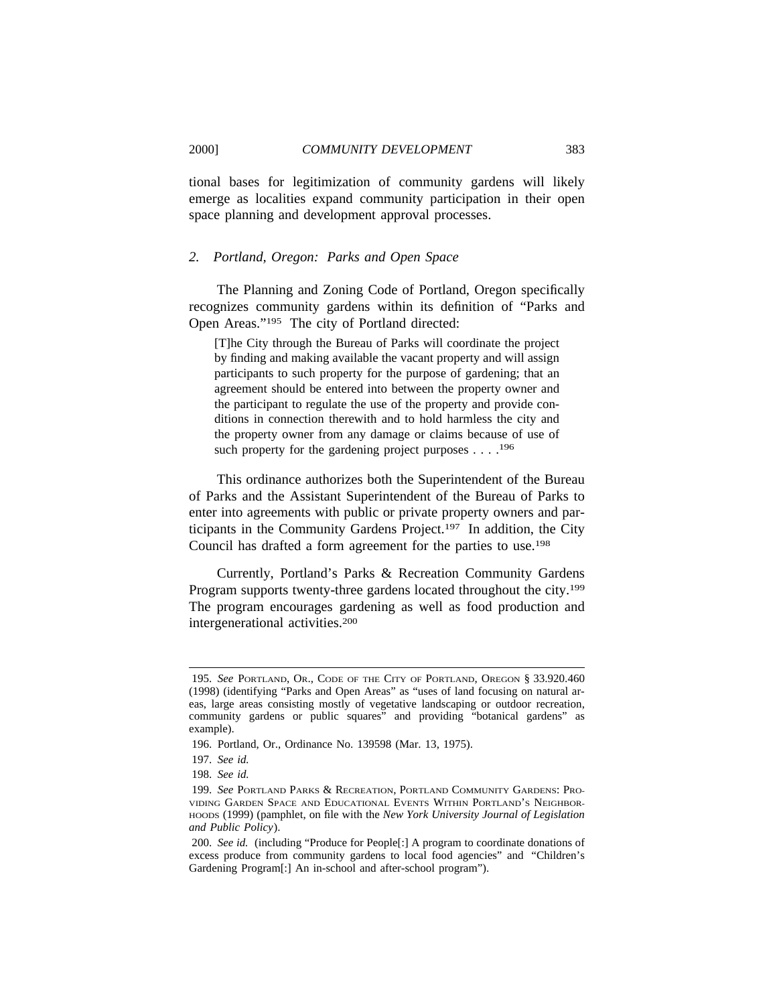tional bases for legitimization of community gardens will likely

emerge as localities expand community participation in their open space planning and development approval processes.

# *2. Portland, Oregon: Parks and Open Space*

The Planning and Zoning Code of Portland, Oregon specifically recognizes community gardens within its definition of "Parks and Open Areas."195 The city of Portland directed:

[T]he City through the Bureau of Parks will coordinate the project by finding and making available the vacant property and will assign participants to such property for the purpose of gardening; that an agreement should be entered into between the property owner and the participant to regulate the use of the property and provide conditions in connection therewith and to hold harmless the city and the property owner from any damage or claims because of use of such property for the gardening project purposes  $\dots$ <sup>196</sup>

This ordinance authorizes both the Superintendent of the Bureau of Parks and the Assistant Superintendent of the Bureau of Parks to enter into agreements with public or private property owners and participants in the Community Gardens Project.197 In addition, the City Council has drafted a form agreement for the parties to use.198

Currently, Portland's Parks & Recreation Community Gardens Program supports twenty-three gardens located throughout the city.<sup>199</sup> The program encourages gardening as well as food production and intergenerational activities.200

<sup>195.</sup> *See* PORTLAND, OR., CODE OF THE CITY OF PORTLAND, OREGON § 33.920.460 (1998) (identifying "Parks and Open Areas" as "uses of land focusing on natural areas, large areas consisting mostly of vegetative landscaping or outdoor recreation, community gardens or public squares" and providing "botanical gardens" as example).

<sup>196.</sup> Portland, Or., Ordinance No. 139598 (Mar. 13, 1975).

<sup>197.</sup> *See id.*

<sup>198.</sup> *See id.*

<sup>199.</sup> *See* PORTLAND PARKS & RECREATION, PORTLAND COMMUNITY GARDENS: PRO-VIDING GARDEN SPACE AND EDUCATIONAL EVENTS WITHIN PORTLAND'S NEIGHBOR-HOODS (1999) (pamphlet, on file with the *New York University Journal of Legislation and Public Policy*).

<sup>200.</sup> *See id.* (including "Produce for People[:] A program to coordinate donations of excess produce from community gardens to local food agencies" and "Children's Gardening Program[:] An in-school and after-school program").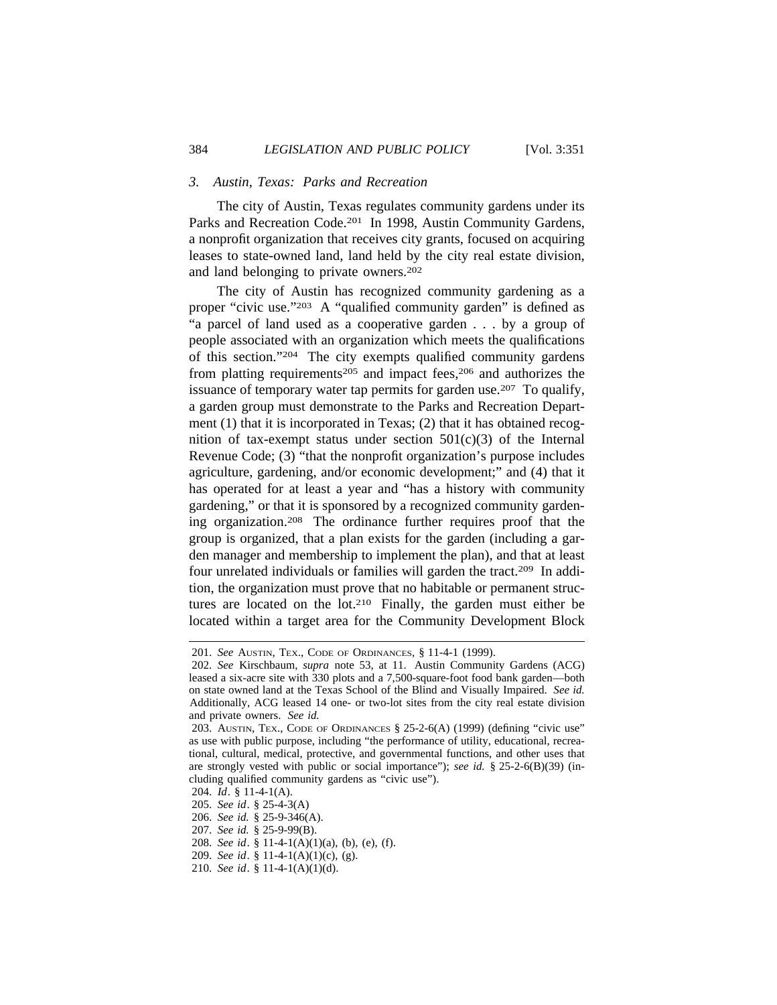## *3. Austin, Texas: Parks and Recreation*

The city of Austin, Texas regulates community gardens under its Parks and Recreation Code.<sup>201</sup> In 1998, Austin Community Gardens, a nonprofit organization that receives city grants, focused on acquiring leases to state-owned land, land held by the city real estate division, and land belonging to private owners.202

The city of Austin has recognized community gardening as a proper "civic use."<sup>203</sup> A "qualified community garden" is defined as "a parcel of land used as a cooperative garden . . . by a group of people associated with an organization which meets the qualifications of this section."204 The city exempts qualified community gardens from platting requirements<sup>205</sup> and impact fees,<sup>206</sup> and authorizes the issuance of temporary water tap permits for garden use.<sup>207</sup> To qualify, a garden group must demonstrate to the Parks and Recreation Department (1) that it is incorporated in Texas; (2) that it has obtained recognition of tax-exempt status under section  $501(c)(3)$  of the Internal Revenue Code; (3) "that the nonprofit organization's purpose includes agriculture, gardening, and/or economic development;" and (4) that it has operated for at least a year and "has a history with community gardening," or that it is sponsored by a recognized community gardening organization.208 The ordinance further requires proof that the group is organized, that a plan exists for the garden (including a garden manager and membership to implement the plan), and that at least four unrelated individuals or families will garden the tract.209 In addition, the organization must prove that no habitable or permanent structures are located on the lot.210 Finally, the garden must either be located within a target area for the Community Development Block

- 204. *Id*. § 11-4-1(A).
- 205. *See id*. § 25-4-3(A)
- 206. *See id.* § 25-9-346(A).
- 207. *See id.* § 25-9-99(B).
- 208. *See id*. § 11-4-1(A)(1)(a), (b), (e), (f).
- 209. *See id*. § 11-4-1(A)(1)(c), (g).
- 210. *See id*. § 11-4-1(A)(1)(d).

<sup>201.</sup> *See* AUSTIN, TEX., CODE OF ORDINANCES, § 11-4-1 (1999).

<sup>202.</sup> *See* Kirschbaum, *supra* note 53, at 11. Austin Community Gardens (ACG) leased a six-acre site with 330 plots and a 7,500-square-foot food bank garden—both on state owned land at the Texas School of the Blind and Visually Impaired. *See id.* Additionally, ACG leased 14 one- or two-lot sites from the city real estate division and private owners. *See id.*

<sup>203.</sup> AUSTIN, TEX., CODE OF ORDINANCES § 25-2-6(A) (1999) (defining "civic use" as use with public purpose, including "the performance of utility, educational, recreational, cultural, medical, protective, and governmental functions, and other uses that are strongly vested with public or social importance"); *see id.* § 25-2-6(B)(39) (including qualified community gardens as "civic use").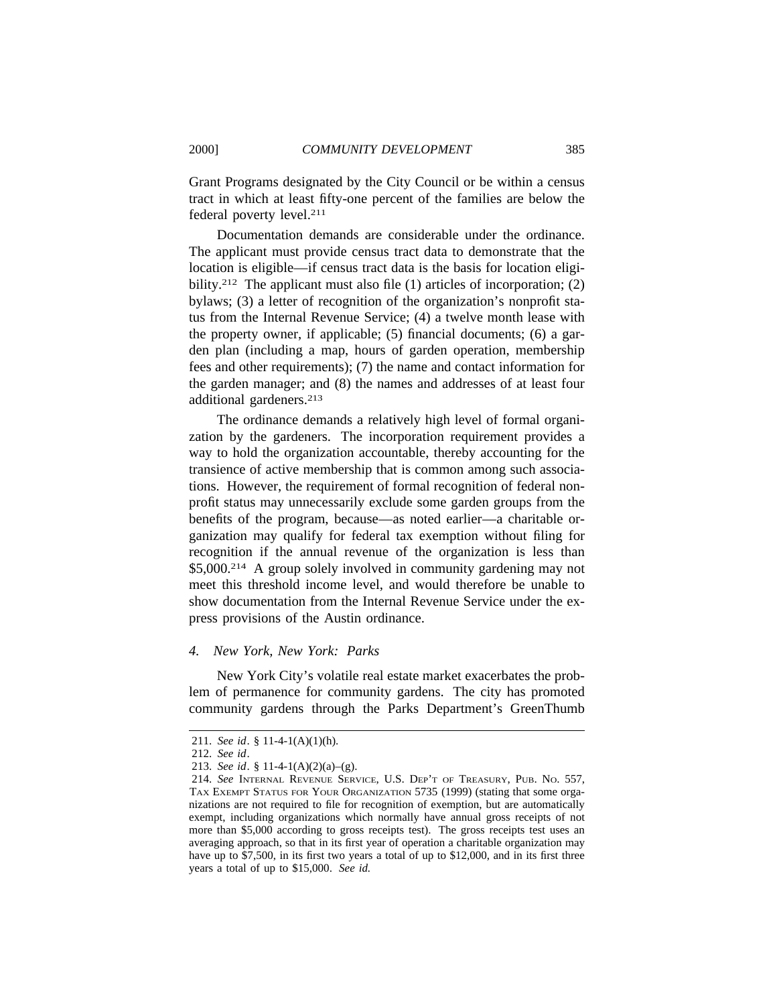Grant Programs designated by the City Council or be within a census tract in which at least fifty-one percent of the families are below the federal poverty level.211

Documentation demands are considerable under the ordinance. The applicant must provide census tract data to demonstrate that the location is eligible—if census tract data is the basis for location eligibility.<sup>212</sup> The applicant must also file (1) articles of incorporation; (2) bylaws; (3) a letter of recognition of the organization's nonprofit status from the Internal Revenue Service; (4) a twelve month lease with the property owner, if applicable; (5) financial documents; (6) a garden plan (including a map, hours of garden operation, membership fees and other requirements); (7) the name and contact information for the garden manager; and (8) the names and addresses of at least four additional gardeners.213

The ordinance demands a relatively high level of formal organization by the gardeners. The incorporation requirement provides a way to hold the organization accountable, thereby accounting for the transience of active membership that is common among such associations. However, the requirement of formal recognition of federal nonprofit status may unnecessarily exclude some garden groups from the benefits of the program, because—as noted earlier—a charitable organization may qualify for federal tax exemption without filing for recognition if the annual revenue of the organization is less than \$5,000.214 A group solely involved in community gardening may not meet this threshold income level, and would therefore be unable to show documentation from the Internal Revenue Service under the express provisions of the Austin ordinance.

# *4. New York, New York: Parks*

New York City's volatile real estate market exacerbates the problem of permanence for community gardens. The city has promoted community gardens through the Parks Department's GreenThumb

<sup>211.</sup> *See id*. § 11-4-1(A)(1)(h).

<sup>212.</sup> *See id*.

<sup>213.</sup> *See id*. § 11-4-1(A)(2)(a)–(g).

<sup>214.</sup> *See* INTERNAL REVENUE SERVICE, U.S. DEP'T OF TREASURY, PUB. NO. 557, TAX EXEMPT STATUS FOR YOUR ORGANIZATION 5735 (1999) (stating that some organizations are not required to file for recognition of exemption, but are automatically exempt, including organizations which normally have annual gross receipts of not more than \$5,000 according to gross receipts test). The gross receipts test uses an averaging approach, so that in its first year of operation a charitable organization may have up to \$7,500, in its first two years a total of up to \$12,000, and in its first three years a total of up to \$15,000. *See id.*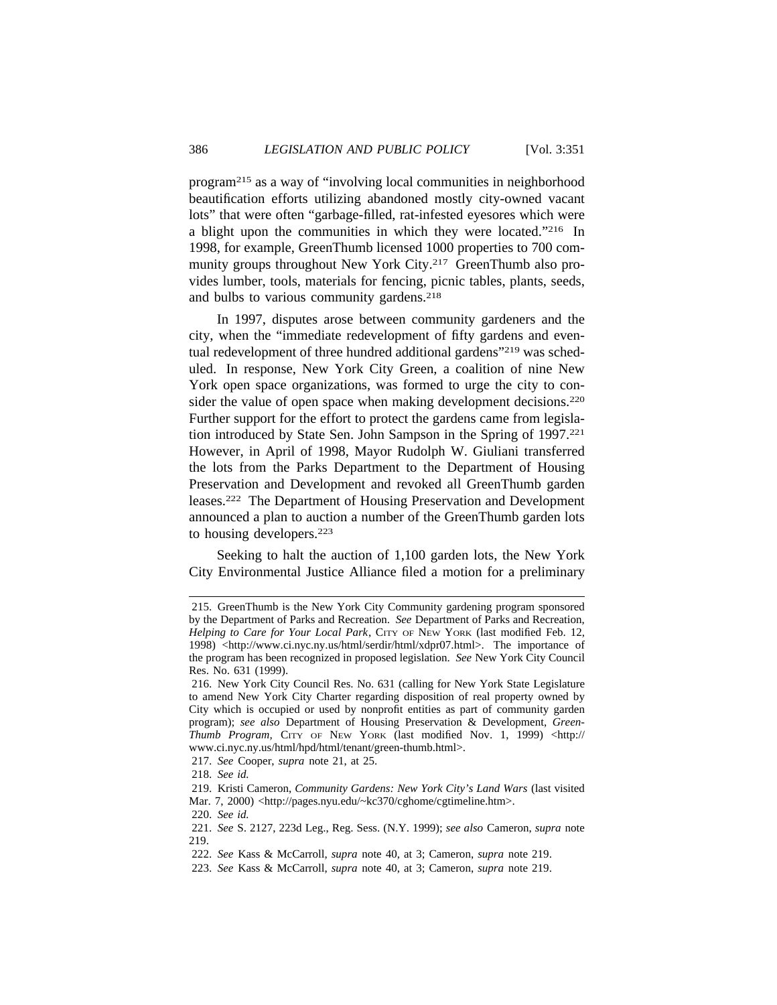program215 as a way of "involving local communities in neighborhood beautification efforts utilizing abandoned mostly city-owned vacant lots" that were often "garbage-filled, rat-infested eyesores which were a blight upon the communities in which they were located."216 In 1998, for example, GreenThumb licensed 1000 properties to 700 community groups throughout New York City.<sup>217</sup> GreenThumb also provides lumber, tools, materials for fencing, picnic tables, plants, seeds, and bulbs to various community gardens.<sup>218</sup>

In 1997, disputes arose between community gardeners and the city, when the "immediate redevelopment of fifty gardens and eventual redevelopment of three hundred additional gardens"<sup>219</sup> was scheduled. In response, New York City Green, a coalition of nine New York open space organizations, was formed to urge the city to consider the value of open space when making development decisions.<sup>220</sup> Further support for the effort to protect the gardens came from legislation introduced by State Sen. John Sampson in the Spring of 1997.221 However, in April of 1998, Mayor Rudolph W. Giuliani transferred the lots from the Parks Department to the Department of Housing Preservation and Development and revoked all GreenThumb garden leases.222 The Department of Housing Preservation and Development announced a plan to auction a number of the GreenThumb garden lots to housing developers.223

Seeking to halt the auction of 1,100 garden lots, the New York City Environmental Justice Alliance filed a motion for a preliminary

<sup>215.</sup> GreenThumb is the New York City Community gardening program sponsored by the Department of Parks and Recreation. *See* Department of Parks and Recreation, *Helping to Care for Your Local Park*, CITY OF NEW YORK (last modified Feb. 12, 1998) <http://www.ci.nyc.ny.us/html/serdir/html/xdpr07.html>. The importance of the program has been recognized in proposed legislation. *See* New York City Council Res. No. 631 (1999).

<sup>216.</sup> New York City Council Res. No. 631 (calling for New York State Legislature to amend New York City Charter regarding disposition of real property owned by City which is occupied or used by nonprofit entities as part of community garden program); *see also* Department of Housing Preservation & Development, *Green-Thumb Program,* CITY OF NEW YORK (last modified Nov. 1, 1999) <http:// www.ci.nyc.ny.us/html/hpd/html/tenant/green-thumb.html>.

<sup>217.</sup> *See* Cooper, *supra* note 21, at 25.

<sup>218.</sup> *See id.*

<sup>219.</sup> Kristi Cameron, *Community Gardens: New York City's Land Wars* (last visited

Mar. 7, 2000) <http://pages.nyu.edu/~kc370/cghome/cgtimeline.htm>.

<sup>220.</sup> *See id.*

<sup>221.</sup> *See* S. 2127, 223d Leg., Reg. Sess. (N.Y. 1999); *see also* Cameron, *supra* note 219.

<sup>222.</sup> *See* Kass & McCarroll, *supra* note 40, at 3; Cameron, *supra* note 219.

<sup>223.</sup> *See* Kass & McCarroll, *supra* note 40, at 3; Cameron, *supra* note 219.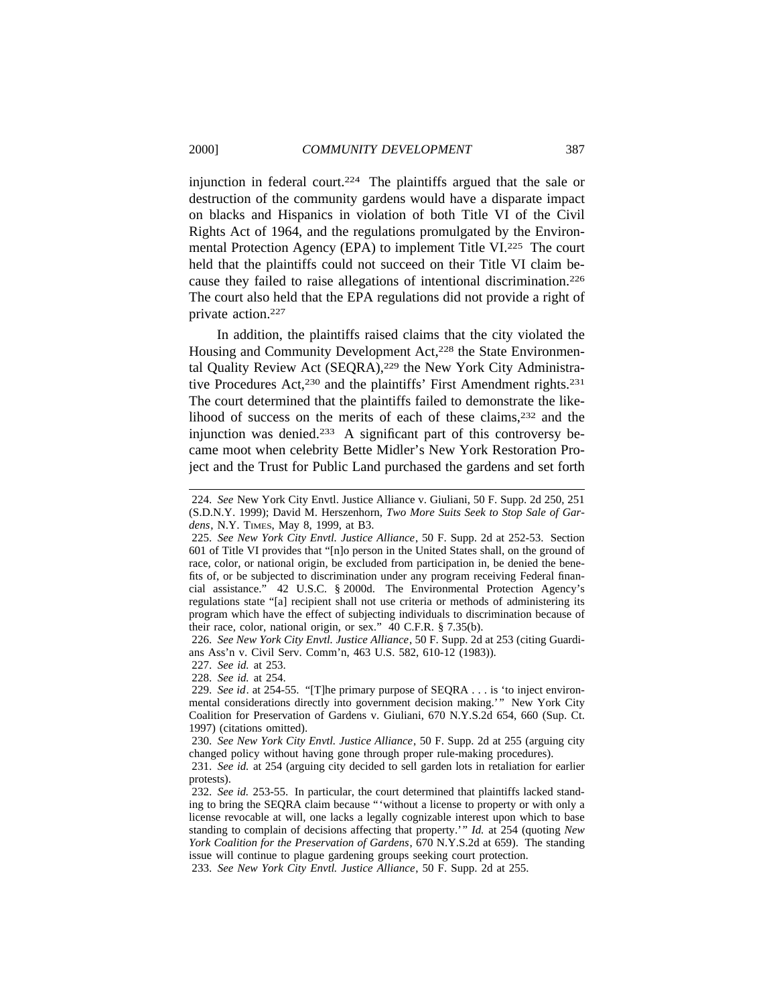injunction in federal court.<sup>224</sup> The plaintiffs argued that the sale or destruction of the community gardens would have a disparate impact on blacks and Hispanics in violation of both Title VI of the Civil Rights Act of 1964, and the regulations promulgated by the Environmental Protection Agency (EPA) to implement Title VI.225 The court held that the plaintiffs could not succeed on their Title VI claim because they failed to raise allegations of intentional discrimination.226 The court also held that the EPA regulations did not provide a right of private action.227

In addition, the plaintiffs raised claims that the city violated the Housing and Community Development Act,<sup>228</sup> the State Environmental Quality Review Act (SEQRA),<sup>229</sup> the New York City Administrative Procedures Act,<sup>230</sup> and the plaintiffs' First Amendment rights.<sup>231</sup> The court determined that the plaintiffs failed to demonstrate the likelihood of success on the merits of each of these claims, <sup>232</sup> and the injunction was denied.233 A significant part of this controversy became moot when celebrity Bette Midler's New York Restoration Project and the Trust for Public Land purchased the gardens and set forth

226. *See New York City Envtl. Justice Alliance*, 50 F. Supp. 2d at 253 (citing Guardians Ass'n v. Civil Serv. Comm'n, 463 U.S. 582, 610-12 (1983)).

227. *See id.* at 253.

228. *See id.* at 254.

233. *See New York City Envtl. Justice Alliance*, 50 F. Supp. 2d at 255.

<sup>224.</sup> *See* New York City Envtl. Justice Alliance v. Giuliani, 50 F. Supp. 2d 250, 251 (S.D.N.Y. 1999); David M. Herszenhorn, *Two More Suits Seek to Stop Sale of Gardens*, N.Y. TIMES, May 8, 1999, at B3.

<sup>225.</sup> *See New York City Envtl. Justice Alliance*, 50 F. Supp. 2d at 252-53. Section 601 of Title VI provides that "[n]o person in the United States shall, on the ground of race, color, or national origin, be excluded from participation in, be denied the benefits of, or be subjected to discrimination under any program receiving Federal financial assistance." 42 U.S.C. § 2000d. The Environmental Protection Agency's regulations state "[a] recipient shall not use criteria or methods of administering its program which have the effect of subjecting individuals to discrimination because of their race, color, national origin, or sex." 40 C.F.R. § 7.35(b).

<sup>229.</sup> *See id*. at 254-55. "[T]he primary purpose of SEQRA . . . is 'to inject environmental considerations directly into government decision making.'" New York City Coalition for Preservation of Gardens v. Giuliani, 670 N.Y.S.2d 654, 660 (Sup. Ct. 1997) (citations omitted).

<sup>230.</sup> *See New York City Envtl. Justice Alliance*, 50 F. Supp. 2d at 255 (arguing city changed policy without having gone through proper rule-making procedures).

<sup>231.</sup> *See id.* at 254 (arguing city decided to sell garden lots in retaliation for earlier protests).

<sup>232.</sup> *See id.* 253-55. In particular, the court determined that plaintiffs lacked standing to bring the SEQRA claim because "'without a license to property or with only a license revocable at will, one lacks a legally cognizable interest upon which to base standing to complain of decisions affecting that property.'" *Id.* at 254 (quoting *New York Coalition for the Preservation of Gardens*, 670 N.Y.S.2d at 659). The standing issue will continue to plague gardening groups seeking court protection.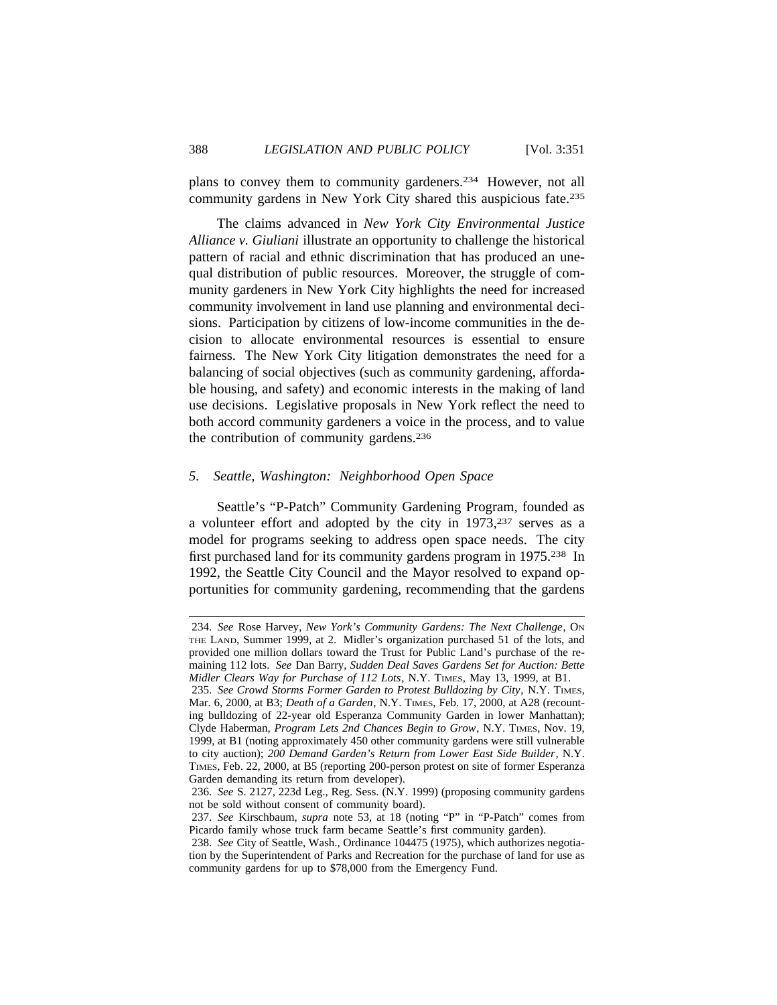plans to convey them to community gardeners.234 However, not all community gardens in New York City shared this auspicious fate.235

The claims advanced in *New York City Environmental Justice Alliance v. Giuliani* illustrate an opportunity to challenge the historical pattern of racial and ethnic discrimination that has produced an unequal distribution of public resources. Moreover, the struggle of community gardeners in New York City highlights the need for increased community involvement in land use planning and environmental decisions. Participation by citizens of low-income communities in the decision to allocate environmental resources is essential to ensure fairness. The New York City litigation demonstrates the need for a balancing of social objectives (such as community gardening, affordable housing, and safety) and economic interests in the making of land use decisions. Legislative proposals in New York reflect the need to both accord community gardeners a voice in the process, and to value the contribution of community gardens.<sup>236</sup>

### *5. Seattle, Washington: Neighborhood Open Space*

Seattle's "P-Patch" Community Gardening Program, founded as a volunteer effort and adopted by the city in 1973,237 serves as a model for programs seeking to address open space needs. The city first purchased land for its community gardens program in 1975.<sup>238</sup> In 1992, the Seattle City Council and the Mayor resolved to expand opportunities for community gardening, recommending that the gardens

<sup>234.</sup> *See* Rose Harvey, *New York's Community Gardens: The Next Challenge*, ON THE LAND, Summer 1999, at 2. Midler's organization purchased 51 of the lots, and provided one million dollars toward the Trust for Public Land's purchase of the remaining 112 lots. *See* Dan Barry, *Sudden Deal Saves Gardens Set for Auction: Bette Midler Clears Way for Purchase of 112 Lots*, N.Y. TIMES, May 13, 1999, at B1.

<sup>235.</sup> *See Crowd Storms Former Garden to Protest Bulldozing by City*, N.Y. TIMES, Mar. 6, 2000, at B3; *Death of a Garden*, N.Y. TIMES, Feb. 17, 2000, at A28 (recounting bulldozing of 22-year old Esperanza Community Garden in lower Manhattan); Clyde Haberman, *Program Lets 2nd Chances Begin to Grow*, N.Y. TIMES, Nov. 19, 1999, at B1 (noting approximately 450 other community gardens were still vulnerable to city auction); *200 Demand Garden's Return from Lower East Side Builder*, N.Y. TIMES, Feb. 22, 2000, at B5 (reporting 200-person protest on site of former Esperanza Garden demanding its return from developer).

<sup>236.</sup> *See* S. 2127, 223d Leg., Reg. Sess. (N.Y. 1999) (proposing community gardens not be sold without consent of community board).

<sup>237.</sup> *See* Kirschbaum, *supra* note 53, at 18 (noting "P" in "P-Patch" comes from Picardo family whose truck farm became Seattle's first community garden).

<sup>238.</sup> *See* City of Seattle, Wash., Ordinance 104475 (1975), which authorizes negotiation by the Superintendent of Parks and Recreation for the purchase of land for use as community gardens for up to \$78,000 from the Emergency Fund.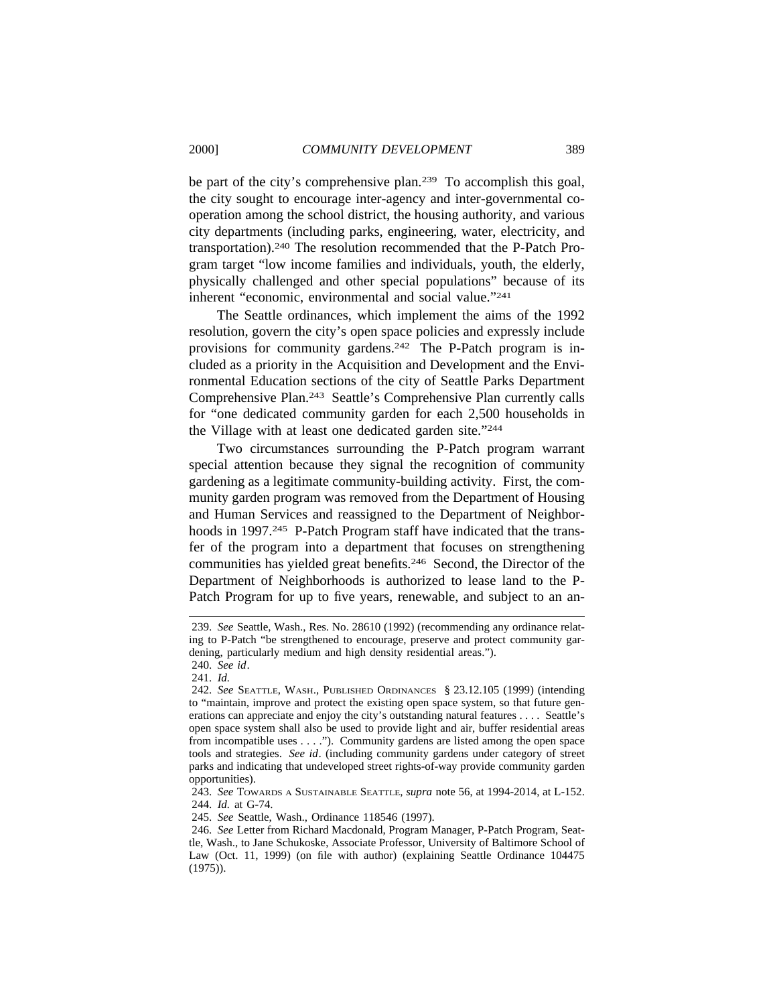be part of the city's comprehensive plan.239 To accomplish this goal, the city sought to encourage inter-agency and inter-governmental cooperation among the school district, the housing authority, and various city departments (including parks, engineering, water, electricity, and transportation).240 The resolution recommended that the P-Patch Program target "low income families and individuals, youth, the elderly, physically challenged and other special populations" because of its inherent "economic, environmental and social value."241

The Seattle ordinances, which implement the aims of the 1992 resolution, govern the city's open space policies and expressly include provisions for community gardens.242 The P-Patch program is included as a priority in the Acquisition and Development and the Environmental Education sections of the city of Seattle Parks Department Comprehensive Plan.243 Seattle's Comprehensive Plan currently calls for "one dedicated community garden for each 2,500 households in the Village with at least one dedicated garden site."244

Two circumstances surrounding the P-Patch program warrant special attention because they signal the recognition of community gardening as a legitimate community-building activity. First, the community garden program was removed from the Department of Housing and Human Services and reassigned to the Department of Neighborhoods in 1997.<sup>245</sup> P-Patch Program staff have indicated that the transfer of the program into a department that focuses on strengthening communities has yielded great benefits.246 Second, the Director of the Department of Neighborhoods is authorized to lease land to the P-Patch Program for up to five years, renewable, and subject to an an-

240. *See id*.

<sup>239.</sup> *See* Seattle, Wash., Res. No. 28610 (1992) (recommending any ordinance relating to P-Patch "be strengthened to encourage, preserve and protect community gardening, particularly medium and high density residential areas.").

<sup>241.</sup> *Id.*

<sup>242.</sup> *See* SEATTLE, WASH., PUBLISHED ORDINANCES § 23.12.105 (1999) (intending to "maintain, improve and protect the existing open space system, so that future generations can appreciate and enjoy the city's outstanding natural features . . . . Seattle's open space system shall also be used to provide light and air, buffer residential areas from incompatible uses . . . ."). Community gardens are listed among the open space tools and strategies. *See id*. (including community gardens under category of street parks and indicating that undeveloped street rights-of-way provide community garden opportunities).

<sup>243.</sup> *See* TOWARDS A SUSTAINABLE SEATTLE, *supra* note 56, at 1994-2014, at L-152. 244. *Id.* at G-74.

<sup>245.</sup> *See* Seattle, Wash., Ordinance 118546 (1997).

<sup>246.</sup> *See* Letter from Richard Macdonald, Program Manager, P-Patch Program, Seattle, Wash., to Jane Schukoske, Associate Professor, University of Baltimore School of Law (Oct. 11, 1999) (on file with author) (explaining Seattle Ordinance 104475 (1975)).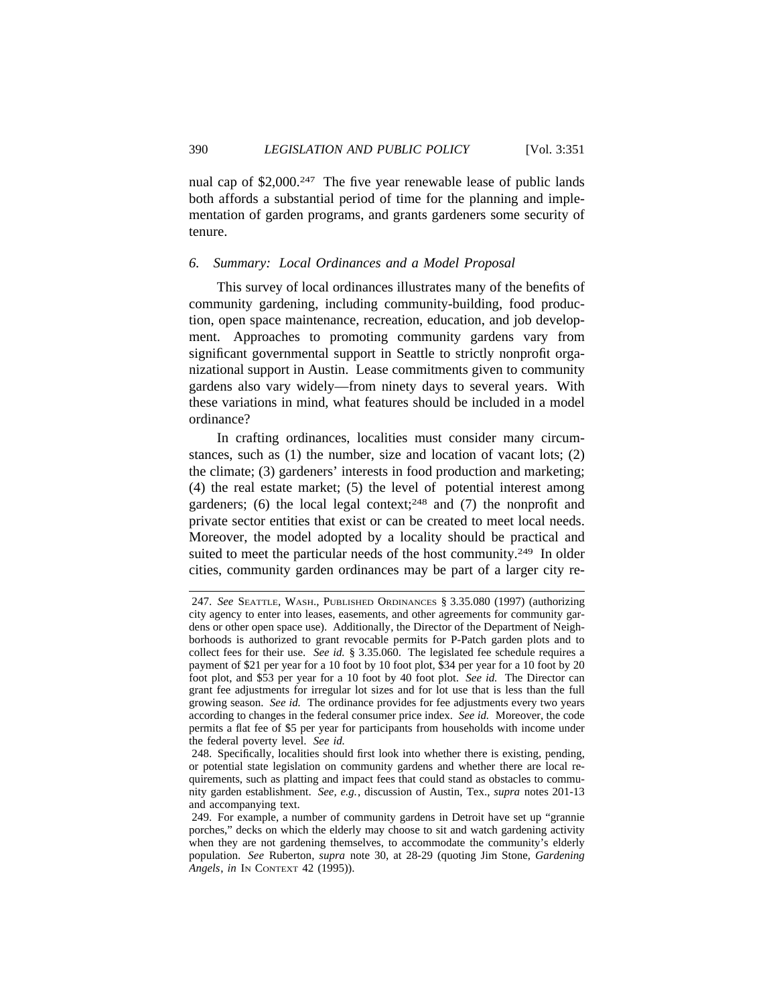nual cap of \$2,000.<sup>247</sup> The five year renewable lease of public lands both affords a substantial period of time for the planning and implementation of garden programs, and grants gardeners some security of tenure.

## *6. Summary: Local Ordinances and a Model Proposal*

This survey of local ordinances illustrates many of the benefits of community gardening, including community-building, food production, open space maintenance, recreation, education, and job development. Approaches to promoting community gardens vary from significant governmental support in Seattle to strictly nonprofit organizational support in Austin. Lease commitments given to community gardens also vary widely—from ninety days to several years. With these variations in mind, what features should be included in a model ordinance?

In crafting ordinances, localities must consider many circumstances, such as (1) the number, size and location of vacant lots; (2) the climate; (3) gardeners' interests in food production and marketing; (4) the real estate market; (5) the level of potential interest among gardeners; (6) the local legal context;<sup>248</sup> and (7) the nonprofit and private sector entities that exist or can be created to meet local needs. Moreover, the model adopted by a locality should be practical and suited to meet the particular needs of the host community.<sup>249</sup> In older cities, community garden ordinances may be part of a larger city re-

<sup>247.</sup> *See* SEATTLE, WASH., PUBLISHED ORDINANCES § 3.35.080 (1997) (authorizing city agency to enter into leases, easements, and other agreements for community gardens or other open space use). Additionally, the Director of the Department of Neighborhoods is authorized to grant revocable permits for P-Patch garden plots and to collect fees for their use. *See id.* § 3.35.060. The legislated fee schedule requires a payment of \$21 per year for a 10 foot by 10 foot plot, \$34 per year for a 10 foot by 20 foot plot, and \$53 per year for a 10 foot by 40 foot plot. *See id.* The Director can grant fee adjustments for irregular lot sizes and for lot use that is less than the full growing season. *See id.* The ordinance provides for fee adjustments every two years according to changes in the federal consumer price index. *See id.* Moreover, the code permits a flat fee of \$5 per year for participants from households with income under the federal poverty level. *See id.*

<sup>248.</sup> Specifically, localities should first look into whether there is existing, pending, or potential state legislation on community gardens and whether there are local requirements, such as platting and impact fees that could stand as obstacles to community garden establishment. *See, e.g.*, discussion of Austin, Tex., *supra* notes 201-13 and accompanying text.

<sup>249.</sup> For example, a number of community gardens in Detroit have set up "grannie porches," decks on which the elderly may choose to sit and watch gardening activity when they are not gardening themselves, to accommodate the community's elderly population. *See* Ruberton, *supra* note 30, at 28-29 (quoting Jim Stone, *Gardening Angels*, *in* IN CONTEXT 42 (1995)).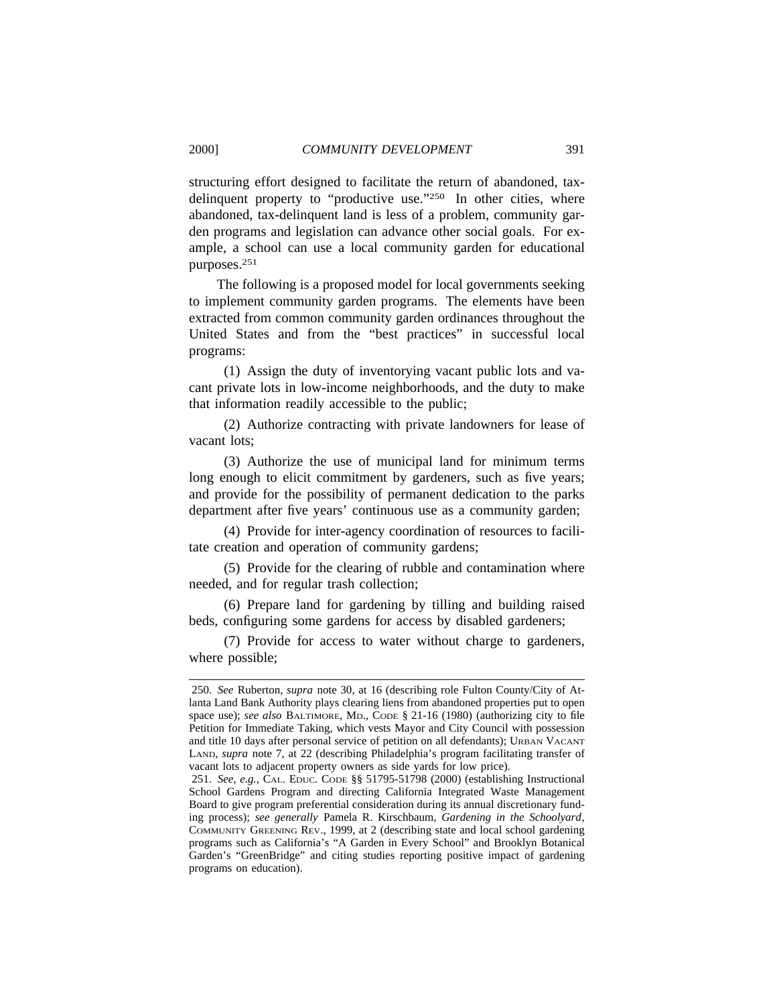structuring effort designed to facilitate the return of abandoned, taxdelinquent property to "productive use."<sup>250</sup> In other cities, where abandoned, tax-delinquent land is less of a problem, community garden programs and legislation can advance other social goals. For example, a school can use a local community garden for educational purposes.251

The following is a proposed model for local governments seeking to implement community garden programs. The elements have been extracted from common community garden ordinances throughout the United States and from the "best practices" in successful local programs:

(1) Assign the duty of inventorying vacant public lots and vacant private lots in low-income neighborhoods, and the duty to make that information readily accessible to the public;

(2) Authorize contracting with private landowners for lease of vacant lots;

(3) Authorize the use of municipal land for minimum terms long enough to elicit commitment by gardeners, such as five years; and provide for the possibility of permanent dedication to the parks department after five years' continuous use as a community garden;

(4) Provide for inter-agency coordination of resources to facilitate creation and operation of community gardens;

(5) Provide for the clearing of rubble and contamination where needed, and for regular trash collection;

(6) Prepare land for gardening by tilling and building raised beds, configuring some gardens for access by disabled gardeners;

(7) Provide for access to water without charge to gardeners, where possible;

<sup>250.</sup> *See* Ruberton, *supra* note 30, at 16 (describing role Fulton County/City of Atlanta Land Bank Authority plays clearing liens from abandoned properties put to open space use); *see also* BALTIMORE, MD., CODE § 21-16 (1980) (authorizing city to file Petition for Immediate Taking, which vests Mayor and City Council with possession and title 10 days after personal service of petition on all defendants); URBAN VACANT LAND, *supra* note 7, at 22 (describing Philadelphia's program facilitating transfer of vacant lots to adjacent property owners as side yards for low price).

<sup>251.</sup> *See, e.g.*, CAL. EDUC. CODE §§ 51795-51798 (2000) (establishing Instructional School Gardens Program and directing California Integrated Waste Management Board to give program preferential consideration during its annual discretionary funding process); *see generally* Pamela R. Kirschbaum, *Gardening in the Schoolyard*, COMMUNITY GREENING REV., 1999, at 2 (describing state and local school gardening programs such as California's "A Garden in Every School" and Brooklyn Botanical Garden's "GreenBridge" and citing studies reporting positive impact of gardening programs on education).